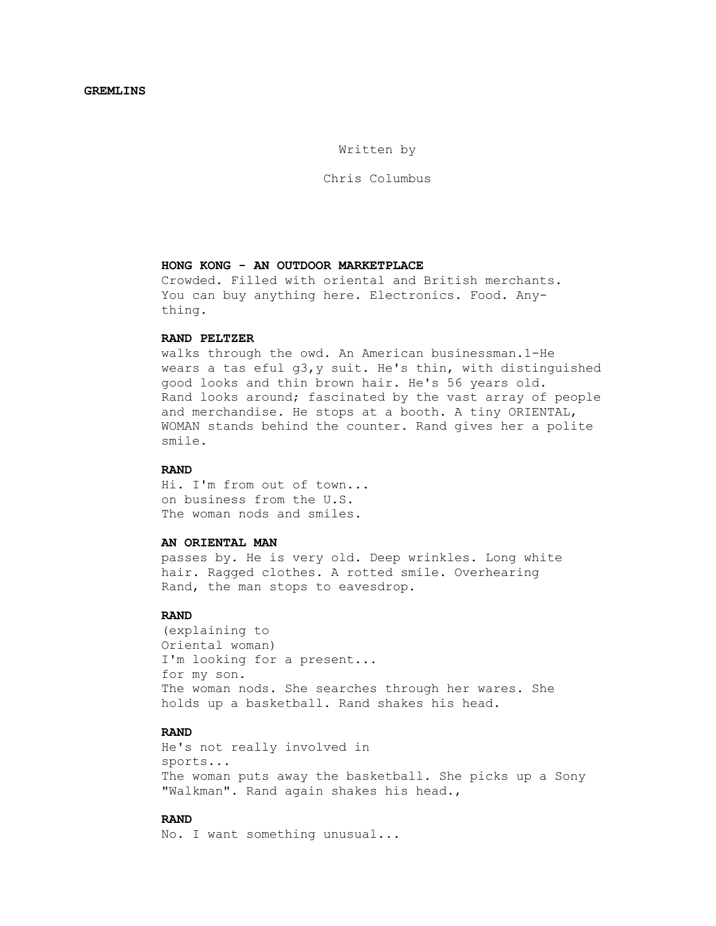Written by

Chris Columbus

### **HONG KONG - AN OUTDOOR MARKETPLACE**

 Crowded. Filled with oriental and British merchants. You can buy anything here. Electronics. Food. Any thing.

### **RAND PELTZER**

 walks through the owd. An American businessman.1-He wears a tas eful g3,y suit. He's thin, with distinguished good looks and thin brown hair. He's 56 years old. Rand looks around; fascinated by the vast array of people and merchandise. He stops at a booth. A tiny ORIENTAL, WOMAN stands behind the counter. Rand gives her a polite smile.

### **RAND**

 Hi. I'm from out of town... on business from the U.S. The woman nods and smiles.

#### **AN ORIENTAL MAN**

 passes by. He is very old. Deep wrinkles. Long white hair. Ragged clothes. A rotted smile. Overhearing Rand, the man stops to eavesdrop.

### **RAND**

 (explaining to Oriental woman) I'm looking for a present... for my son. The woman nods. She searches through her wares. She holds up a basketball. Rand shakes his head.

### **RAND**

 He's not really involved in sports... The woman puts away the basketball. She picks up a Sony "Walkman". Rand again shakes his head.,

## **RAND**

No. I want something unusual...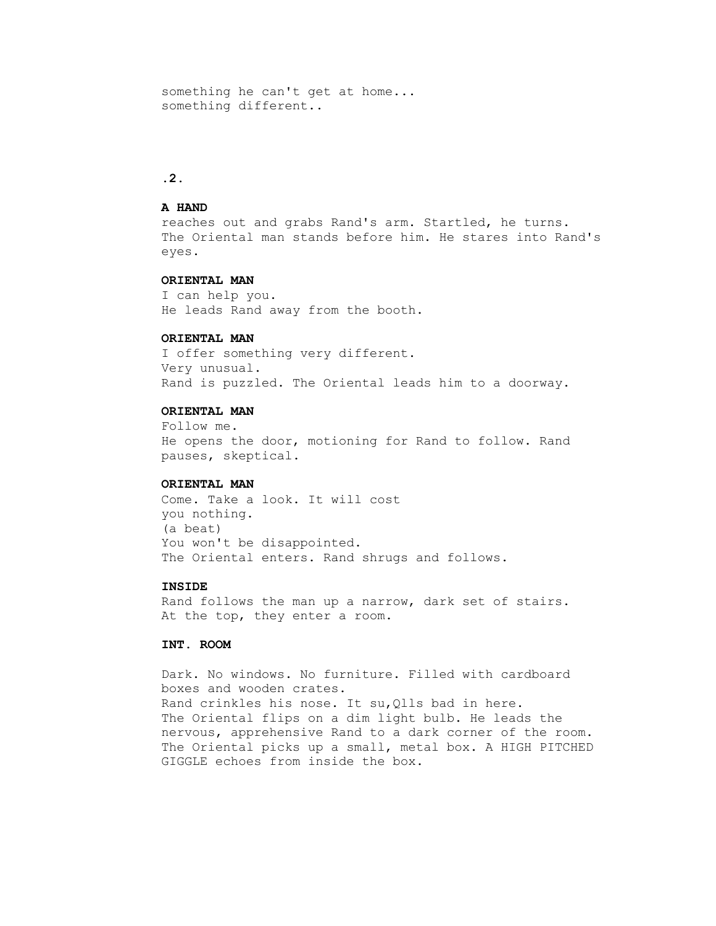something he can't get at home... something different..

### **.2.**

#### **A HAND**

 reaches out and grabs Rand's arm. Startled, he turns. The Oriental man stands before him. He stares into Rand's eyes.

#### **ORIENTAL MAN**

 I can help you. He leads Rand away from the booth.

### **ORIENTAL MAN**

 I offer something very different. Very unusual. Rand is puzzled. The Oriental leads him to a doorway.

### **ORIENTAL MAN**

 Follow me. He opens the door, motioning for Rand to follow. Rand pauses, skeptical.

#### **ORIENTAL MAN**

 Come. Take a look. It will cost you nothing. (a beat) You won't be disappointed. The Oriental enters. Rand shrugs and follows.

### **INSIDE**

 Rand follows the man up a narrow, dark set of stairs. At the top, they enter a room.

### **INT. ROOM**

 Dark. No windows. No furniture. Filled with cardboard boxes and wooden crates. Rand crinkles his nose. It su,Qlls bad in here. The Oriental flips on a dim light bulb. He leads the nervous, apprehensive Rand to a dark corner of the room. The Oriental picks up a small, metal box. A HIGH PITCHED GIGGLE echoes from inside the box.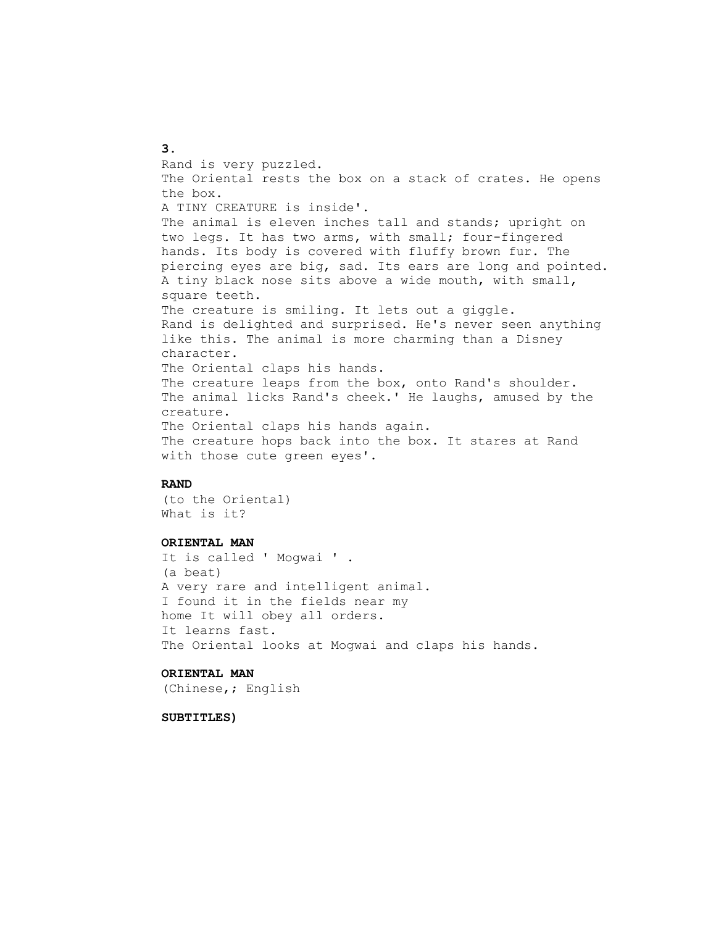Rand is very puzzled. The Oriental rests the box on a stack of crates. He opens the box. A TINY CREATURE is inside'. The animal is eleven inches tall and stands; upright on two legs. It has two arms, with small; four-fingered hands. Its body is covered with fluffy brown fur. The piercing eyes are big, sad. Its ears are long and pointed. A tiny black nose sits above a wide mouth, with small, square teeth. The creature is smiling. It lets out a giggle. Rand is delighted and surprised. He's never seen anything like this. The animal is more charming than a Disney character. The Oriental claps his hands. The creature leaps from the box, onto Rand's shoulder. The animal licks Rand's cheek.' He laughs, amused by the creature. The Oriental claps his hands again. The creature hops back into the box. It stares at Rand with those cute green eyes'.

### **RAND**

 (to the Oriental) What is it?

#### **ORIENTAL MAN**

 It is called ' Mogwai ' . (a beat) A very rare and intelligent animal. I found it in the fields near my home It will obey all orders. It learns fast. The Oriental looks at Mogwai and claps his hands.

### **ORIENTAL MAN**

(Chinese,; English

#### **SUBTITLES)**

#### **3.**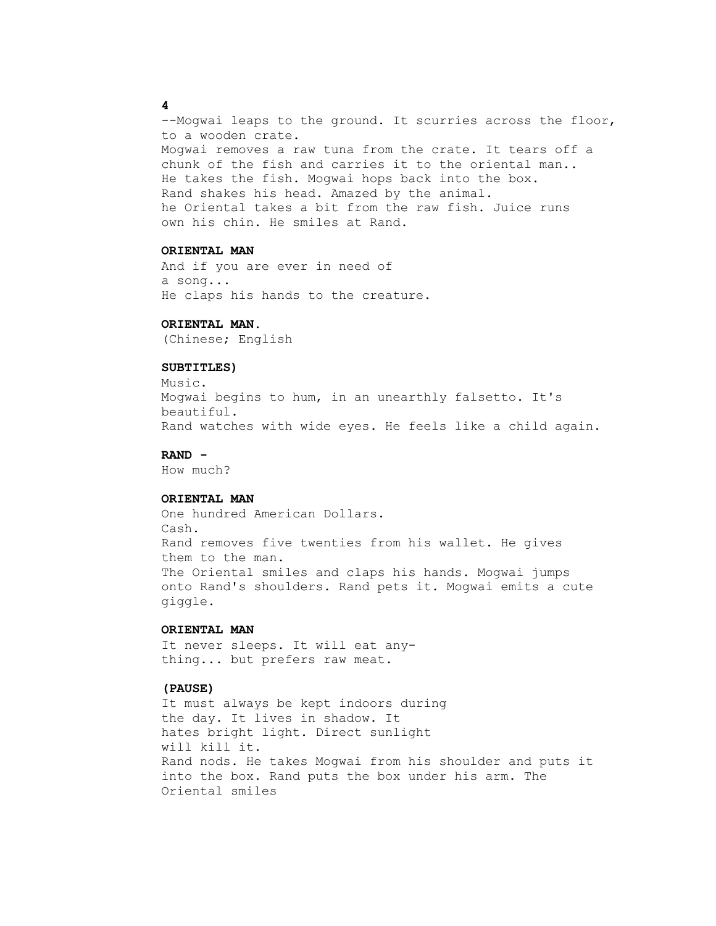--Mogwai leaps to the ground. It scurries across the floor, to a wooden crate. Mogwai removes a raw tuna from the crate. It tears off a chunk of the fish and carries it to the oriental man.. He takes the fish. Mogwai hops back into the box. Rand shakes his head. Amazed by the animal. he Oriental takes a bit from the raw fish. Juice runs own his chin. He smiles at Rand.

### **ORIENTAL MAN**

 And if you are ever in need of a song... He claps his hands to the creature.

#### **ORIENTAL MAN.**

(Chinese; English

## **SUBTITLES)**

 Music. Mogwai begins to hum, in an unearthly falsetto. It's beautiful. Rand watches with wide eyes. He feels like a child again.

#### **RAND -**

How much?

### **ORIENTAL MAN**

 One hundred American Dollars. Cash. Rand removes five twenties from his wallet. He gives them to the man. The Oriental smiles and claps his hands. Mogwai jumps onto Rand's shoulders. Rand pets it. Mogwai emits a cute giggle.

### **ORIENTAL MAN**

 It never sleeps. It will eat any thing... but prefers raw meat.

#### **(PAUSE)**

 It must always be kept indoors during the day. It lives in shadow. It hates bright light. Direct sunlight will kill it. Rand nods. He takes Mogwai from his shoulder and puts it into the box. Rand puts the box under his arm. The Oriental smiles

### **4**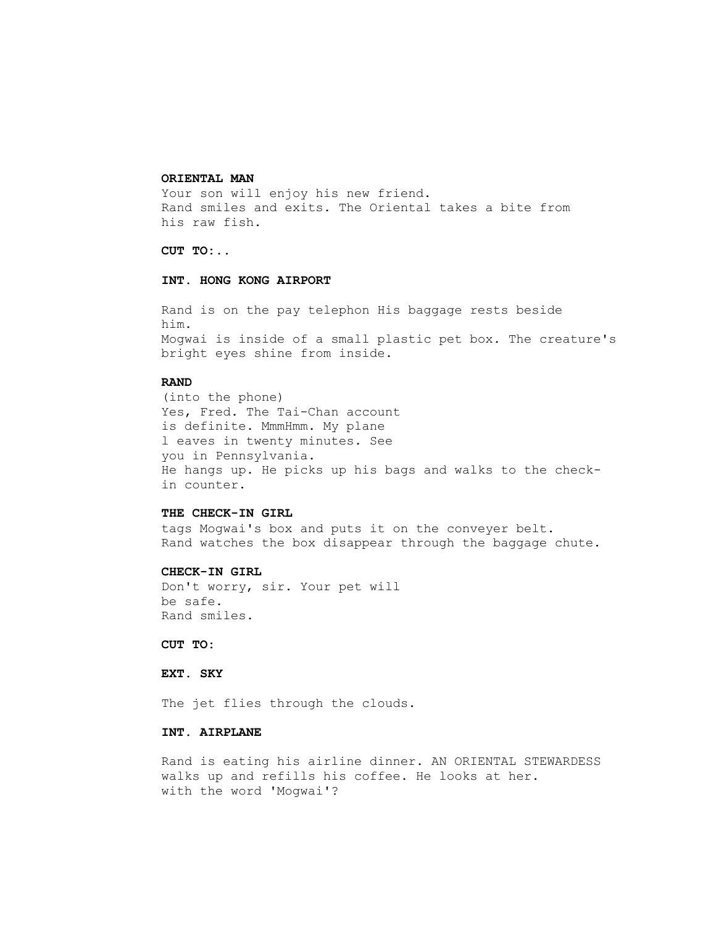#### **ORIENTAL MAN**

Your son will enjoy his new friend. Rand smiles and exits. The Oriental takes a bite from his raw fish.

## **CUT TO:..**

### **INT. HONG KONG AIRPORT**

 Rand is on the pay telephon His baggage rests beside him. Mogwai is inside of a small plastic pet box. The creature's bright eyes shine from inside.

### **RAND**

 (into the phone) Yes, Fred. The Tai-Chan account is definite. MmmHmm. My plane l eaves in twenty minutes. See you in Pennsylvania. He hangs up. He picks up his bags and walks to the check in counter.

### **THE CHECK-IN GIRL**

 tags Mogwai's box and puts it on the conveyer belt. Rand watches the box disappear through the baggage chute.

#### **CHECK-IN GIRL**

 Don't worry, sir. Your pet will be safe. Rand smiles.

### **CUT TO:**

#### **EXT. SKY**

The jet flies through the clouds.

### **INT. AIRPLANE**

 Rand is eating his airline dinner. AN ORIENTAL STEWARDESS walks up and refills his coffee. He looks at her. with the word 'Mogwai'?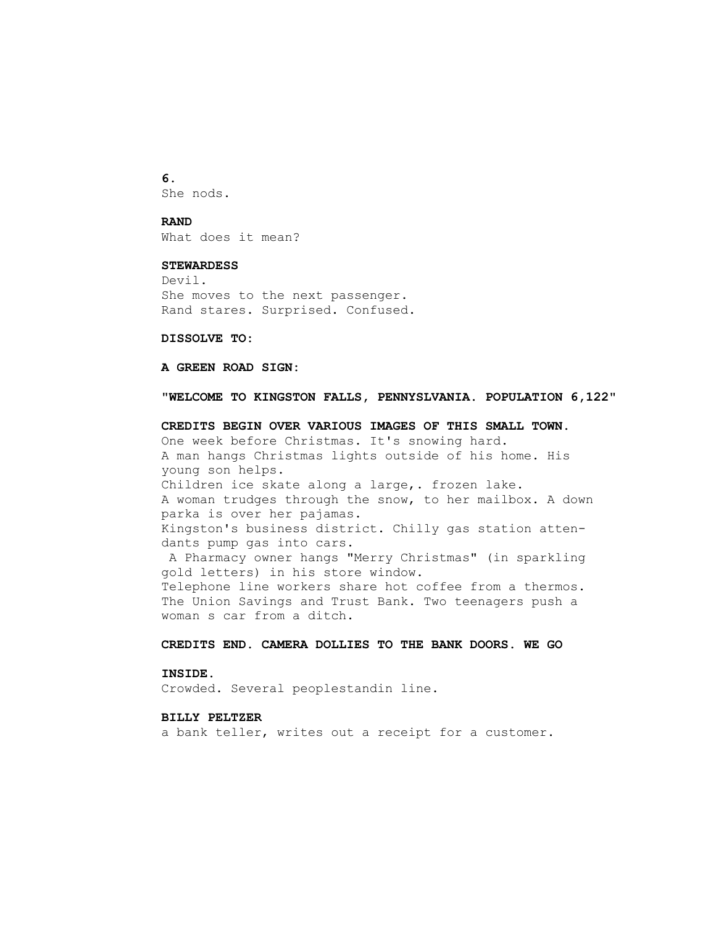**6.** She nods.

#### **RAND**

What does it mean?

#### **STEWARDESS**

 Devil. She moves to the next passenger. Rand stares. Surprised. Confused.

### **DISSOLVE TO:**

### **A GREEN ROAD SIGN:**

#### **"WELCOME TO KINGSTON FALLS, PENNYSLVANIA. POPULATION 6,122"**

 **CREDITS BEGIN OVER VARIOUS IMAGES OF THIS SMALL TOWN.** One week before Christmas. It's snowing hard. A man hangs Christmas lights outside of his home. His young son helps. Children ice skate along a large,. frozen lake. A woman trudges through the snow, to her mailbox. A down parka is over her pajamas. Kingston's business district. Chilly gas station atten dants pump gas into cars. A Pharmacy owner hangs "Merry Christmas" (in sparkling gold letters) in his store window. Telephone line workers share hot coffee from a thermos. The Union Savings and Trust Bank. Two teenagers push a woman s car from a ditch.

### **CREDITS END. CAMERA DOLLIES TO THE BANK DOORS. WE GO**

#### **INSIDE.**

Crowded. Several peoplestandin line.

### **BILLY PELTZER**

a bank teller, writes out a receipt for a customer.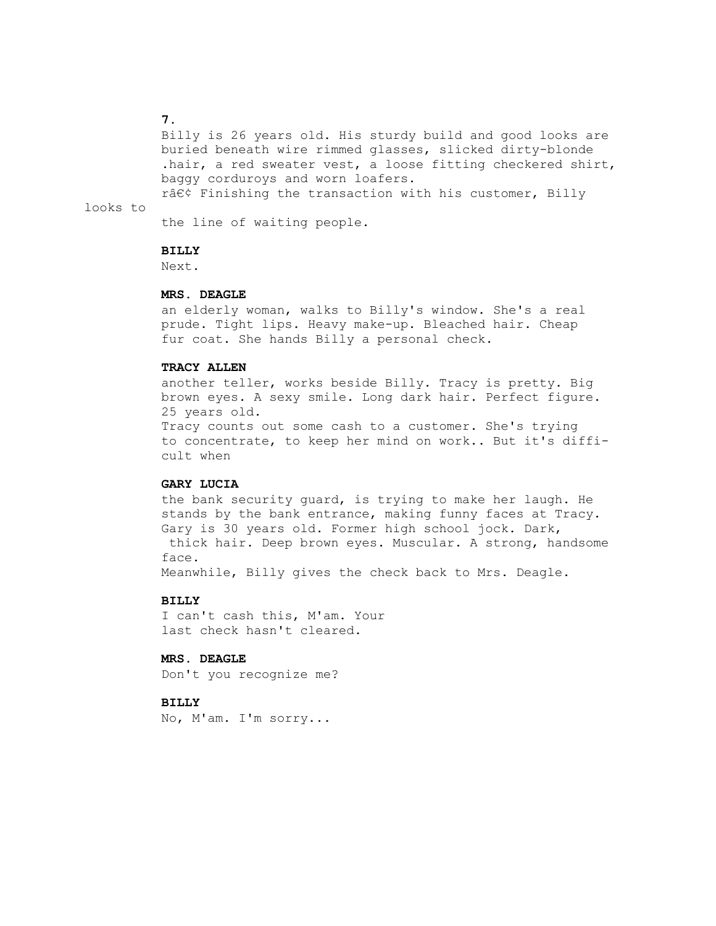#### **7.**

looks to

 Billy is 26 years old. His sturdy build and good looks are buried beneath wire rimmed glasses, slicked dirty-blonde .hair, a red sweater vest, a loose fitting checkered shirt, baggy corduroys and worn loafers.

r• Finishing the transaction with his customer, Billy

the line of waiting people.

### **BILLY**

Next.

#### **MRS. DEAGLE**

 an elderly woman, walks to Billy's window. She's a real prude. Tight lips. Heavy make-up. Bleached hair. Cheap fur coat. She hands Billy a personal check.

## **TRACY ALLEN**

 another teller, works beside Billy. Tracy is pretty. Big brown eyes. A sexy smile. Long dark hair. Perfect figure. 25 years old.

 Tracy counts out some cash to a customer. She's trying to concentrate, to keep her mind on work.. But it's diffi cult when

#### **GARY LUCIA**

 the bank security guard, is trying to make her laugh. He stands by the bank entrance, making funny faces at Tracy. Gary is 30 years old. Former high school jock. Dark, thick hair. Deep brown eyes. Muscular. A strong, handsome face.

Meanwhile, Billy gives the check back to Mrs. Deagle.

#### **BILLY**

 I can't cash this, M'am. Your last check hasn't cleared.

## **MRS. DEAGLE**

Don't you recognize me?

#### **BILLY**

No, M'am. I'm sorry...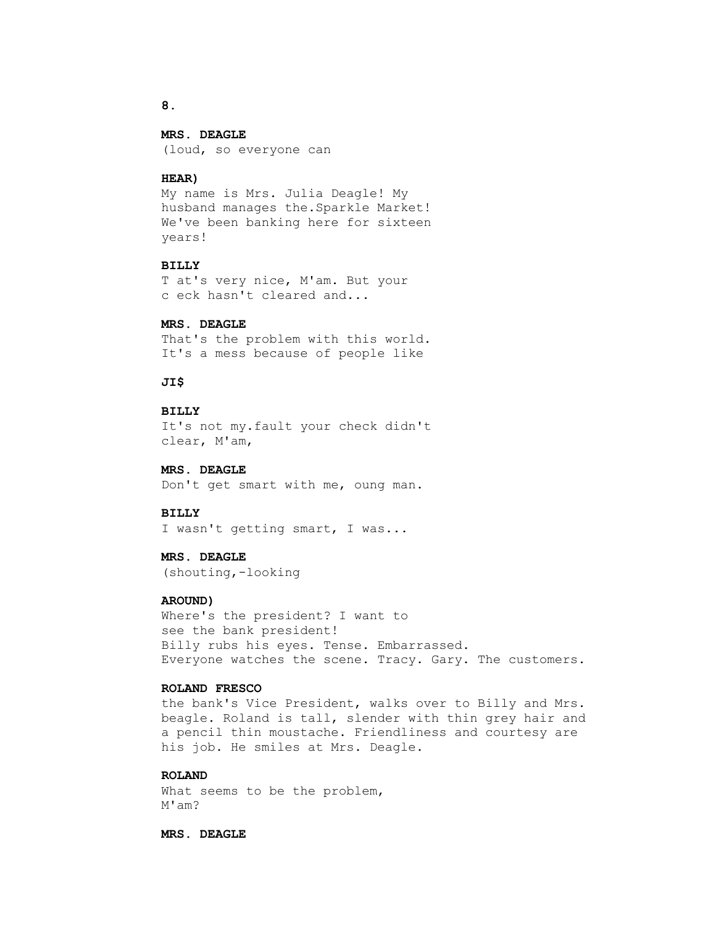## **MRS. DEAGLE**

(loud, so everyone can

### **HEAR)**

 My name is Mrs. Julia Deagle! My husband manages the.Sparkle Market! We've been banking here for sixteen years!

#### **BILLY**

 T at's very nice, M'am. But your c eck hasn't cleared and...

#### **MRS. DEAGLE**

 That's the problem with this world. It's a mess because of people like

## **JI\$**

### **BILLY**

 It's not my.fault your check didn't clear, M'am,

## **MRS. DEAGLE**

Don't get smart with me, oung man.

#### **BILLY**

I wasn't getting smart, I was...

## **MRS. DEAGLE**

(shouting,-looking

### **AROUND)**

 Where's the president? I want to see the bank president! Billy rubs his eyes. Tense. Embarrassed. Everyone watches the scene. Tracy. Gary. The customers.

### **ROLAND FRESCO**

 the bank's Vice President, walks over to Billy and Mrs. beagle. Roland is tall, slender with thin grey hair and a pencil thin moustache. Friendliness and courtesy are his job. He smiles at Mrs. Deagle.

### **ROLAND**

 What seems to be the problem, M'am?

 **MRS. DEAGLE**

#### **8.**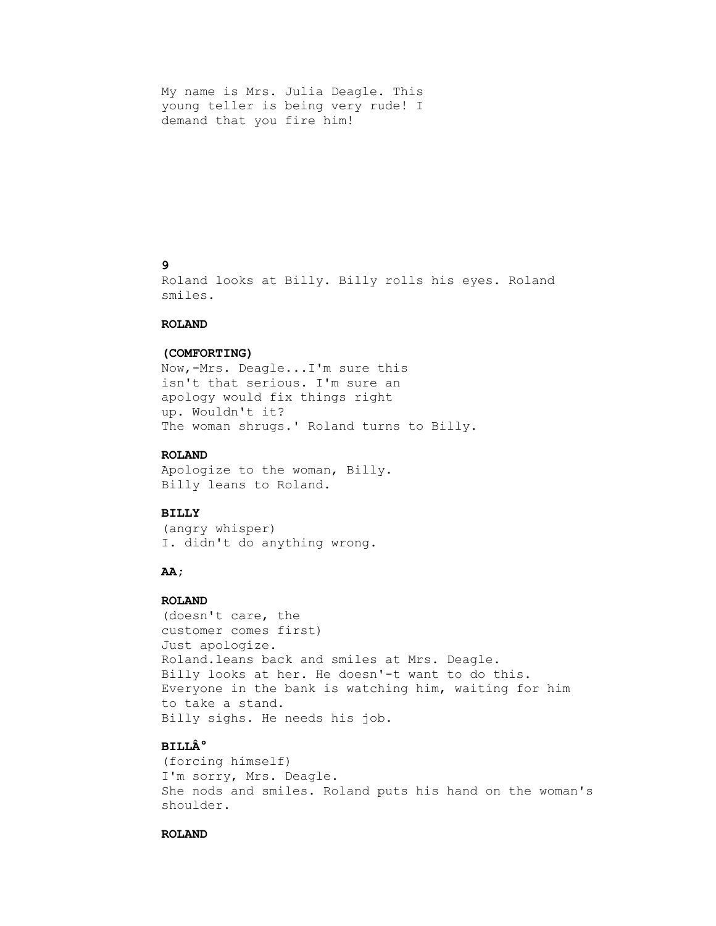My name is Mrs. Julia Deagle. This young teller is being very rude! I demand that you fire him!

# **9**

 Roland looks at Billy. Billy rolls his eyes. Roland smiles.

#### **ROLAND**

### **(COMFORTING)**

 Now,-Mrs. Deagle...I'm sure this isn't that serious. I'm sure an apology would fix things right up. Wouldn't it? The woman shrugs.' Roland turns to Billy.

### **ROLAND**

 Apologize to the woman, Billy. Billy leans to Roland.

### **BILLY**

 (angry whisper) I. didn't do anything wrong.

## **AA;**

#### **ROLAND**

 (doesn't care, the customer comes first) Just apologize. Roland.leans back and smiles at Mrs. Deagle. Billy looks at her. He doesn'-t want to do this. Everyone in the bank is watching him, waiting for him to take a stand. Billy sighs. He needs his job.

# **BILL°**

 (forcing himself) I'm sorry, Mrs. Deagle. She nods and smiles. Roland puts his hand on the woman's shoulder.

## **ROLAND**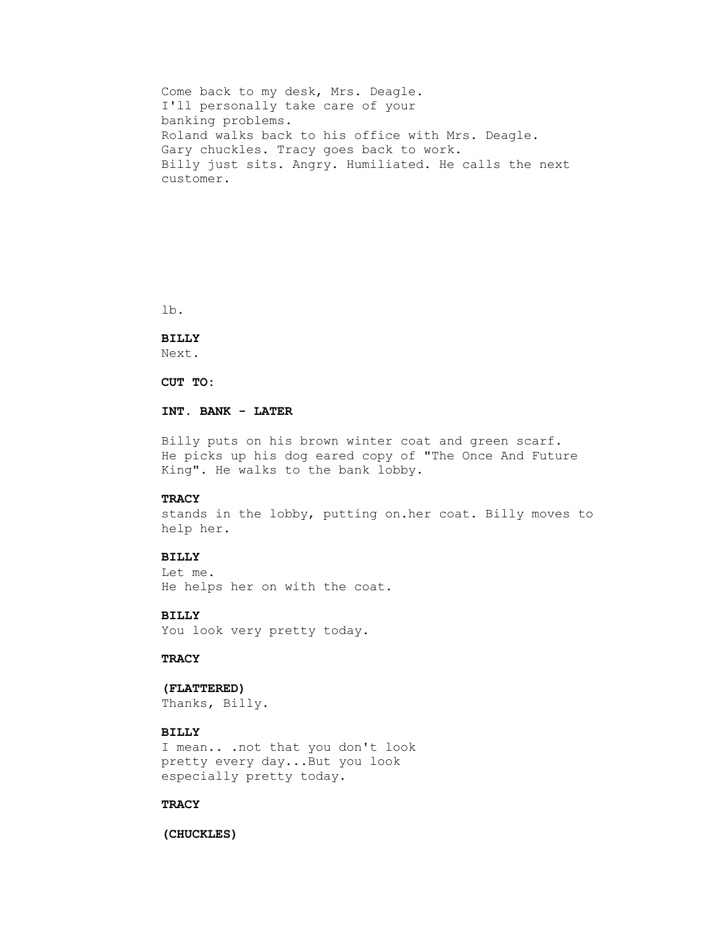Come back to my desk, Mrs. Deagle. I'll personally take care of your banking problems. Roland walks back to his office with Mrs. Deagle. Gary chuckles. Tracy goes back to work. Billy just sits. Angry. Humiliated. He calls the next customer.

lb.

## **BILLY**

Next.

 **CUT TO:**

## **INT. BANK - LATER**

 Billy puts on his brown winter coat and green scarf. He picks up his dog eared copy of "The Once And Future King". He walks to the bank lobby.

### **TRACY**

 stands in the lobby, putting on.her coat. Billy moves to help her.

### **BILLY**

 Let me. He helps her on with the coat.

 **BILLY**

You look very pretty today.

### **TRACY**

### **(FLATTERED)**

Thanks, Billy.

## **BILLY**

 I mean.. .not that you don't look pretty every day...But you look especially pretty today.

## **TRACY**

#### **(CHUCKLES)**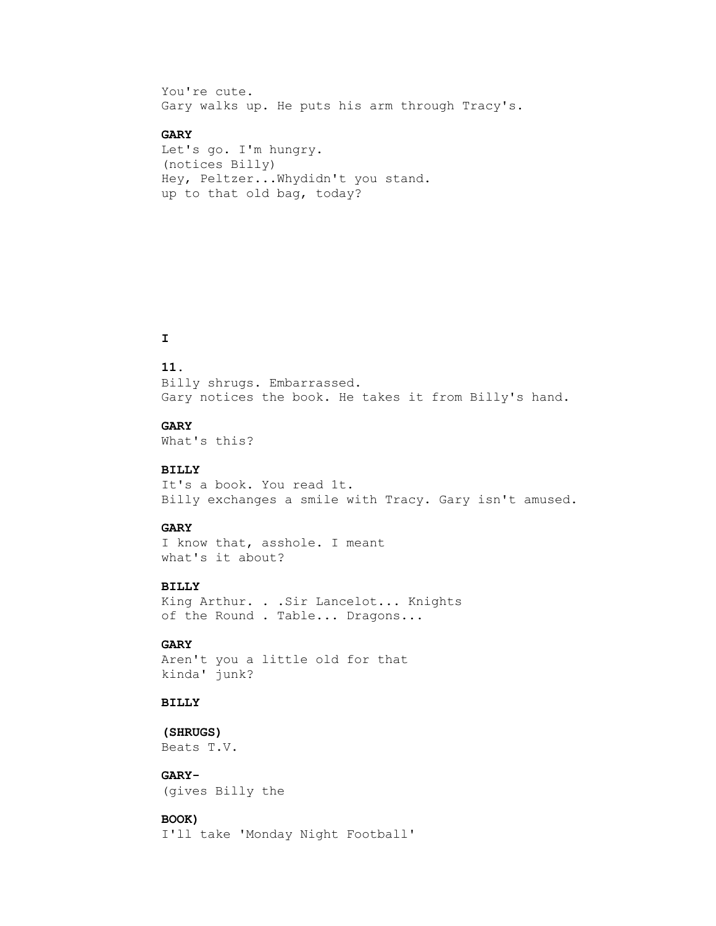You're cute. Gary walks up. He puts his arm through Tracy's.

# **GARY**

 Let's go. I'm hungry. (notices Billy) Hey, Peltzer...Whydidn't you stand. up to that old bag, today?

# **I**

## **11.**

 Billy shrugs. Embarrassed. Gary notices the book. He takes it from Billy's hand.

#### **GARY**

What's this?

### **BILLY**

 It's a book. You read 1t. Billy exchanges a smile with Tracy. Gary isn't amused.

### **GARY**

 I know that, asshole. I meant what's it about?

## **BILLY**

 King Arthur. . .Sir Lancelot... Knights of the Round . Table... Dragons...

## **GARY**

 Aren't you a little old for that kinda' junk?

## **BILLY**

 **(SHRUGS)** Beats T.V.

## **GARY-**

(gives Billy the

## **BOOK)**

I'll take 'Monday Night Football'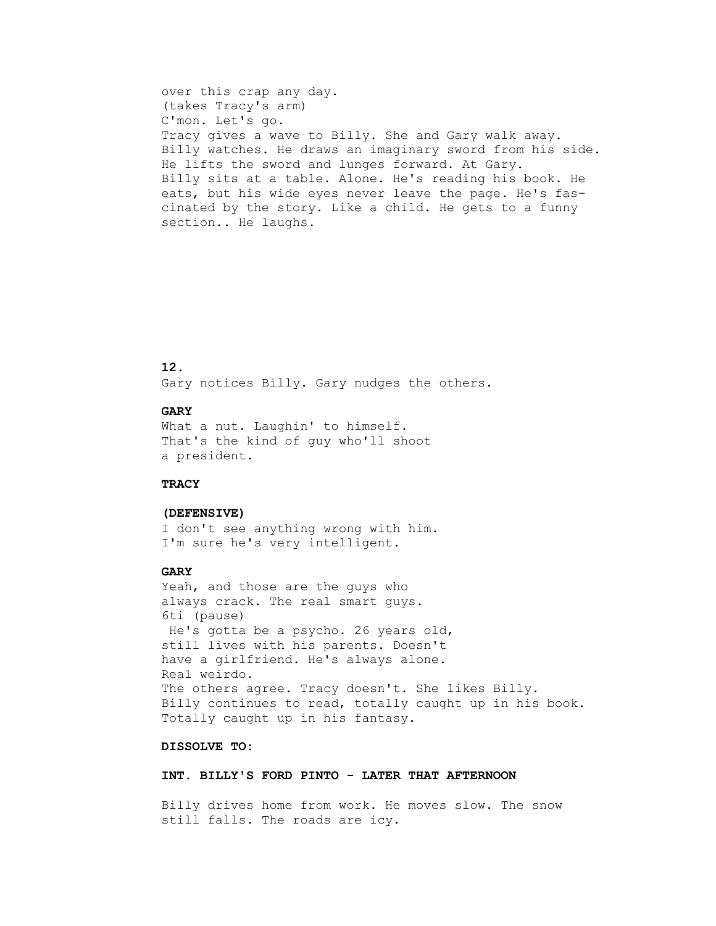over this crap any day. (takes Tracy's arm) C'mon. Let's go. Tracy gives a wave to Billy. She and Gary walk away. Billy watches. He draws an imaginary sword from his side. He lifts the sword and lunges forward. At Gary. Billy sits at a table. Alone. He's reading his book. He eats, but his wide eyes never leave the page. He's fas cinated by the story. Like a child. He gets to a funny section.. He laughs.

### **12.**

Gary notices Billy. Gary nudges the others.

## **GARY**

 What a nut. Laughin' to himself. That's the kind of guy who'll shoot a president.

#### **TRACY**

### **(DEFENSIVE)**

 I don't see anything wrong with him. I'm sure he's very intelligent.

### **GARY**

 Yeah, and those are the guys who always crack. The real smart guys. 6ti (pause) He's gotta be a psycho. 26 years old, still lives with his parents. Doesn't have a girlfriend. He's always alone. Real weirdo. The others agree. Tracy doesn't. She likes Billy. Billy continues to read, totally caught up in his book. Totally caught up in his fantasy.

### **DISSOLVE TO:**

#### **INT. BILLY'S FORD PINTO - LATER THAT AFTERNOON**

 Billy drives home from work. He moves slow. The snow still falls. The roads are icy.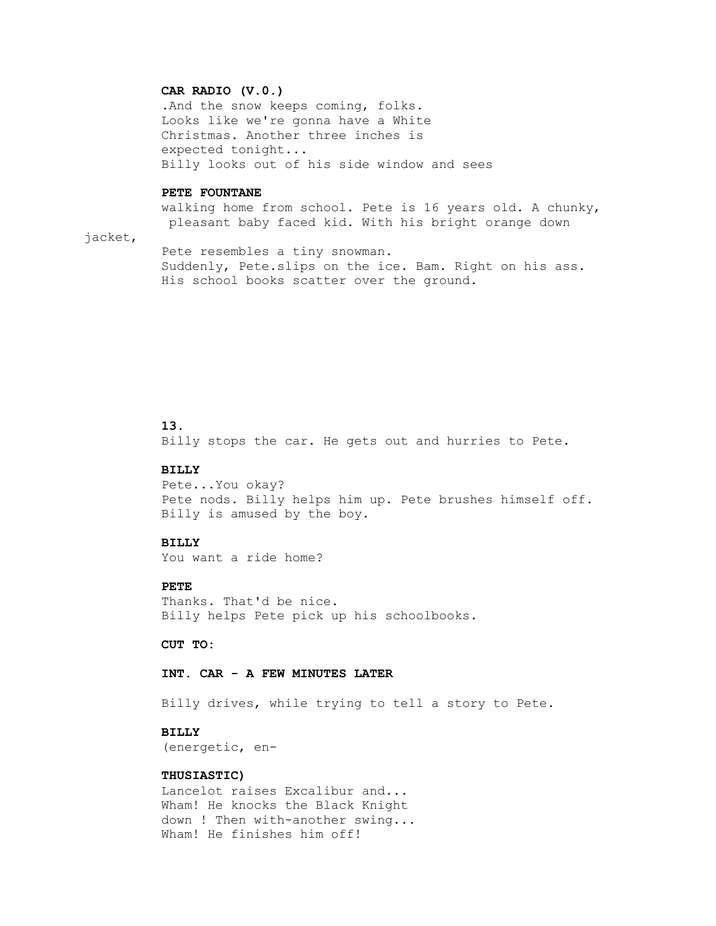### **CAR RADIO (V.0.)**

 .And the snow keeps coming, folks. Looks like we're gonna have a White Christmas. Another three inches is expected tonight... Billy looks out of his side window and sees

#### **PETE FOUNTANE**

 walking home from school. Pete is 16 years old. A chunky, pleasant baby faced kid. With his bright orange down

jacket,

 Pete resembles a tiny snowman. Suddenly, Pete.slips on the ice. Bam. Right on his ass. His school books scatter over the ground.

## **13.**

Billy stops the car. He gets out and hurries to Pete.

## **BILLY**

 Pete...You okay? Pete nods. Billy helps him up. Pete brushes himself off. Billy is amused by the boy.

#### **BILLY**

You want a ride home?

## **PETE**

 Thanks. That'd be nice. Billy helps Pete pick up his schoolbooks.

 **CUT TO:**

#### **INT. CAR - A FEW MINUTES LATER**

Billy drives, while trying to tell a story to Pete.

### **BILLY**

(energetic, en-

### **THUSIASTIC)**

 Lancelot raises Excalibur and... Wham! He knocks the Black Knight down ! Then with-another swing... Wham! He finishes him off!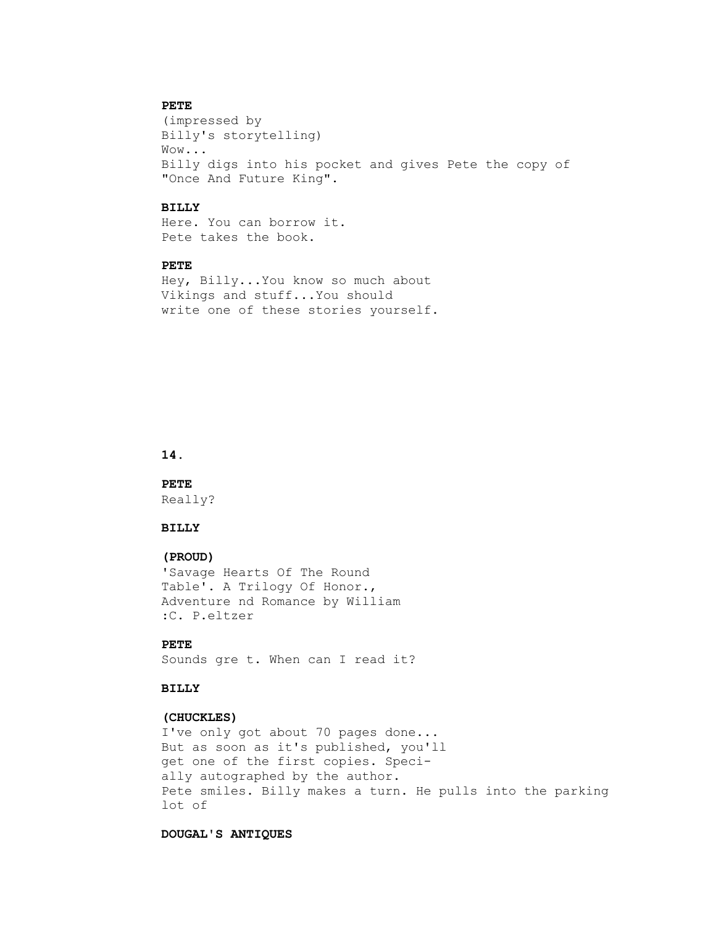## **PETE**

 (impressed by Billy's storytelling) Wow... Billy digs into his pocket and gives Pete the copy of "Once And Future King".

### **BILLY**

 Here. You can borrow it. Pete takes the book.

#### **PETE**

 Hey, Billy...You know so much about Vikings and stuff...You should write one of these stories yourself.

### **14.**

 **PETE** Really?

#### **BILLY**

#### **(PROUD)**

 'Savage Hearts Of The Round Table'. A Trilogy Of Honor., Adventure nd Romance by William :C. P.eltzer

# **PETE**

Sounds gre t. When can I read it?

## **BILLY**

#### **(CHUCKLES)**

 I've only got about 70 pages done... But as soon as it's published, you'll get one of the first copies. Speci ally autographed by the author. Pete smiles. Billy makes a turn. He pulls into the parking lot of

#### **DOUGAL'S ANTIQUES**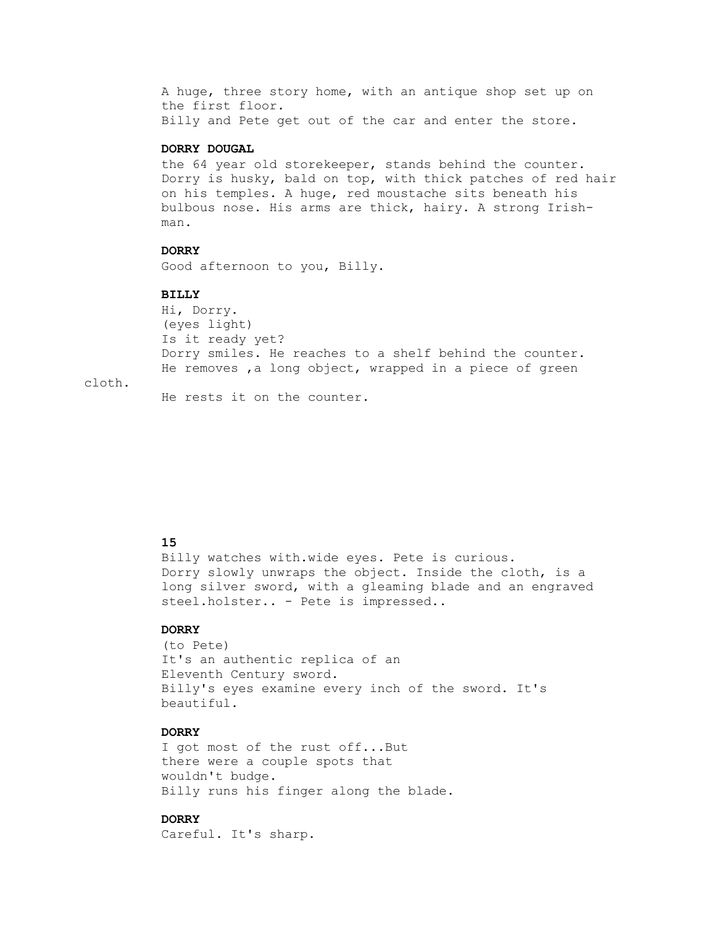A huge, three story home, with an antique shop set up on the first floor. Billy and Pete get out of the car and enter the store.

### **DORRY DOUGAL**

 the 64 year old storekeeper, stands behind the counter. Dorry is husky, bald on top, with thick patches of red hair on his temples. A huge, red moustache sits beneath his bulbous nose. His arms are thick, hairy. A strong Irish man.

### **DORRY**

Good afternoon to you, Billy.

#### **BILLY**

 Hi, Dorry. (eyes light) Is it ready yet? Dorry smiles. He reaches to a shelf behind the counter. He removes ,a long object, wrapped in a piece of green

cloth.

He rests it on the counter.

### **15**

 Billy watches with.wide eyes. Pete is curious. Dorry slowly unwraps the object. Inside the cloth, is a long silver sword, with a gleaming blade and an engraved steel.holster.. - Pete is impressed..

### **DORRY**

 (to Pete) It's an authentic replica of an Eleventh Century sword. Billy's eyes examine every inch of the sword. It's beautiful.

## **DORRY**

 I got most of the rust off...But there were a couple spots that wouldn't budge. Billy runs his finger along the blade.

## **DORRY**

Careful. It's sharp.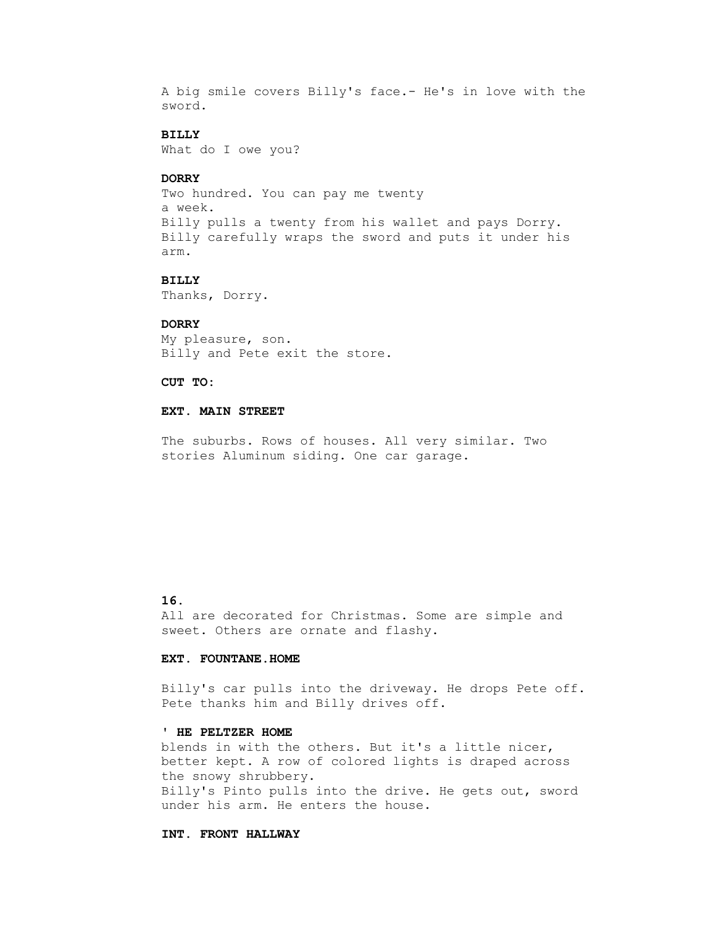A big smile covers Billy's face.- He's in love with the sword.

## **BILLY**

What do I owe you?

### **DORRY**

 Two hundred. You can pay me twenty a week. Billy pulls a twenty from his wallet and pays Dorry. Billy carefully wraps the sword and puts it under his arm.

#### **BILLY**

Thanks, Dorry.

#### **DORRY**

 My pleasure, son. Billy and Pete exit the store.

#### **CUT TO:**

### **EXT. MAIN STREET**

 The suburbs. Rows of houses. All very similar. Two stories Aluminum siding. One car garage.

## **16.**

 All are decorated for Christmas. Some are simple and sweet. Others are ornate and flashy.

### **EXT. FOUNTANE.HOME**

 Billy's car pulls into the driveway. He drops Pete off. Pete thanks him and Billy drives off.

### **' HE PELTZER HOME**

 blends in with the others. But it's a little nicer, better kept. A row of colored lights is draped across the snowy shrubbery. Billy's Pinto pulls into the drive. He gets out, sword under his arm. He enters the house.

#### **INT. FRONT HALLWAY**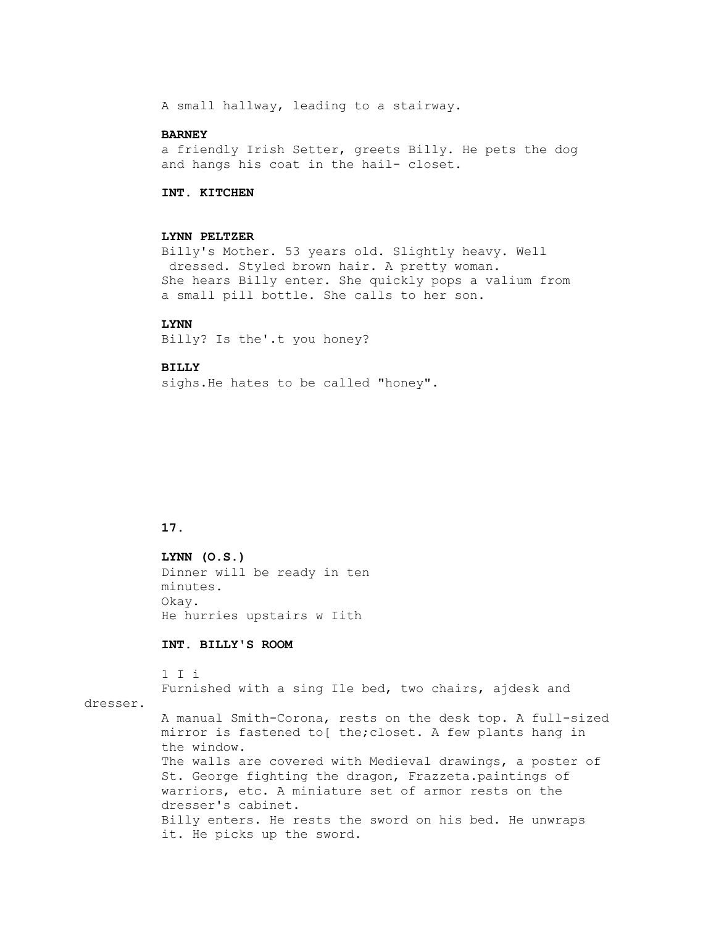A small hallway, leading to a stairway.

### **BARNEY**

 a friendly Irish Setter, greets Billy. He pets the dog and hangs his coat in the hail- closet.

## **INT. KITCHEN**

#### **LYNN PELTZER**

 Billy's Mother. 53 years old. Slightly heavy. Well dressed. Styled brown hair. A pretty woman. She hears Billy enter. She quickly pops a valium from a small pill bottle. She calls to her son.

#### **LYNN**

Billy? Is the'.t you honey?

#### **BILLY**

sighs.He hates to be called "honey".

### **17.**

 **LYNN (O.S.)** Dinner will be ready in ten minutes. Okay. He hurries upstairs w Iith

## **INT. BILLY'S ROOM**

 1 I i Furnished with a sing Ile bed, two chairs, ajdesk and dresser. A manual Smith-Corona, rests on the desk top. A full-sized mirror is fastened to[ the;closet. A few plants hang in the window. The walls are covered with Medieval drawings, a poster of St. George fighting the dragon, Frazzeta.paintings of warriors, etc. A miniature set of armor rests on the dresser's cabinet.

> Billy enters. He rests the sword on his bed. He unwraps it. He picks up the sword.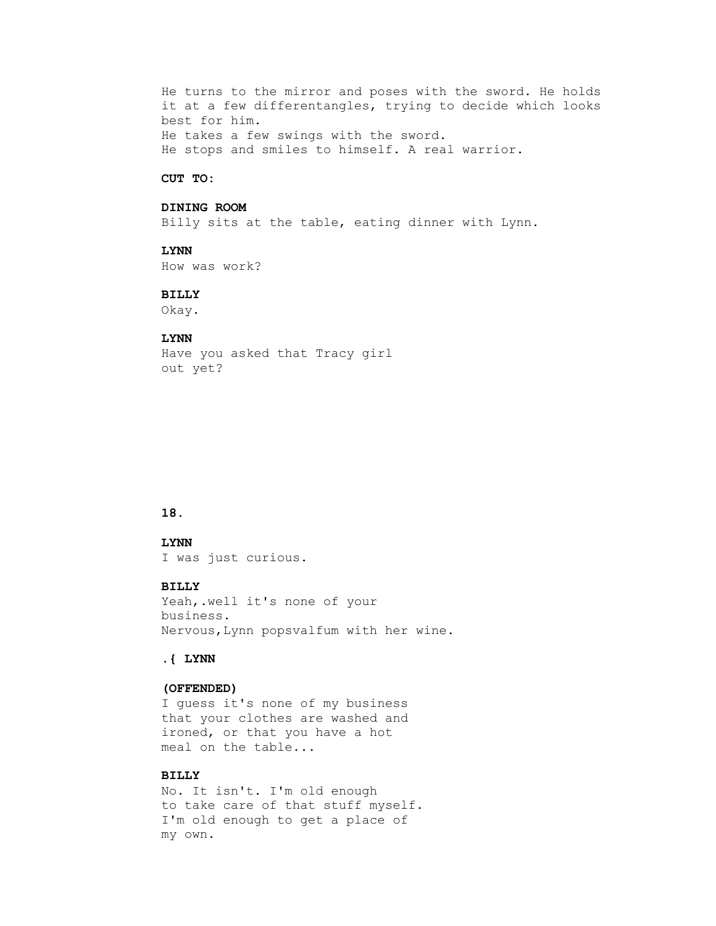He turns to the mirror and poses with the sword. He holds it at a few differentangles, trying to decide which looks best for him. He takes a few swings with the sword. He stops and smiles to himself. A real warrior.

#### **CUT TO:**

### **DINING ROOM**

Billy sits at the table, eating dinner with Lynn.

#### **LYNN**

How was work?

### **BILLY**

Okay.

#### **LYNN**

 Have you asked that Tracy girl out yet?

### **18.**

### **LYNN**

I was just curious.

## **BILLY**

 Yeah,.well it's none of your business. Nervous,Lynn popsvalfum with her wine.

#### **.{ LYNN**

### **(OFFENDED)**

 I guess it's none of my business that your clothes are washed and ironed, or that you have a hot meal on the table...

### **BILLY**

 No. It isn't. I'm old enough to take care of that stuff myself. I'm old enough to get a place of my own.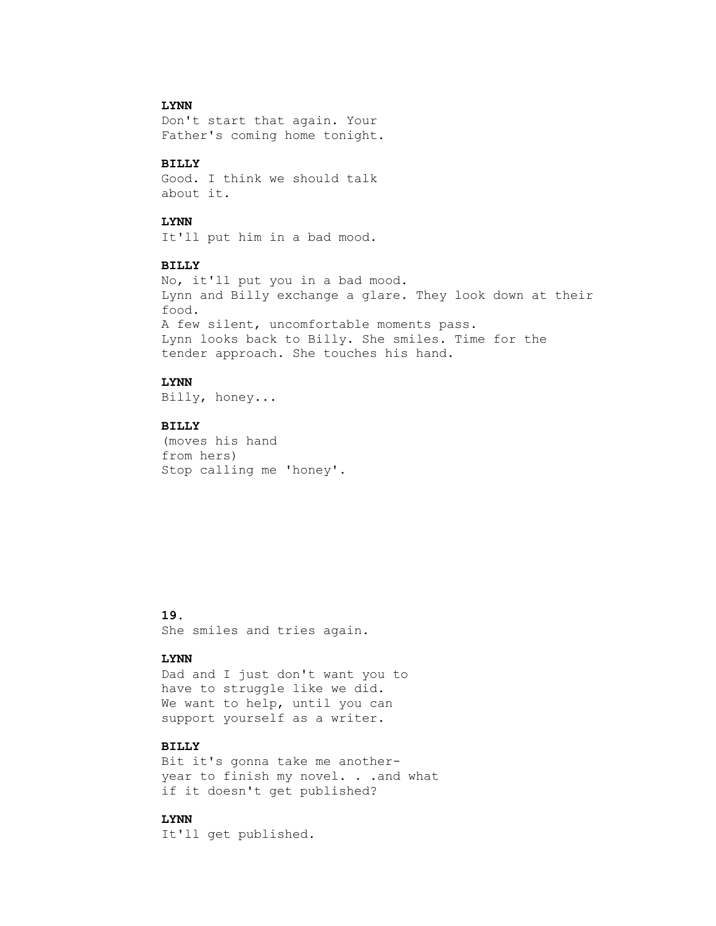## **LYNN**

 Don't start that again. Your Father's coming home tonight.

### **BILLY**

 Good. I think we should talk about it.

#### **LYNN**

It'll put him in a bad mood.

### **BILLY**

 No, it'll put you in a bad mood. Lynn and Billy exchange a glare. They look down at their food. A few silent, uncomfortable moments pass. Lynn looks back to Billy. She smiles. Time for the tender approach. She touches his hand.

## **LYNN**

Billy, honey...

### **BILLY**

 (moves his hand from hers) Stop calling me 'honey'.

### **19.**

She smiles and tries again.

## **LYNN**

 Dad and I just don't want you to have to struggle like we did. We want to help, until you can support yourself as a writer.

## **BILLY**

 Bit it's gonna take me another year to finish my novel. . .and what if it doesn't get published?

### **LYNN**

It'll get published.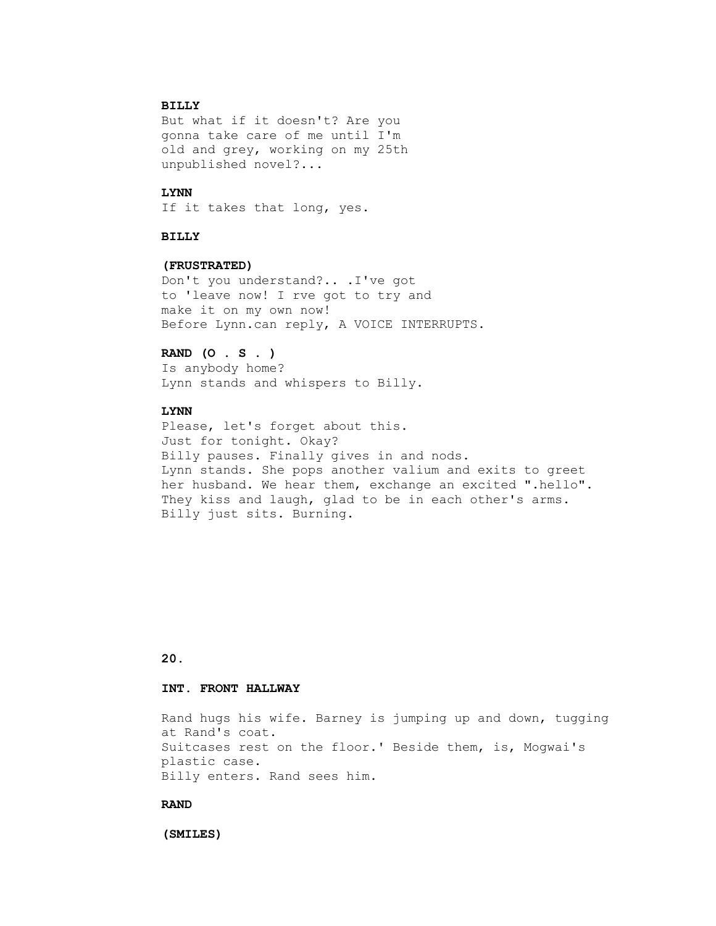## **BILLY**

 But what if it doesn't? Are you gonna take care of me until I'm old and grey, working on my 25th unpublished novel?...

## **LYNN**

If it takes that long, yes.

### **BILLY**

#### **(FRUSTRATED)**

 Don't you understand?.. .I've got to 'leave now! I rve got to try and make it on my own now! Before Lynn.can reply, A VOICE INTERRUPTS.

## **RAND (O . S . )**

 Is anybody home? Lynn stands and whispers to Billy.

## **LYNN**

 Please, let's forget about this. Just for tonight. Okay? Billy pauses. Finally gives in and nods. Lynn stands. She pops another valium and exits to greet her husband. We hear them, exchange an excited ".hello". They kiss and laugh, glad to be in each other's arms. Billy just sits. Burning.

## **20.**

### **INT. FRONT HALLWAY**

 Rand hugs his wife. Barney is jumping up and down, tugging at Rand's coat. Suitcases rest on the floor.' Beside them, is, Mogwai's plastic case. Billy enters. Rand sees him.

#### **RAND**

 **(SMILES)**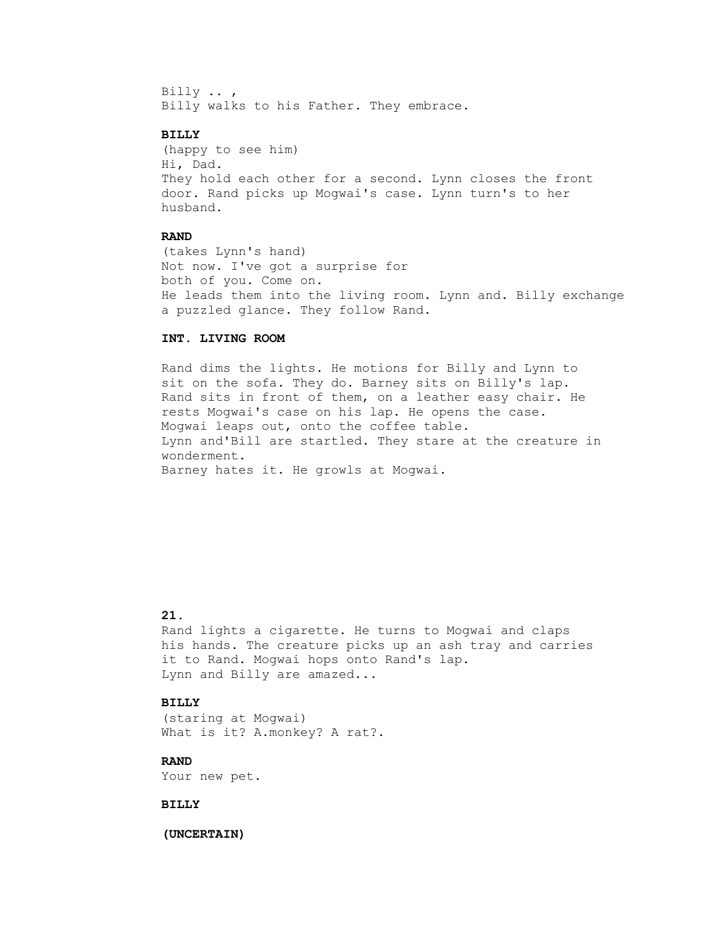Billy .. , Billy walks to his Father. They embrace.

## **BILLY**

 (happy to see him) Hi, Dad. They hold each other for a second. Lynn closes the front door. Rand picks up Mogwai's case. Lynn turn's to her husband.

### **RAND**

 (takes Lynn's hand) Not now. I've got a surprise for both of you. Come on. He leads them into the living room. Lynn and. Billy exchange a puzzled glance. They follow Rand.

### **INT. LIVING ROOM**

 Rand dims the lights. He motions for Billy and Lynn to sit on the sofa. They do. Barney sits on Billy's lap. Rand sits in front of them, on a leather easy chair. He rests Mogwai's case on his lap. He opens the case. Mogwai leaps out, onto the coffee table. Lynn and'Bill are startled. They stare at the creature in wonderment. Barney hates it. He growls at Mogwai.

## **21.**

 Rand lights a cigarette. He turns to Mogwai and claps his hands. The creature picks up an ash tray and carries it to Rand. Mogwai hops onto Rand's lap. Lynn and Billy are amazed...

### **BILLY**

 (staring at Mogwai) What is it? A.monkey? A rat?.

### **RAND**

Your new pet.

### **BILLY**

 **(UNCERTAIN)**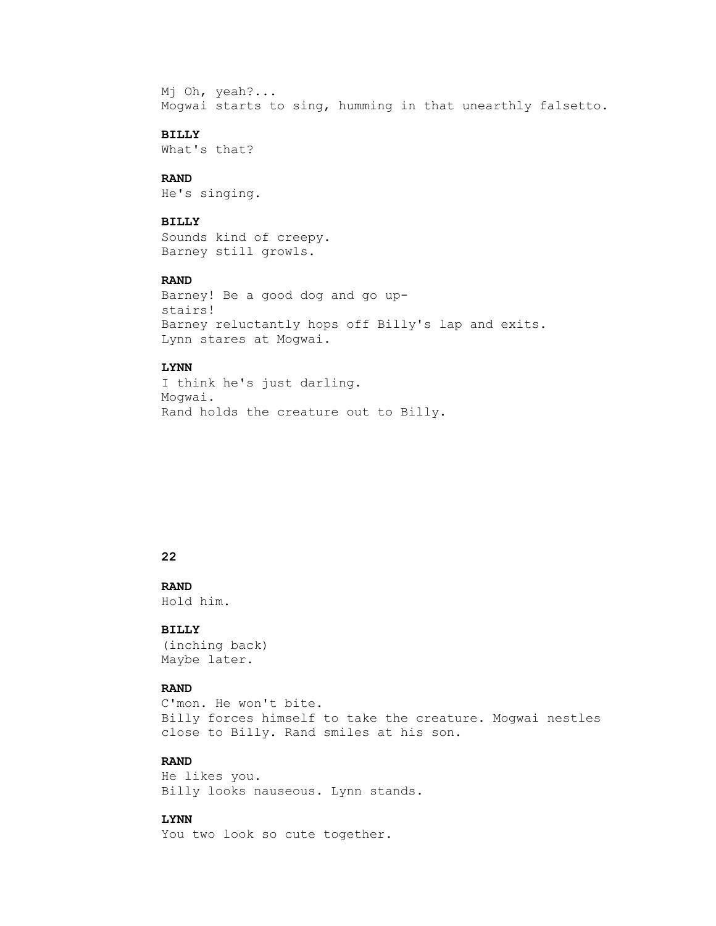Mj Oh, yeah?... Mogwai starts to sing, humming in that unearthly falsetto.

## **BILLY**

What's that?

## **RAND**

He's singing.

### **BILLY**

 Sounds kind of creepy. Barney still growls.

## **RAND**

```
 Barney! Be a good dog and go up-
stairs!
Barney reluctantly hops off Billy's lap and exits.
Lynn stares at Mogwai.
```
## **LYNN**

 I think he's just darling. Mogwai. Rand holds the creature out to Billy.

#### **22**

### **RAND** Hold him.

#### **BILLY**

 (inching back) Maybe later.

### **RAND**

 C'mon. He won't bite. Billy forces himself to take the creature. Mogwai nestles close to Billy. Rand smiles at his son.

## **RAND**

 He likes you. Billy looks nauseous. Lynn stands.

## **LYNN**

You two look so cute together.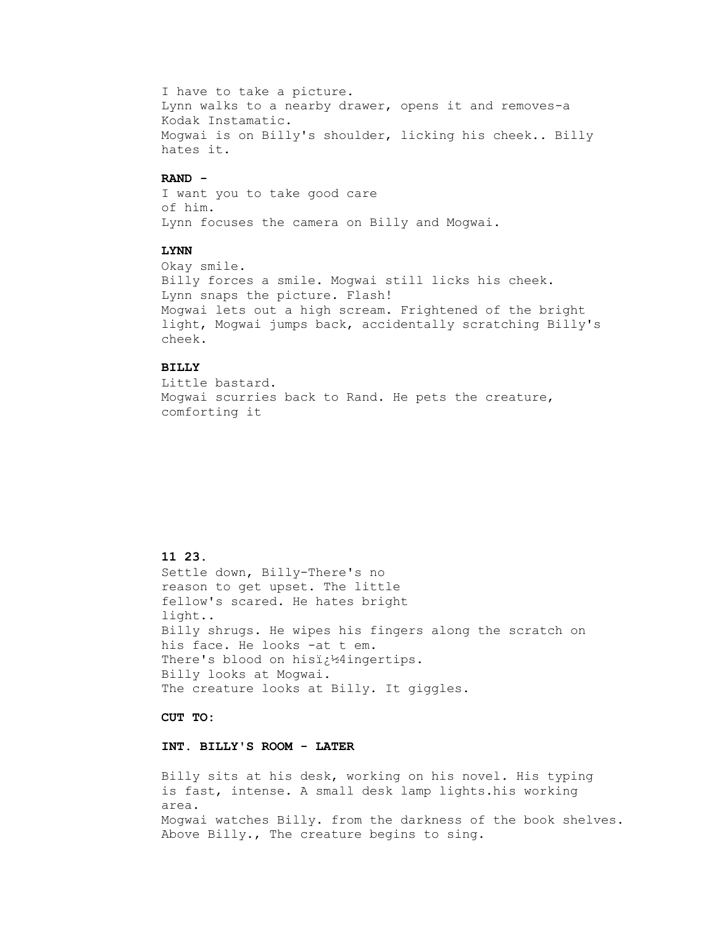I have to take a picture. Lynn walks to a nearby drawer, opens it and removes-a Kodak Instamatic. Mogwai is on Billy's shoulder, licking his cheek.. Billy hates it.

#### **RAND -**

 I want you to take good care of him. Lynn focuses the camera on Billy and Mogwai.

## **LYNN**

 Okay smile. Billy forces a smile. Mogwai still licks his cheek. Lynn snaps the picture. Flash! Mogwai lets out a high scream. Frightened of the bright light, Mogwai jumps back, accidentally scratching Billy's cheek.

## **BILLY**

 Little bastard. Mogwai scurries back to Rand. He pets the creature, comforting it

### **11 23.**

 Settle down, Billy-There's no reason to get upset. The little fellow's scared. He hates bright light.. Billy shrugs. He wipes his fingers along the scratch on his face. He looks -at t em. There's blood on hisi<sub>c</sub><sup>1</sup>4ingertips. Billy looks at Mogwai. The creature looks at Billy. It giggles.

 **CUT TO:**

### **INT. BILLY'S ROOM - LATER**

 Billy sits at his desk, working on his novel. His typing is fast, intense. A small desk lamp lights.his working area. Mogwai watches Billy. from the darkness of the book shelves. Above Billy., The creature begins to sing.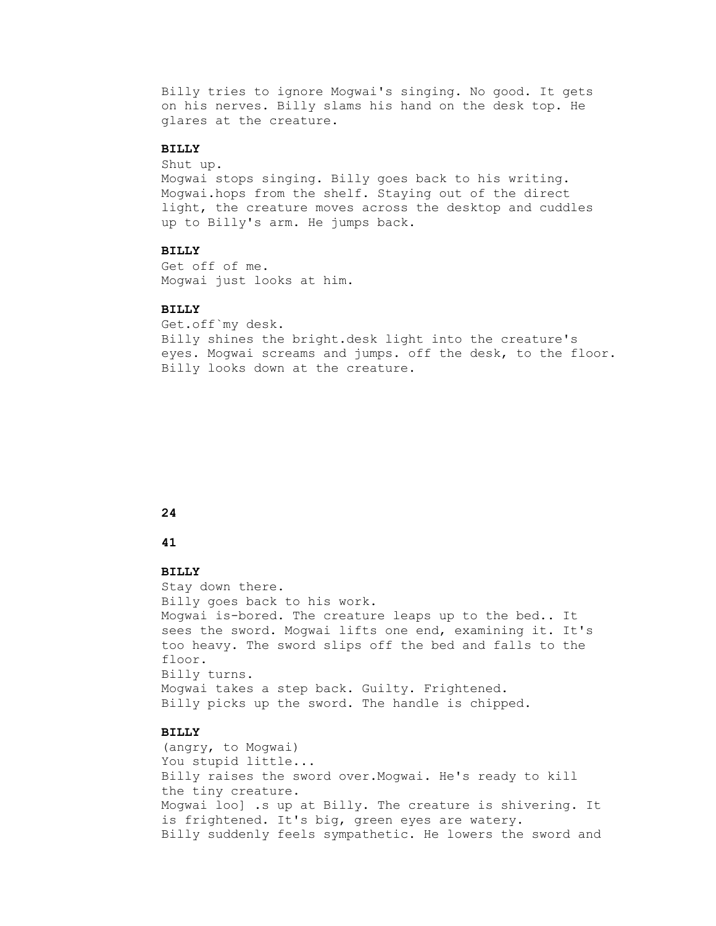Billy tries to ignore Mogwai's singing. No good. It gets on his nerves. Billy slams his hand on the desk top. He glares at the creature.

## **BILLY**

Shut up.

 Mogwai stops singing. Billy goes back to his writing. Mogwai.hops from the shelf. Staying out of the direct light, the creature moves across the desktop and cuddles up to Billy's arm. He jumps back.

## **BILLY**

 Get off of me. Mogwai just looks at him.

### **BILLY**

 Get.off`my desk. Billy shines the bright.desk light into the creature's eyes. Mogwai screams and jumps. off the desk, to the floor. Billy looks down at the creature.

## **24**

### **41**

### **BILLY**

 Stay down there. Billy goes back to his work. Mogwai is-bored. The creature leaps up to the bed.. It sees the sword. Mogwai lifts one end, examining it. It's too heavy. The sword slips off the bed and falls to the floor. Billy turns. Mogwai takes a step back. Guilty. Frightened. Billy picks up the sword. The handle is chipped.

## **BILLY**

 (angry, to Mogwai) You stupid little... Billy raises the sword over.Mogwai. He's ready to kill the tiny creature. Mogwai loo] .s up at Billy. The creature is shivering. It is frightened. It's big, green eyes are watery. Billy suddenly feels sympathetic. He lowers the sword and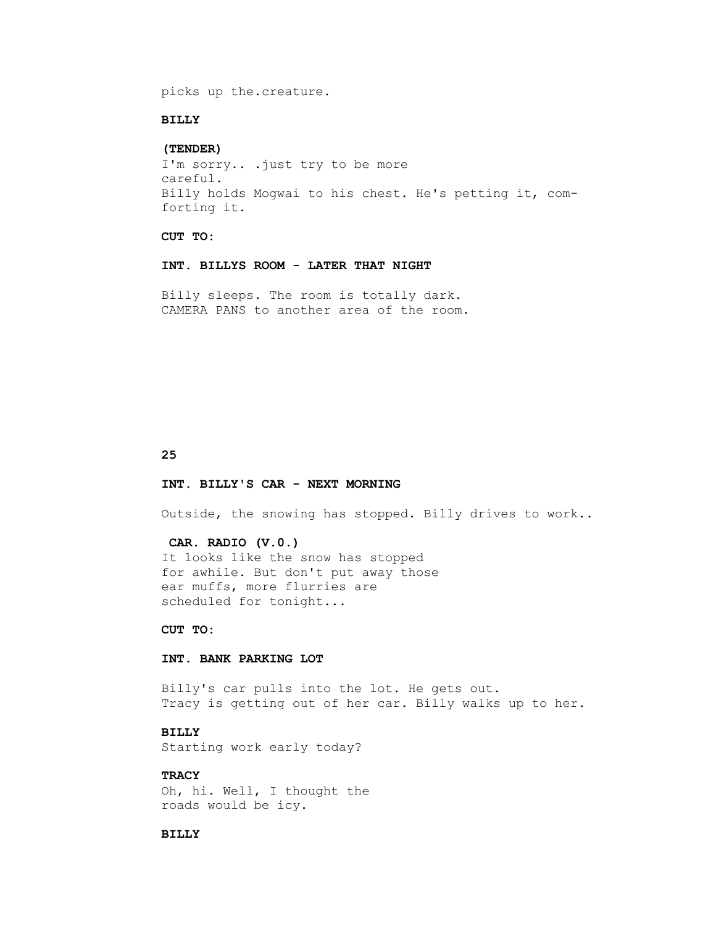picks up the.creature.

#### **BILLY**

### **(TENDER)**

 I'm sorry.. .just try to be more careful. Billy holds Mogwai to his chest. He's petting it, com forting it.

 **CUT TO:**

#### **INT. BILLYS ROOM - LATER THAT NIGHT**

 Billy sleeps. The room is totally dark. CAMERA PANS to another area of the room.

### **25**

#### **INT. BILLY'S CAR - NEXT MORNING**

Outside, the snowing has stopped. Billy drives to work..

#### **CAR. RADIO (V.0.)**

 It looks like the snow has stopped for awhile. But don't put away those ear muffs, more flurries are scheduled for tonight...

 **CUT TO:**

### **INT. BANK PARKING LOT**

 Billy's car pulls into the lot. He gets out. Tracy is getting out of her car. Billy walks up to her.

### **BILLY**

Starting work early today?

## **TRACY**

 Oh, hi. Well, I thought the roads would be icy.

#### **BILLY**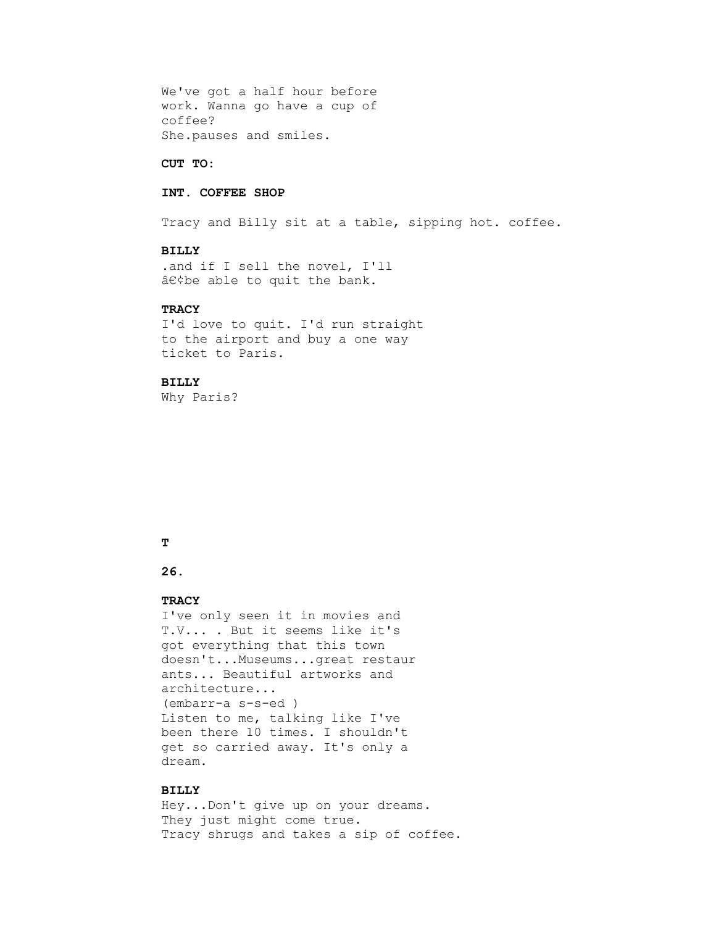We've got a half hour before work. Wanna go have a cup of coffee? She.pauses and smiles.

#### **CUT TO:**

## **INT. COFFEE SHOP**

Tracy and Billy sit at a table, sipping hot. coffee.

### **BILLY**

 .and if I sell the novel, I'll  $\hat{a}\in\hat{c}$  be able to quit the bank.

## **TRACY**

 I'd love to quit. I'd run straight to the airport and buy a one way ticket to Paris.

### **BILLY**

Why Paris?

### **T**

# **26.**

### **TRACY**

 I've only seen it in movies and T.V... . But it seems like it's got everything that this town doesn't...Museums...great restaur ants... Beautiful artworks and architecture... (embarr-a s-s-ed ) Listen to me, talking like I've been there 10 times. I shouldn't get so carried away. It's only a dream.

### **BILLY**

 Hey...Don't give up on your dreams. They just might come true. Tracy shrugs and takes a sip of coffee.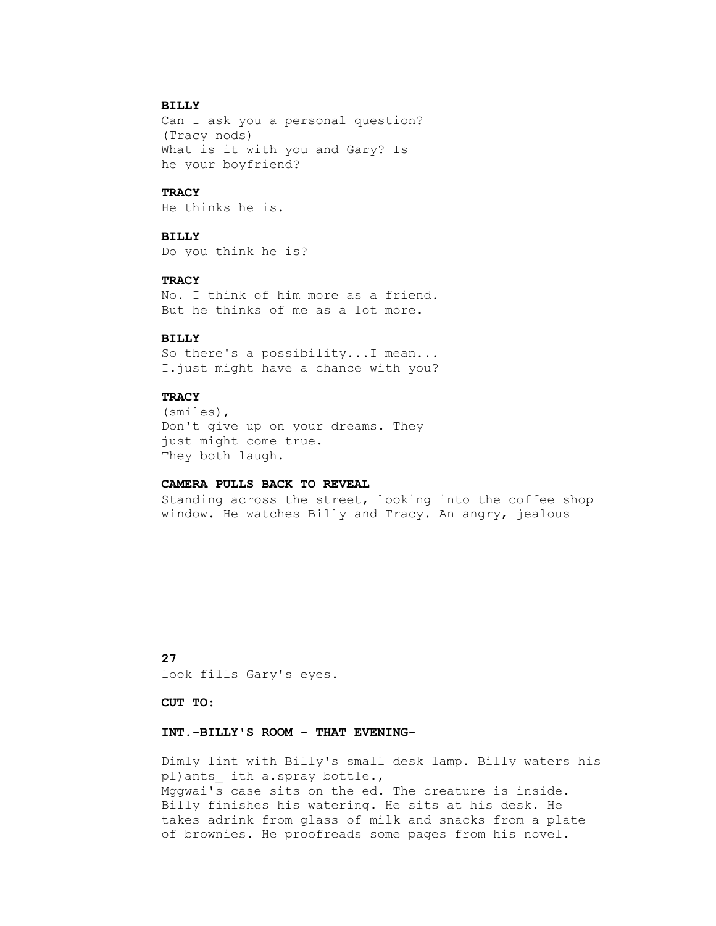## **BILLY**

 Can I ask you a personal question? (Tracy nods) What is it with you and Gary? Is he your boyfriend?

## **TRACY**

He thinks he is.

# **BILLY**

Do you think he is?

### **TRACY**

 No. I think of him more as a friend. But he thinks of me as a lot more.

## **BILLY**

 So there's a possibility...I mean... I.just might have a chance with you?

## **TRACY**

 (smiles), Don't give up on your dreams. They just might come true. They both laugh.

### **CAMERA PULLS BACK TO REVEAL**

 Standing across the street, looking into the coffee shop window. He watches Billy and Tracy. An angry, jealous

 **27** look fills Gary's eyes.

 **CUT TO:**

### **INT.-BILLY'S ROOM - THAT EVENING-**

 Dimly lint with Billy's small desk lamp. Billy waters his pl)ants\_ ith a.spray bottle., Mggwai's case sits on the ed. The creature is inside. Billy finishes his watering. He sits at his desk. He takes adrink from glass of milk and snacks from a plate of brownies. He proofreads some pages from his novel.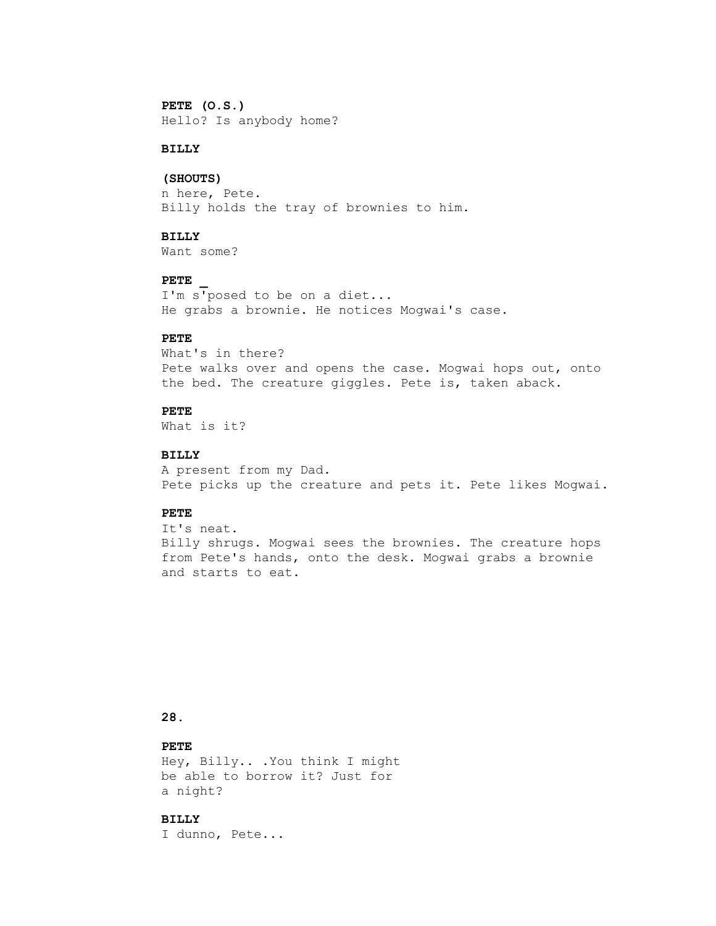### **PETE (O.S.)**

Hello? Is anybody home?

## **BILLY**

#### **(SHOUTS)**

 n here, Pete. Billy holds the tray of brownies to him.

## **BILLY**

Want some?

### **PETE \_**

 I'm s'posed to be on a diet... He grabs a brownie. He notices Mogwai's case.

## **PETE**

 What's in there? Pete walks over and opens the case. Mogwai hops out, onto the bed. The creature giggles. Pete is, taken aback.

## **PETE**

What is it?

### **BILLY**

 A present from my Dad. Pete picks up the creature and pets it. Pete likes Mogwai.

### **PETE**

 It's neat. Billy shrugs. Mogwai sees the brownies. The creature hops from Pete's hands, onto the desk. Mogwai grabs a brownie and starts to eat.

## **28.**

### **PETE**

 Hey, Billy.. .You think I might be able to borrow it? Just for a night?

## **BILLY**

I dunno, Pete...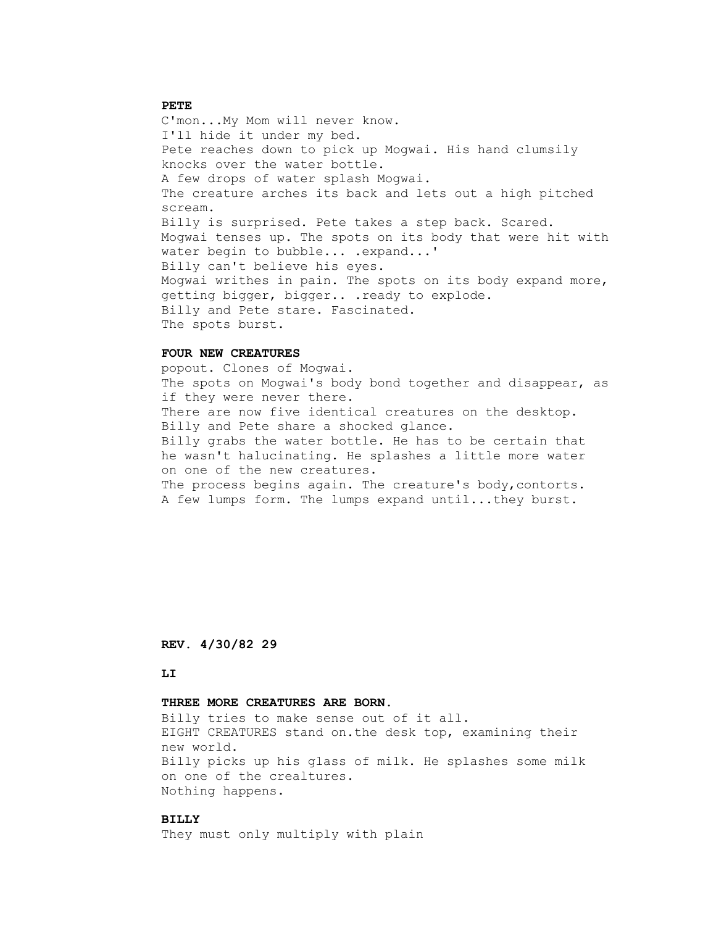### **PETE**

 C'mon...My Mom will never know. I'll hide it under my bed. Pete reaches down to pick up Mogwai. His hand clumsily knocks over the water bottle. A few drops of water splash Mogwai. The creature arches its back and lets out a high pitched scream. Billy is surprised. Pete takes a step back. Scared. Mogwai tenses up. The spots on its body that were hit with water begin to bubble... . expand...' Billy can't believe his eyes. Mogwai writhes in pain. The spots on its body expand more, getting bigger, bigger.. .ready to explode. Billy and Pete stare. Fascinated. The spots burst.

### **FOUR NEW CREATURES**

 popout. Clones of Mogwai. The spots on Mogwai's body bond together and disappear, as if they were never there. There are now five identical creatures on the desktop. Billy and Pete share a shocked glance. Billy grabs the water bottle. He has to be certain that he wasn't halucinating. He splashes a little more water on one of the new creatures. The process begins again. The creature's body, contorts. A few lumps form. The lumps expand until...they burst.

 **REV. 4/30/82 29**

#### **LI**

#### **THREE MORE CREATURES ARE BORN.**

 Billy tries to make sense out of it all. EIGHT CREATURES stand on.the desk top, examining their new world. Billy picks up his glass of milk. He splashes some milk on one of the crealtures. Nothing happens.

## **BILLY**

They must only multiply with plain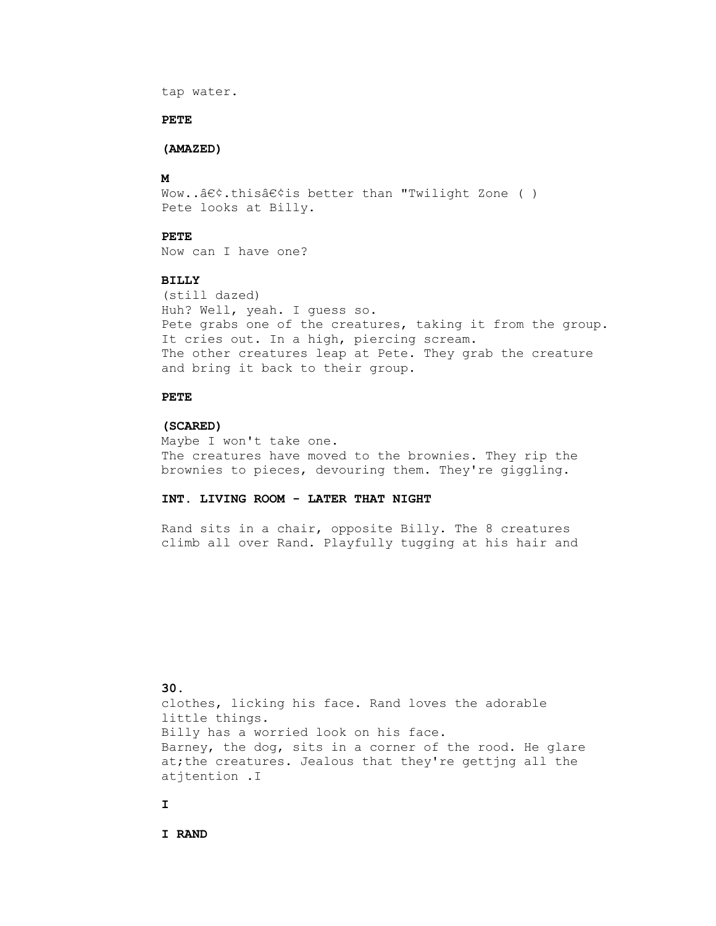```
 tap water.
```
#### **PETE**

### **(AMAZED)**

## **M**

```
Wow..\hat{a}\in\hat{c}.this\hat{a}\in\hat{c}is better than "Twilight Zone ( )
Pete looks at Billy.
```
## **PETE**

Now can I have one?

## **BILLY**

 (still dazed) Huh? Well, yeah. I guess so. Pete grabs one of the creatures, taking it from the group. It cries out. In a high, piercing scream. The other creatures leap at Pete. They grab the creature and bring it back to their group.

## **PETE**

#### **(SCARED)**

 Maybe I won't take one. The creatures have moved to the brownies. They rip the brownies to pieces, devouring them. They're giggling.

## **INT. LIVING ROOM - LATER THAT NIGHT**

 Rand sits in a chair, opposite Billy. The 8 creatures climb all over Rand. Playfully tugging at his hair and

 **30.** clothes, licking his face. Rand loves the adorable little things. Billy has a worried look on his face. Barney, the dog, sits in a corner of the rood. He glare at;the creatures. Jealous that they're gettjng all the atjtention .I

### **I**

 **I RAND**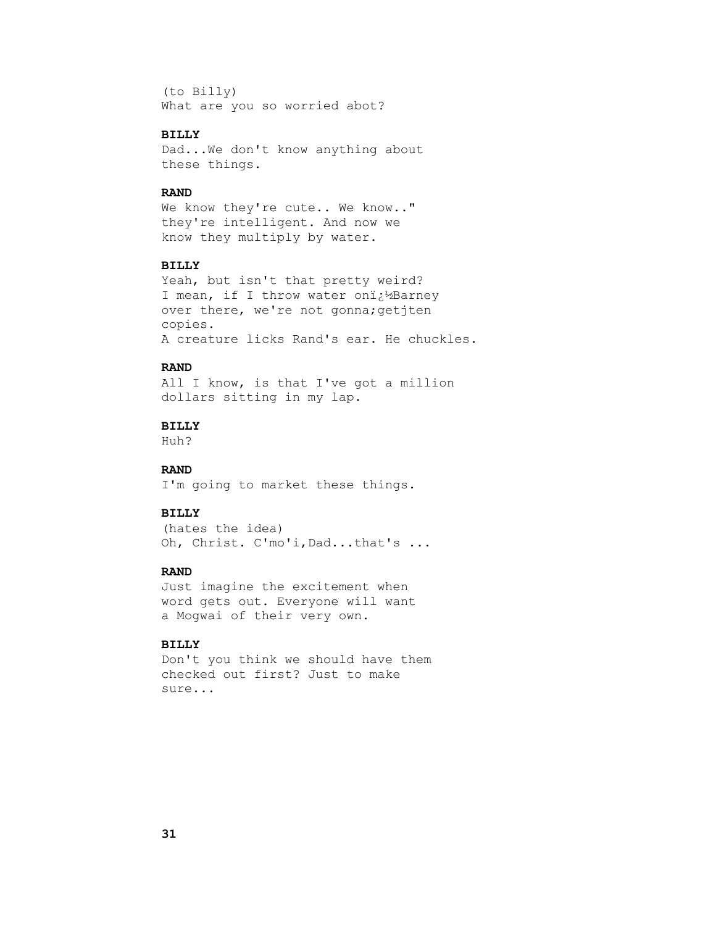(to Billy) What are you so worried abot?

# **BILLY**

 Dad...We don't know anything about these things.

#### **RAND**

We know they're cute.. We know.." they're intelligent. And now we know they multiply by water.

### **BILLY**

 Yeah, but isn't that pretty weird? I mean, if I throw water oni¿12Barney over there, we're not gonna; getjten copies. A creature licks Rand's ear. He chuckles.

## **RAND**

 All I know, is that I've got a million dollars sitting in my lap.

## **BILLY**

Huh?

## **RAND**

I'm going to market these things.

### **BILLY**

 (hates the idea) Oh, Christ. C'mo'i,Dad...that's ...

### **RAND**

 Just imagine the excitement when word gets out. Everyone will want a Mogwai of their very own.

## **BILLY**

 Don't you think we should have them checked out first? Just to make sure...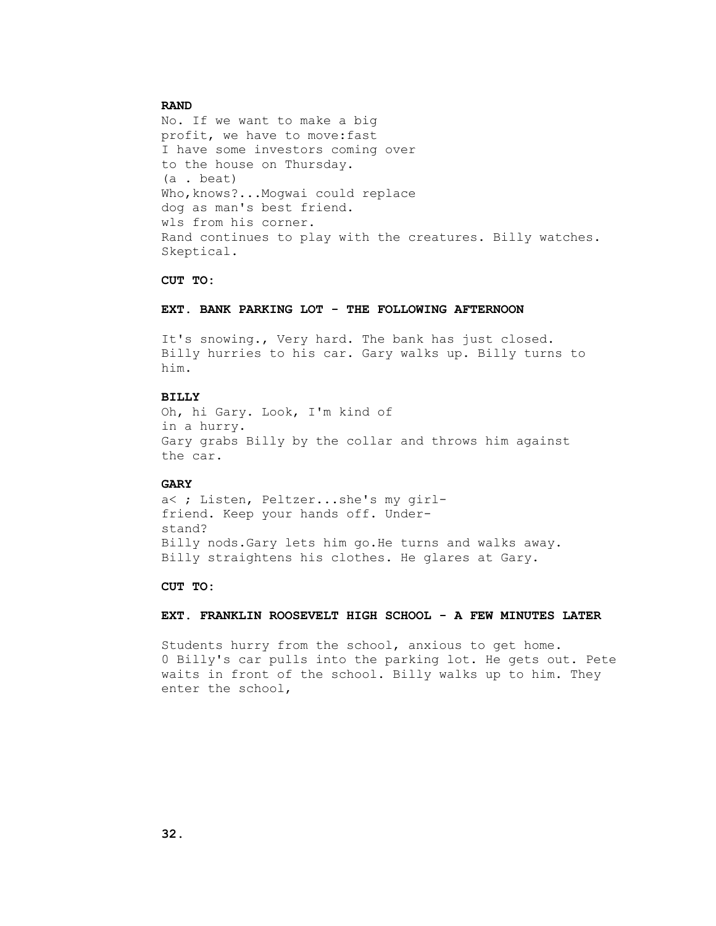#### **RAND**

 No. If we want to make a big profit, we have to move:fast I have some investors coming over to the house on Thursday. (a . beat) Who, knows?...Mogwai could replace dog as man's best friend. wls from his corner. Rand continues to play with the creatures. Billy watches. Skeptical.

#### **CUT TO:**

### **EXT. BANK PARKING LOT - THE FOLLOWING AFTERNOON**

 It's snowing., Very hard. The bank has just closed. Billy hurries to his car. Gary walks up. Billy turns to him.

#### **BILLY**

 Oh, hi Gary. Look, I'm kind of in a hurry. Gary grabs Billy by the collar and throws him against the car.

#### **GARY**

 a< ; Listen, Peltzer...she's my girl friend. Keep your hands off. Under stand? Billy nods.Gary lets him go.He turns and walks away. Billy straightens his clothes. He glares at Gary.

#### **CUT TO:**

#### **EXT. FRANKLIN ROOSEVELT HIGH SCHOOL - A FEW MINUTES LATER**

 Students hurry from the school, anxious to get home. 0 Billy's car pulls into the parking lot. He gets out. Pete waits in front of the school. Billy walks up to him. They enter the school,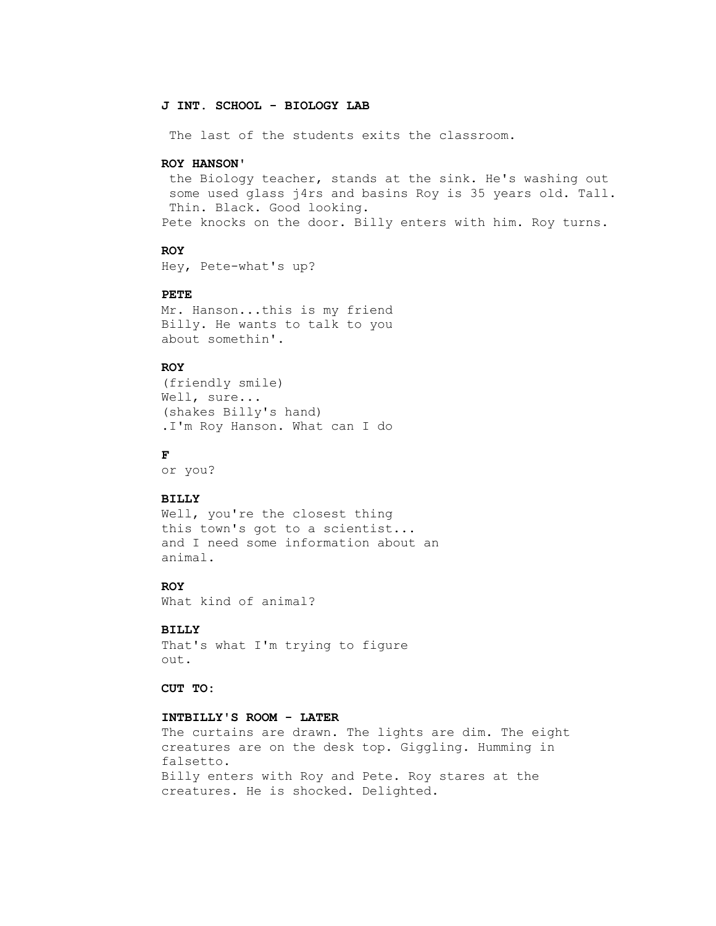### **J INT. SCHOOL - BIOLOGY LAB**

The last of the students exits the classroom.

#### **ROY HANSON'**

 the Biology teacher, stands at the sink. He's washing out some used glass j4rs and basins Roy is 35 years old. Tall. Thin. Black. Good looking. Pete knocks on the door. Billy enters with him. Roy turns.

#### **ROY**

Hey, Pete-what's up?

## **PETE**

 Mr. Hanson...this is my friend Billy. He wants to talk to you about somethin'.

## **ROY**

```
 (friendly smile)
Well, sure...
(shakes Billy's hand)
.I'm Roy Hanson. What can I do
```
# **F**

or you?

### **BILLY**

Well, you're the closest thing this town's got to a scientist... and I need some information about an animal.

## **ROY**

What kind of animal?

### **BILLY**

 That's what I'm trying to figure out.

 **CUT TO:**

### **INTBILLY'S ROOM - LATER**

 The curtains are drawn. The lights are dim. The eight creatures are on the desk top. Giggling. Humming in falsetto. Billy enters with Roy and Pete. Roy stares at the creatures. He is shocked. Delighted.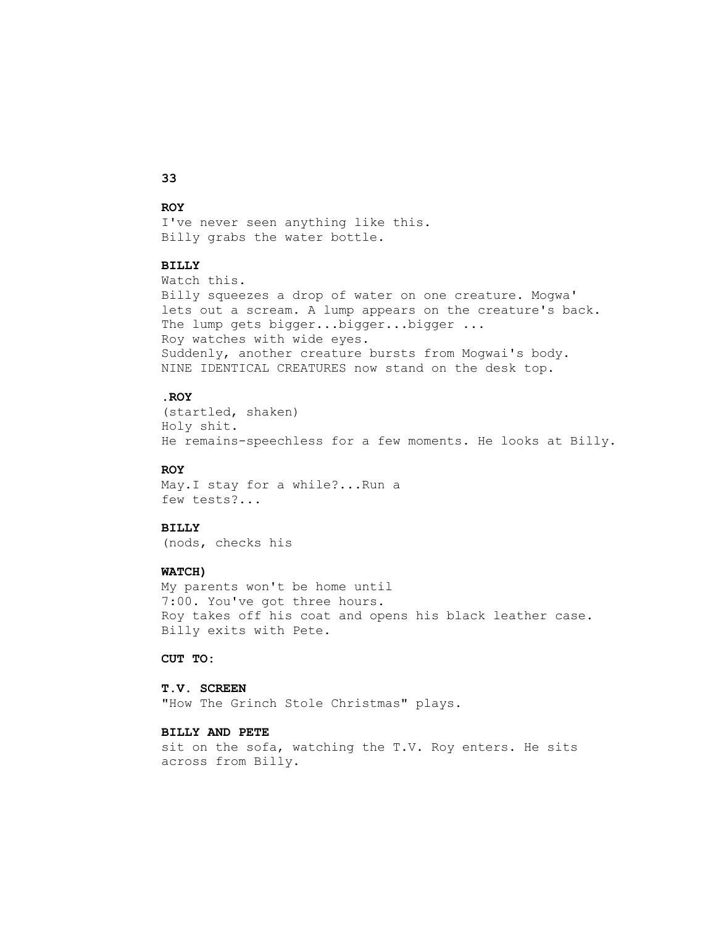# **33**

### **ROY**

 I've never seen anything like this. Billy grabs the water bottle.

### **BILLY**

 Watch this. Billy squeezes a drop of water on one creature. Mogwa' lets out a scream. A lump appears on the creature's back. The lump gets bigger...bigger...bigger ... Roy watches with wide eyes. Suddenly, another creature bursts from Mogwai's body. NINE IDENTICAL CREATURES now stand on the desk top.

### **.ROY**

 (startled, shaken) Holy shit. He remains-speechless for a few moments. He looks at Billy.

## **ROY**

 May.I stay for a while?...Run a few tests?...

## **BILLY**

(nods, checks his

### **WATCH)**

 My parents won't be home until 7:00. You've got three hours. Roy takes off his coat and opens his black leather case. Billy exits with Pete.

 **CUT TO:**

#### **T.V. SCREEN**

"How The Grinch Stole Christmas" plays.

## **BILLY AND PETE**

 sit on the sofa, watching the T.V. Roy enters. He sits across from Billy.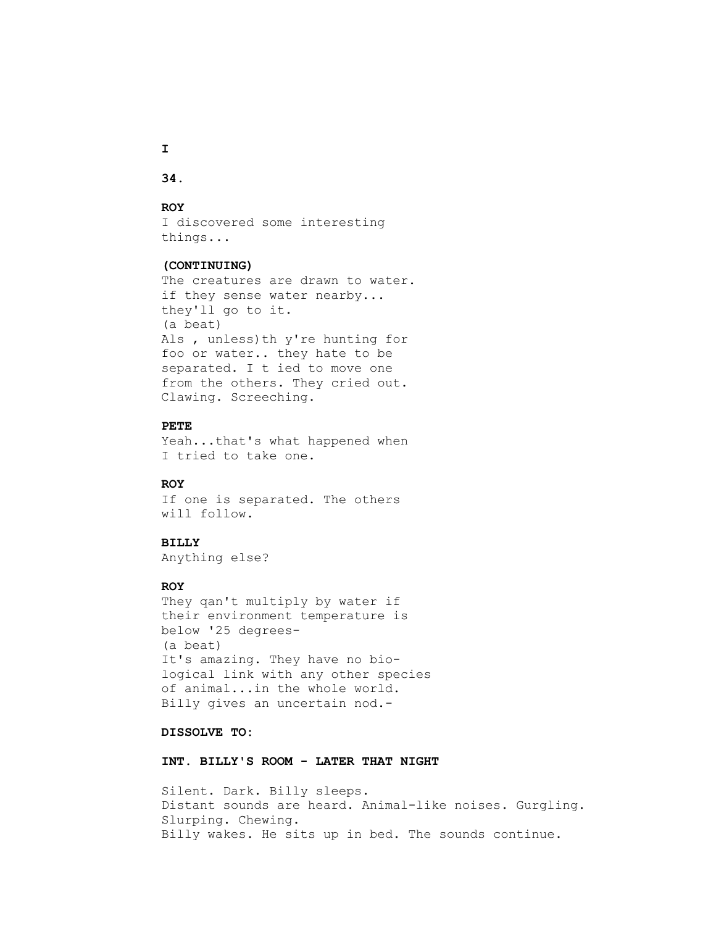**34.**

### **ROY**

 I discovered some interesting things...

#### **(CONTINUING)**

 The creatures are drawn to water. if they sense water nearby... they'll go to it. (a beat) Als , unless)th y're hunting for foo or water.. they hate to be separated. I t ied to move one from the others. They cried out. Clawing. Screeching.

#### **PETE**

 Yeah...that's what happened when I tried to take one.

#### **ROY**

 If one is separated. The others will follow.

#### **BILLY**

Anything else?

### **ROY**

 They qan't multiply by water if their environment temperature is below '25 degrees- (a beat) It's amazing. They have no bio logical link with any other species of animal...in the whole world. Billy gives an uncertain nod.-

## **DISSOLVE TO:**

 **INT. BILLY'S ROOM - LATER THAT NIGHT**

 Silent. Dark. Billy sleeps. Distant sounds are heard. Animal-like noises. Gurgling. Slurping. Chewing. Billy wakes. He sits up in bed. The sounds continue.

 **I**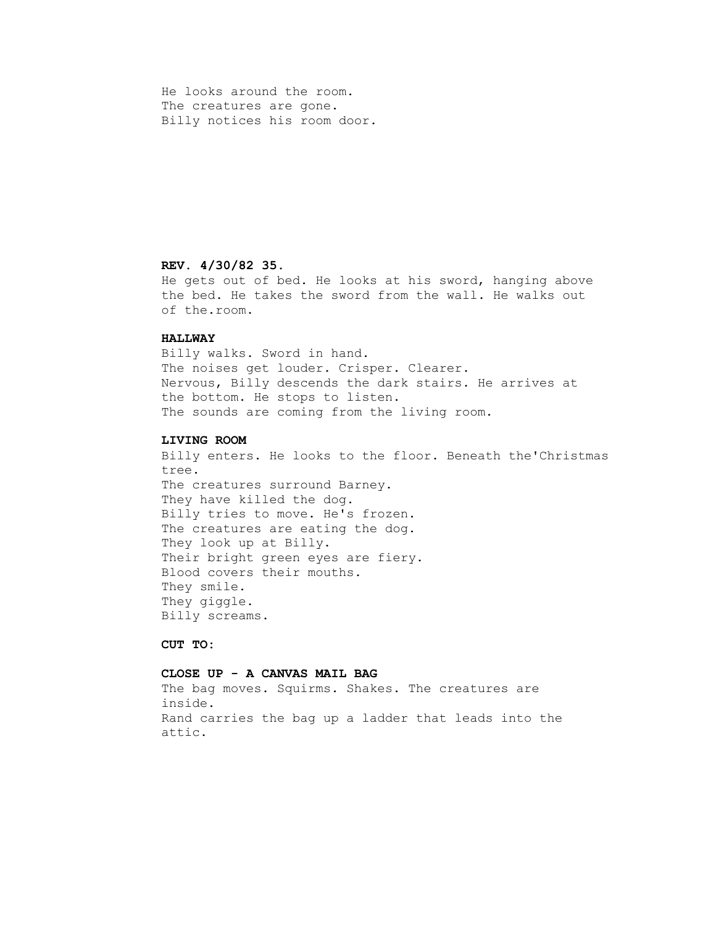He looks around the room. The creatures are gone. Billy notices his room door.

### **REV. 4/30/82 35.**

 He gets out of bed. He looks at his sword, hanging above the bed. He takes the sword from the wall. He walks out of the.room.

### **HALLWAY**

 Billy walks. Sword in hand. The noises get louder. Crisper. Clearer. Nervous, Billy descends the dark stairs. He arrives at the bottom. He stops to listen. The sounds are coming from the living room.

#### **LIVING ROOM**

 Billy enters. He looks to the floor. Beneath the'Christmas tree. The creatures surround Barney. They have killed the dog. Billy tries to move. He's frozen. The creatures are eating the dog. They look up at Billy. Their bright green eyes are fiery. Blood covers their mouths. They smile. They giggle. Billy screams.

### **CUT TO:**

### **CLOSE UP - A CANVAS MAIL BAG**

 The bag moves. Squirms. Shakes. The creatures are inside. Rand carries the bag up a ladder that leads into the attic.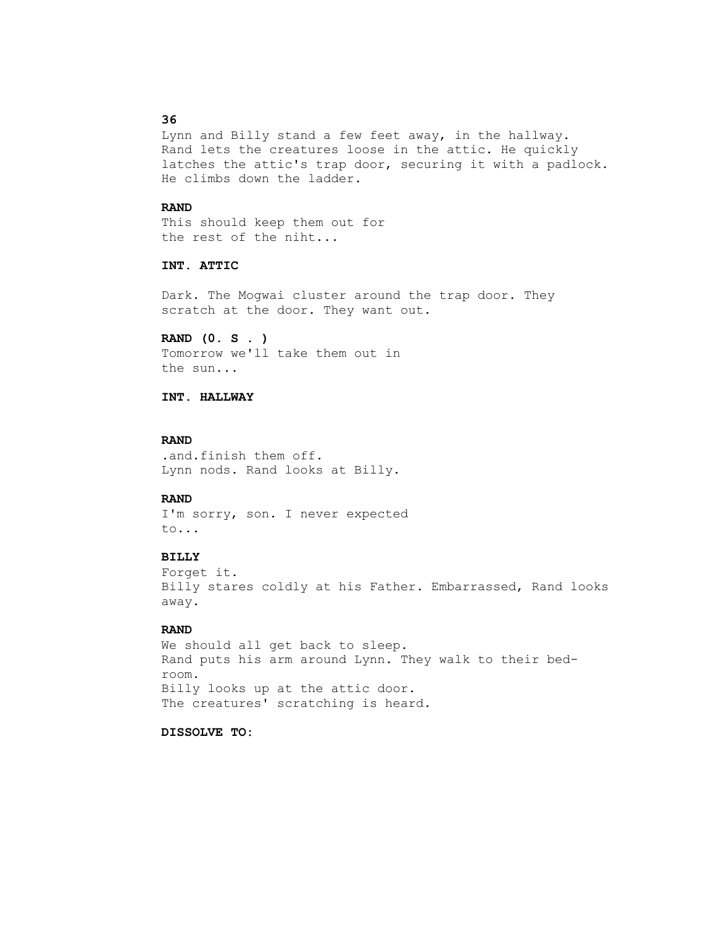## **36**

 Lynn and Billy stand a few feet away, in the hallway. Rand lets the creatures loose in the attic. He quickly latches the attic's trap door, securing it with a padlock. He climbs down the ladder.

#### **RAND**

 This should keep them out for the rest of the niht...

# **INT. ATTIC**

 Dark. The Mogwai cluster around the trap door. They scratch at the door. They want out.

 **RAND (0. S . )** Tomorrow we'll take them out in the sun...

## **INT. HALLWAY**

#### **RAND**

 .and.finish them off. Lynn nods. Rand looks at Billy.

#### **RAND**

 I'm sorry, son. I never expected to...

## **BILLY**

 Forget it. Billy stares coldly at his Father. Embarrassed, Rand looks away.

## **RAND**

 We should all get back to sleep. Rand puts his arm around Lynn. They walk to their bed room. Billy looks up at the attic door. The creatures' scratching is heard.

# **DISSOLVE TO:**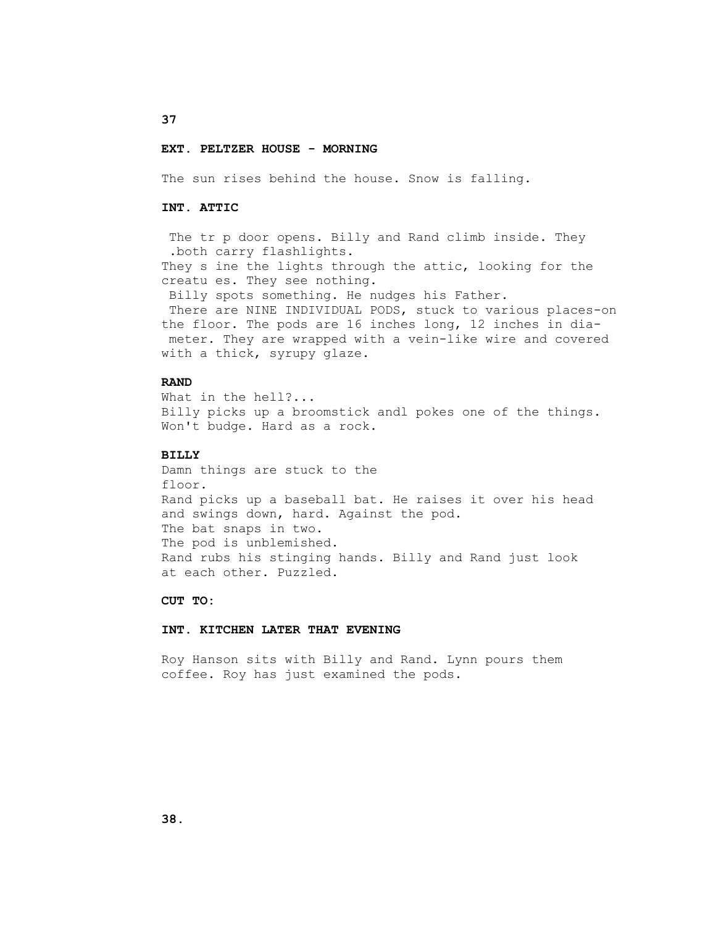#### **EXT. PELTZER HOUSE - MORNING**

The sun rises behind the house. Snow is falling.

#### **INT. ATTIC**

The tr p door opens. Billy and Rand climb inside. They .both carry flashlights. They s ine the lights through the attic, looking for the creatu es. They see nothing. Billy spots something. He nudges his Father. There are NINE INDIVIDUAL PODS, stuck to various places-on

 the floor. The pods are 16 inches long, 12 inches in dia meter. They are wrapped with a vein-like wire and covered with a thick, syrupy glaze.

## **RAND**

 What in the hell?... Billy picks up a broomstick andl pokes one of the things. Won't budge. Hard as a rock.

#### **BILLY**

 Damn things are stuck to the floor. Rand picks up a baseball bat. He raises it over his head and swings down, hard. Against the pod. The bat snaps in two. The pod is unblemished. Rand rubs his stinging hands. Billy and Rand just look at each other. Puzzled.

#### **CUT TO:**

#### **INT. KITCHEN LATER THAT EVENING**

 Roy Hanson sits with Billy and Rand. Lynn pours them coffee. Roy has just examined the pods.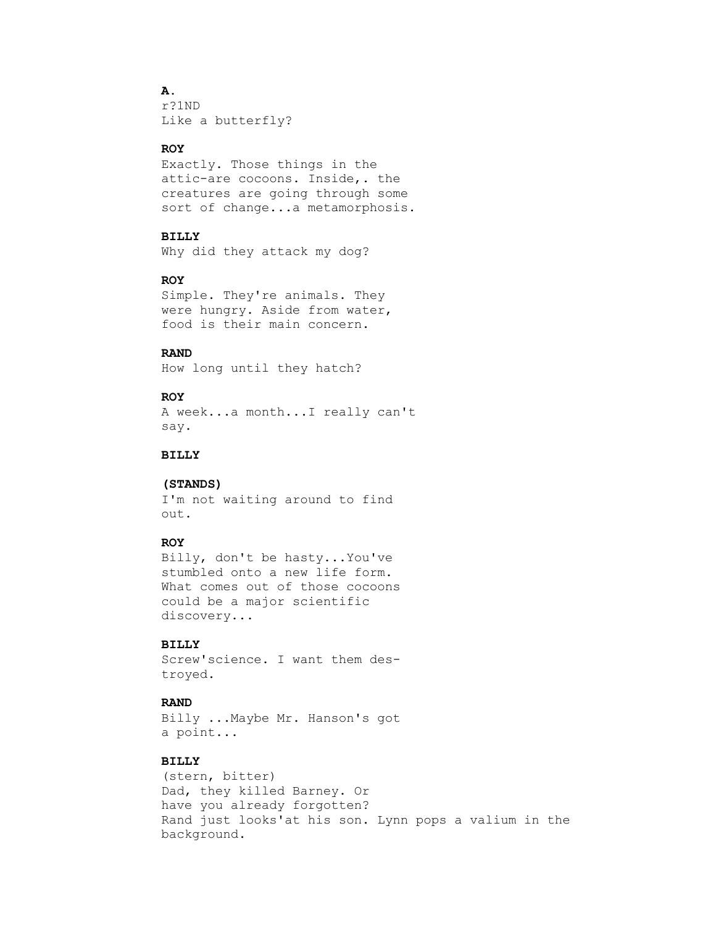# **A.**

 r?1ND Like a butterfly?

#### **ROY**

 Exactly. Those things in the attic-are cocoons. Inside,. the creatures are going through some sort of change...a metamorphosis.

# **BILLY**

Why did they attack my dog?

# **ROY**

 Simple. They're animals. They were hungry. Aside from water, food is their main concern.

# **RAND**

How long until they hatch?

## **ROY**

 A week...a month...I really can't say.

# **BILLY**

#### **(STANDS)**

 I'm not waiting around to find out.

#### **ROY**

 Billy, don't be hasty...You've stumbled onto a new life form. What comes out of those cocoons could be a major scientific discovery...

# **BILLY**

 Screw'science. I want them des troyed.

## **RAND**

 Billy ...Maybe Mr. Hanson's got a point...

# **BILLY**

 (stern, bitter) Dad, they killed Barney. Or have you already forgotten? Rand just looks'at his son. Lynn pops a valium in the background.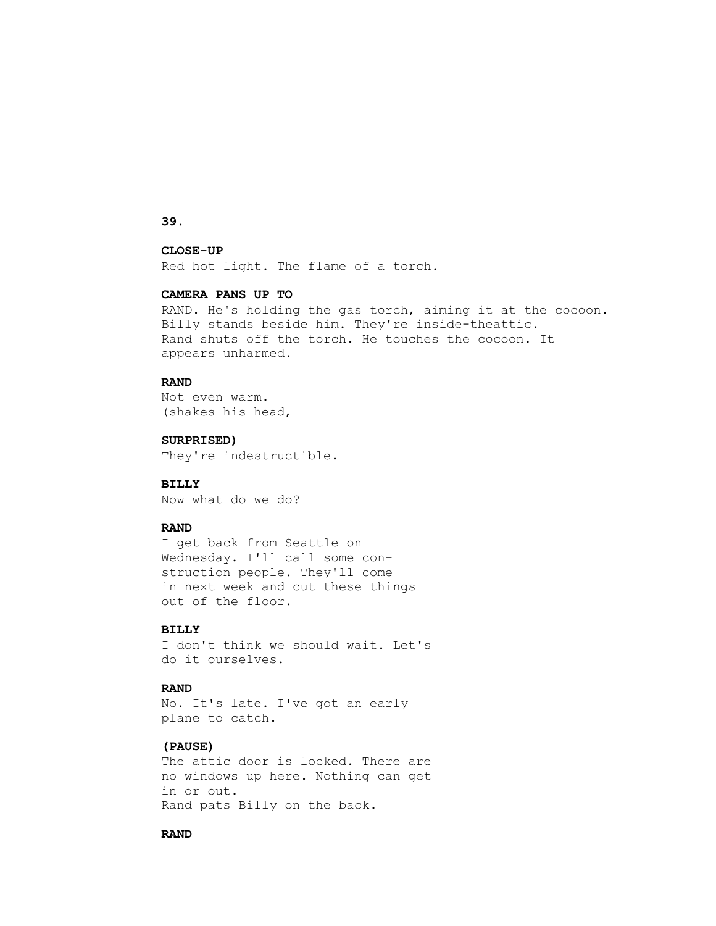**39.**

# **CLOSE-UP**

Red hot light. The flame of a torch.

# **CAMERA PANS UP TO**

 RAND. He's holding the gas torch, aiming it at the cocoon. Billy stands beside him. They're inside-theattic. Rand shuts off the torch. He touches the cocoon. It appears unharmed.

# **RAND**

 Not even warm. (shakes his head,

 **SURPRISED)**

They're indestructible.

#### **BILLY**

Now what do we do?

## **RAND**

 I get back from Seattle on Wednesday. I'll call some con struction people. They'll come in next week and cut these things out of the floor.

## **BILLY**

 I don't think we should wait. Let's do it ourselves.

#### **RAND**

 No. It's late. I've got an early plane to catch.

## **(PAUSE)**

 The attic door is locked. There are no windows up here. Nothing can get in or out. Rand pats Billy on the back.

## **RAND**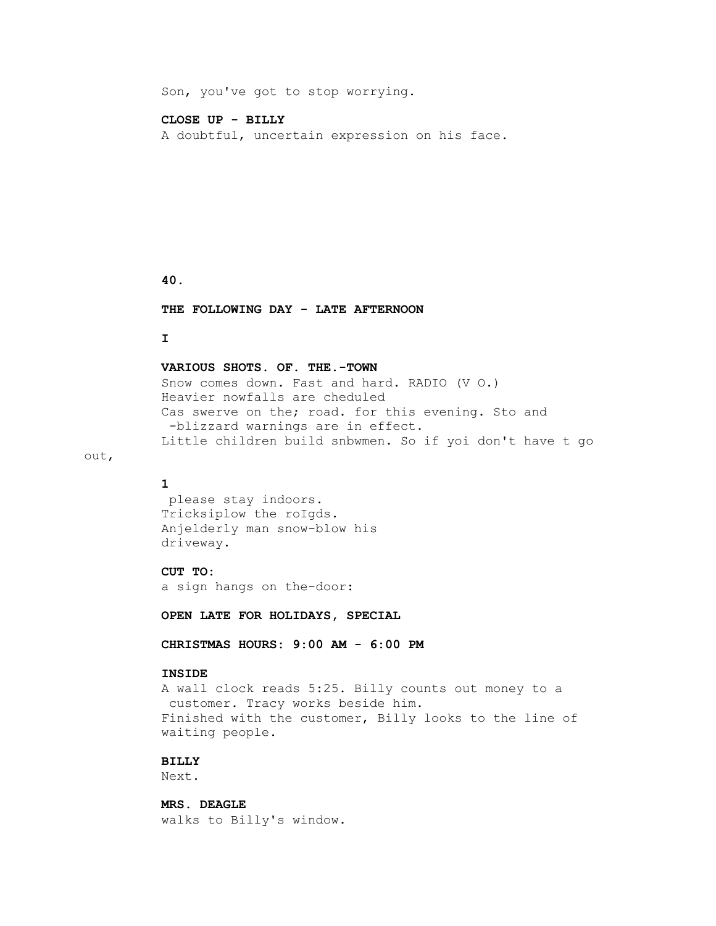Son, you've got to stop worrying.

#### **CLOSE UP - BILLY**

A doubtful, uncertain expression on his face.

## **40.**

 **THE FOLLOWING DAY - LATE AFTERNOON**

# **I**

## **VARIOUS SHOTS. OF. THE.-TOWN**

 Snow comes down. Fast and hard. RADIO (V O.) Heavier nowfalls are cheduled Cas swerve on the; road. for this evening. Sto and -blizzard warnings are in effect. Little children build snbwmen. So if yoi don't have t go

## **1**

out,

 please stay indoors. Tricksiplow the roIgds. Anjelderly man snow-blow his driveway.

## **CUT TO:**

a sign hangs on the-door:

 **OPEN LATE FOR HOLIDAYS, SPECIAL**

 **CHRISTMAS HOURS: 9:00 AM - 6:00 PM**

#### **INSIDE**

 A wall clock reads 5:25. Billy counts out money to a customer. Tracy works beside him. Finished with the customer, Billy looks to the line of waiting people.

# **BILLY**

Next.

 **MRS. DEAGLE** walks to Billy's window.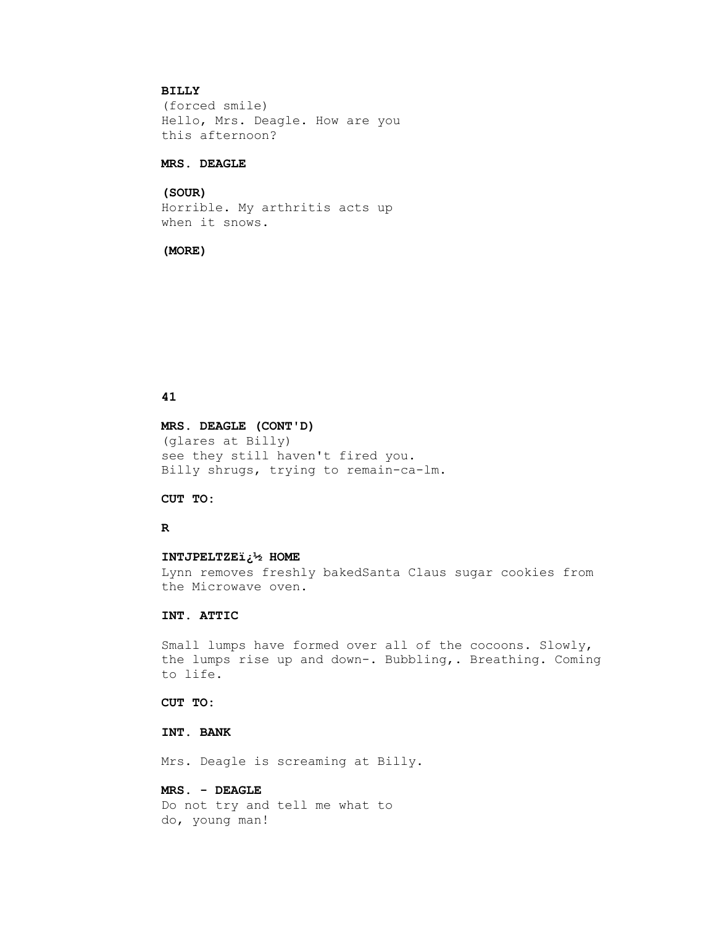# **BILLY**

 (forced smile) Hello, Mrs. Deagle. How are you this afternoon?

## **MRS. DEAGLE**

# **(SOUR)**

 Horrible. My arthritis acts up when it snows.

#### **(MORE)**

## **41**

 **MRS. DEAGLE (CONT'D)** (glares at Billy) see they still haven't fired you. Billy shrugs, trying to remain-ca-lm.

# **CUT TO:**

## **R**

#### **INTJPELTZE� HOME**

 Lynn removes freshly bakedSanta Claus sugar cookies from the Microwave oven.

# **INT. ATTIC**

 Small lumps have formed over all of the cocoons. Slowly, the lumps rise up and down-. Bubbling,. Breathing. Coming to life.

 **CUT TO:**

# **INT. BANK**

Mrs. Deagle is screaming at Billy.

# **MRS. - DEAGLE**

 Do not try and tell me what to do, young man!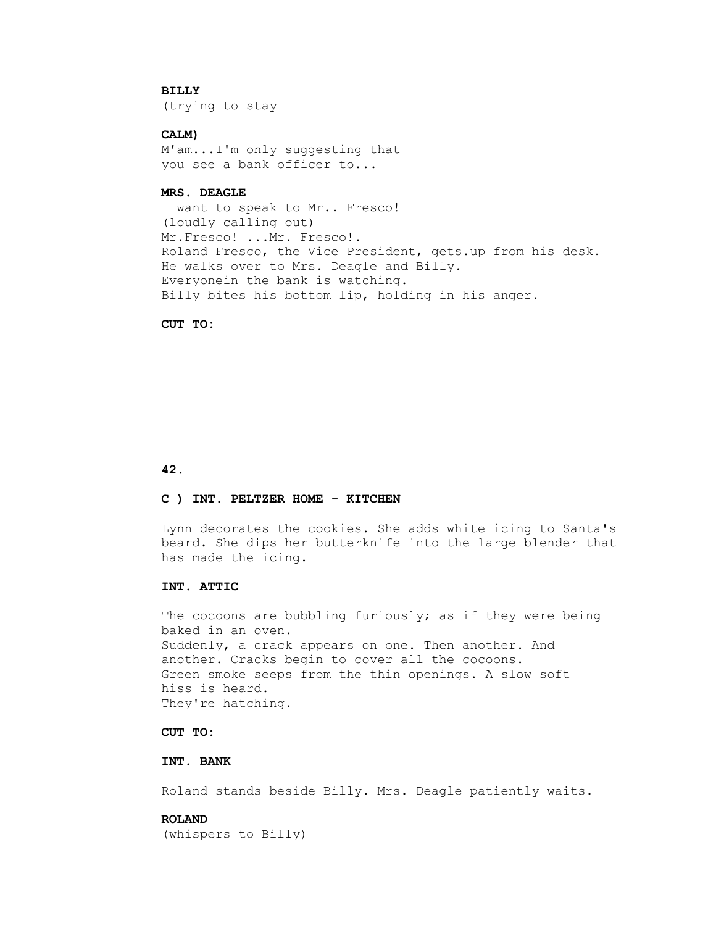# **BILLY**

(trying to stay

# **CALM)**

 M'am...I'm only suggesting that you see a bank officer to...

# **MRS. DEAGLE**

 I want to speak to Mr.. Fresco! (loudly calling out) Mr.Fresco! ...Mr. Fresco!. Roland Fresco, the Vice President, gets.up from his desk. He walks over to Mrs. Deagle and Billy. Everyonein the bank is watching. Billy bites his bottom lip, holding in his anger.

#### **CUT TO:**

#### **42.**

# **C ) INT. PELTZER HOME - KITCHEN**

 Lynn decorates the cookies. She adds white icing to Santa's beard. She dips her butterknife into the large blender that has made the icing.

## **INT. ATTIC**

The cocoons are bubbling furiously; as if they were being baked in an oven. Suddenly, a crack appears on one. Then another. And another. Cracks begin to cover all the cocoons. Green smoke seeps from the thin openings. A slow soft hiss is heard. They're hatching.

# **CUT TO:**

# **INT. BANK**

Roland stands beside Billy. Mrs. Deagle patiently waits.

# **ROLAND**

(whispers to Billy)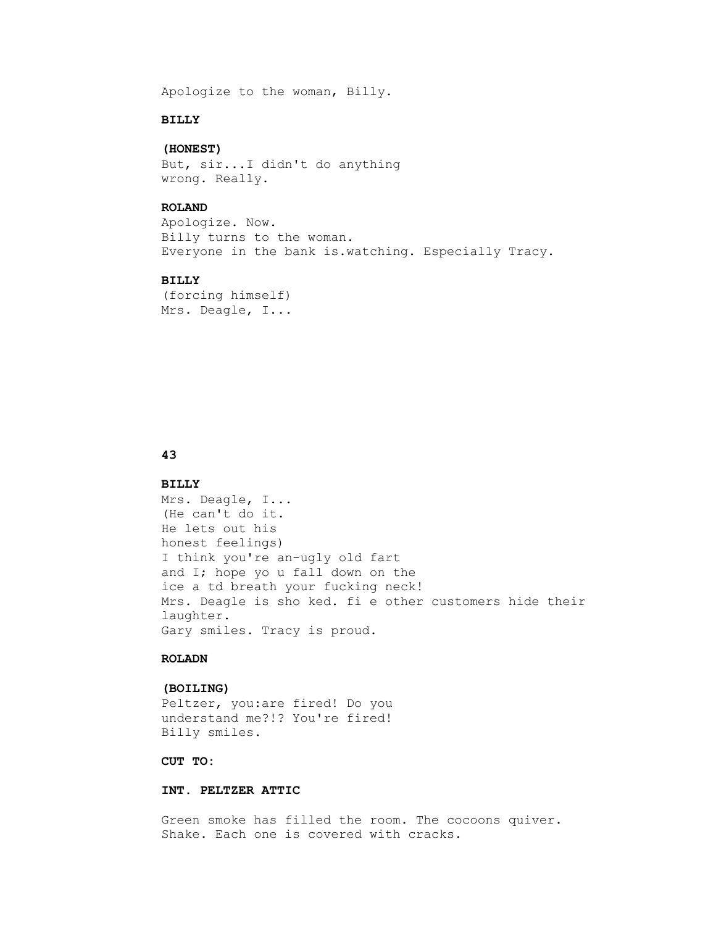Apologize to the woman, Billy.

# **BILLY**

# **(HONEST)**

 But, sir...I didn't do anything wrong. Really.

## **ROLAND**

 Apologize. Now. Billy turns to the woman. Everyone in the bank is.watching. Especially Tracy.

# **BILLY**

 (forcing himself) Mrs. Deagle, I...

# **43**

#### **BILLY**

 Mrs. Deagle, I... (He can't do it. He lets out his honest feelings) I think you're an-ugly old fart and I; hope yo u fall down on the ice a td breath your fucking neck! Mrs. Deagle is sho ked. fi e other customers hide their laughter. Gary smiles. Tracy is proud.

# **ROLADN**

#### **(BOILING)**

 Peltzer, you:are fired! Do you understand me?!? You're fired! Billy smiles.

# **CUT TO:**

#### **INT. PELTZER ATTIC**

 Green smoke has filled the room. The cocoons quiver. Shake. Each one is covered with cracks.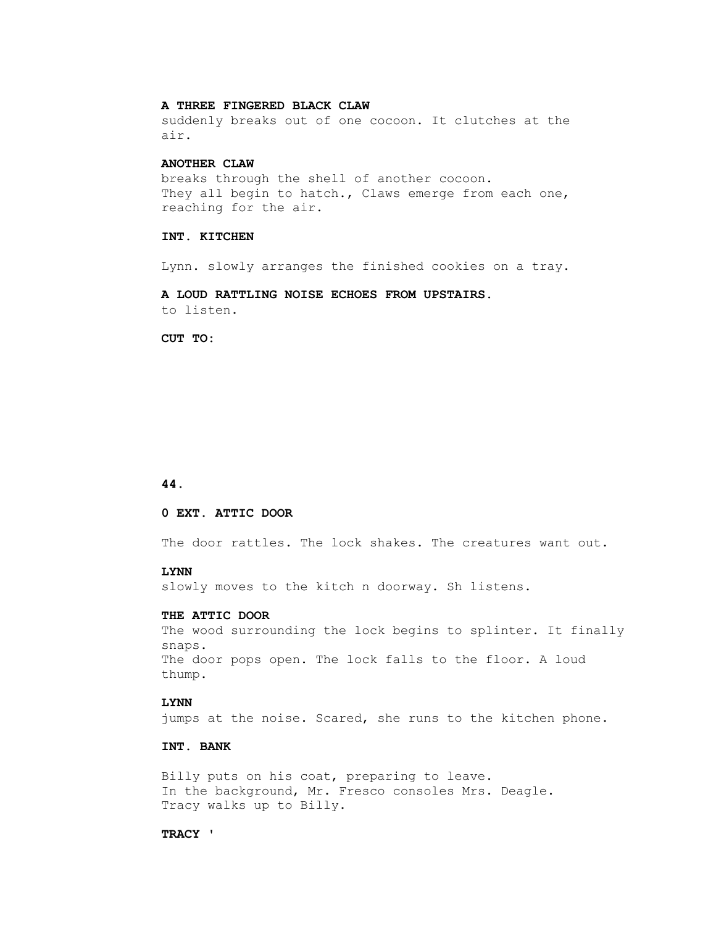## **A THREE FINGERED BLACK CLAW**

 suddenly breaks out of one cocoon. It clutches at the air.

#### **ANOTHER CLAW**

 breaks through the shell of another cocoon. They all begin to hatch., Claws emerge from each one, reaching for the air.

#### **INT. KITCHEN**

Lynn. slowly arranges the finished cookies on a tray.

 **A LOUD RATTLING NOISE ECHOES FROM UPSTAIRS.** to listen.

CUT TO:

#### **44.**

#### **0 EXT. ATTIC DOOR**

The door rattles. The lock shakes. The creatures want out.

#### **LYNN**

slowly moves to the kitch n doorway. Sh listens.

#### **THE ATTIC DOOR**

 The wood surrounding the lock begins to splinter. It finally snaps. The door pops open. The lock falls to the floor. A loud thump.

# **LYNN**

jumps at the noise. Scared, she runs to the kitchen phone.

# **INT. BANK**

 Billy puts on his coat, preparing to leave. In the background, Mr. Fresco consoles Mrs. Deagle. Tracy walks up to Billy.

#### **TRACY '**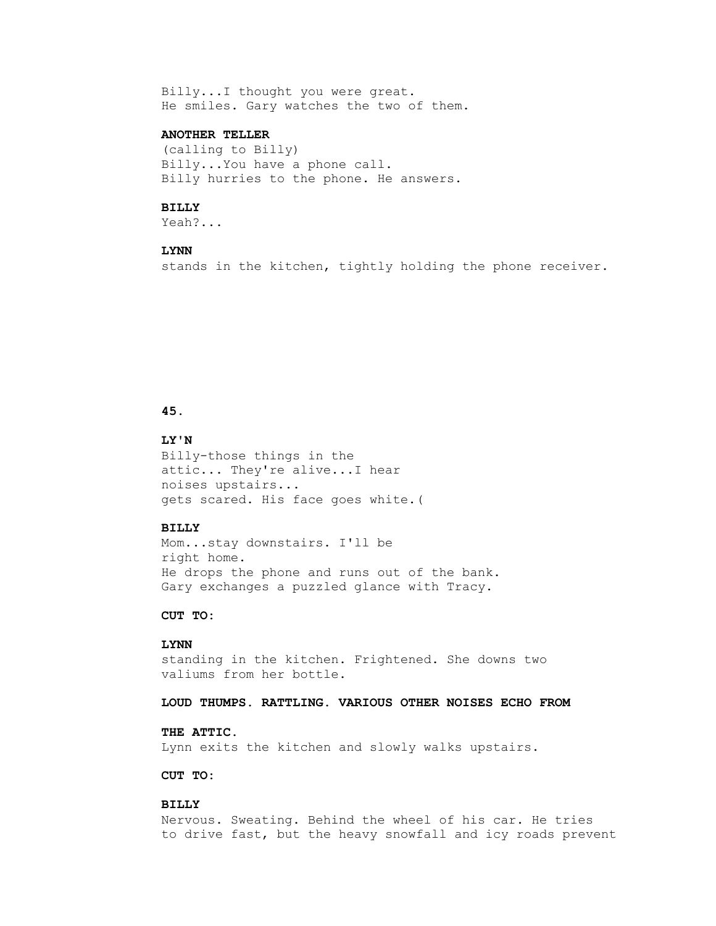Billy...I thought you were great. He smiles. Gary watches the two of them.

# **ANOTHER TELLER**

 (calling to Billy) Billy...You have a phone call. Billy hurries to the phone. He answers.

#### **BILLY**

Yeah?...

# **LYNN**

stands in the kitchen, tightly holding the phone receiver.

# **45.**

#### **LY'N**

 Billy-those things in the attic... They're alive...I hear noises upstairs... gets scared. His face goes white.(

#### **BILLY**

 Mom...stay downstairs. I'll be right home. He drops the phone and runs out of the bank. Gary exchanges a puzzled glance with Tracy.

## **CUT TO:**

# **LYNN**

 standing in the kitchen. Frightened. She downs two valiums from her bottle.

# **LOUD THUMPS. RATTLING. VARIOUS OTHER NOISES ECHO FROM**

# **THE ATTIC.**

Lynn exits the kitchen and slowly walks upstairs.

# **CUT TO:**

## **BILLY**

 Nervous. Sweating. Behind the wheel of his car. He tries to drive fast, but the heavy snowfall and icy roads prevent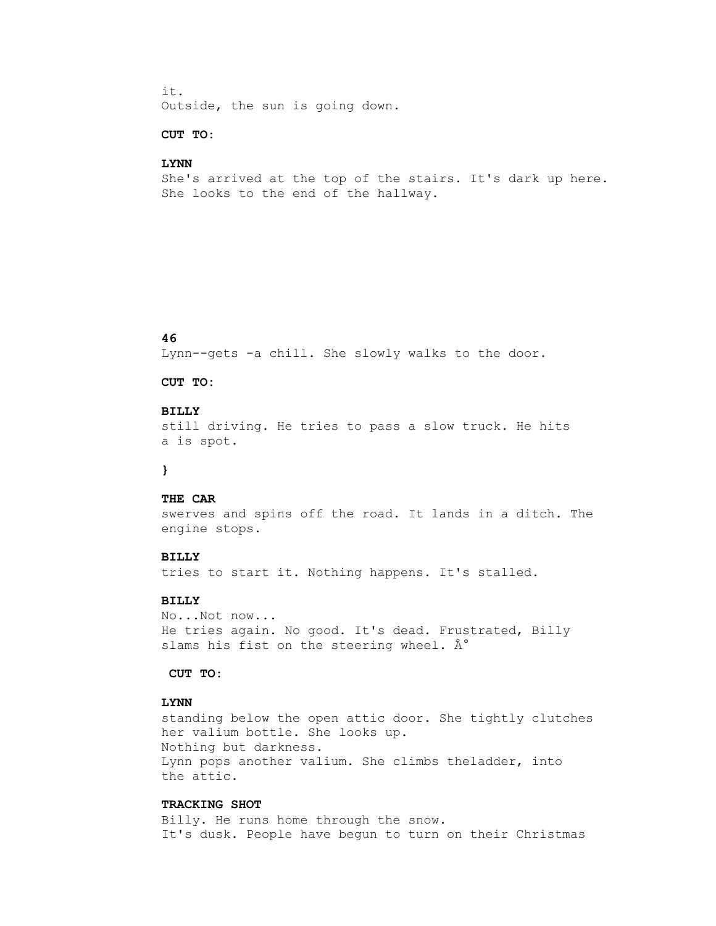it. Outside, the sun is going down.

# **CUT TO:**

#### **LYNN**

 She's arrived at the top of the stairs. It's dark up here. She looks to the end of the hallway.

# **46**

Lynn--gets -a chill. She slowly walks to the door.

#### **CUT TO:**

## **BILLY**

 still driving. He tries to pass a slow truck. He hits a is spot.

# **}**

#### **THE CAR**

 swerves and spins off the road. It lands in a ditch. The engine stops.

#### **BILLY**

tries to start it. Nothing happens. It's stalled.

# **BILLY**

 No...Not now... He tries again. No good. It's dead. Frustrated, Billy slams his fist on the steering wheel.  $\hat{A}^{\circ}$ 

## **CUT TO:**

# **LYNN**

 standing below the open attic door. She tightly clutches her valium bottle. She looks up. Nothing but darkness. Lynn pops another valium. She climbs theladder, into the attic.

# **TRACKING SHOT**

 Billy. He runs home through the snow. It's dusk. People have begun to turn on their Christmas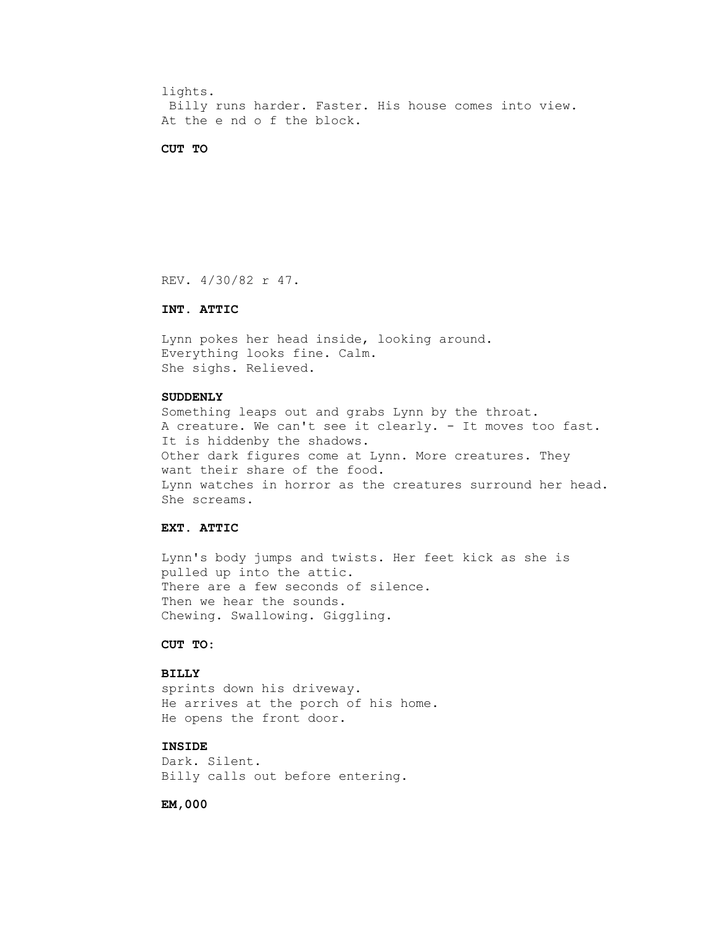lights. Billy runs harder. Faster. His house comes into view. At the e nd o f the block.

#### **CUT TO**

REV. 4/30/82 r 47.

# **INT. ATTIC**

 Lynn pokes her head inside, looking around. Everything looks fine. Calm. She sighs. Relieved.

## **SUDDENLY**

 Something leaps out and grabs Lynn by the throat. A creature. We can't see it clearly. - It moves too fast. It is hiddenby the shadows. Other dark figures come at Lynn. More creatures. They want their share of the food. Lynn watches in horror as the creatures surround her head. She screams.

# **EXT. ATTIC**

 Lynn's body jumps and twists. Her feet kick as she is pulled up into the attic. There are a few seconds of silence. Then we hear the sounds. Chewing. Swallowing. Giggling.

# **CUT TO:**

# **BILLY**

 sprints down his driveway. He arrives at the porch of his home. He opens the front door.

# **INSIDE**

 Dark. Silent. Billy calls out before entering.

 **EM,000**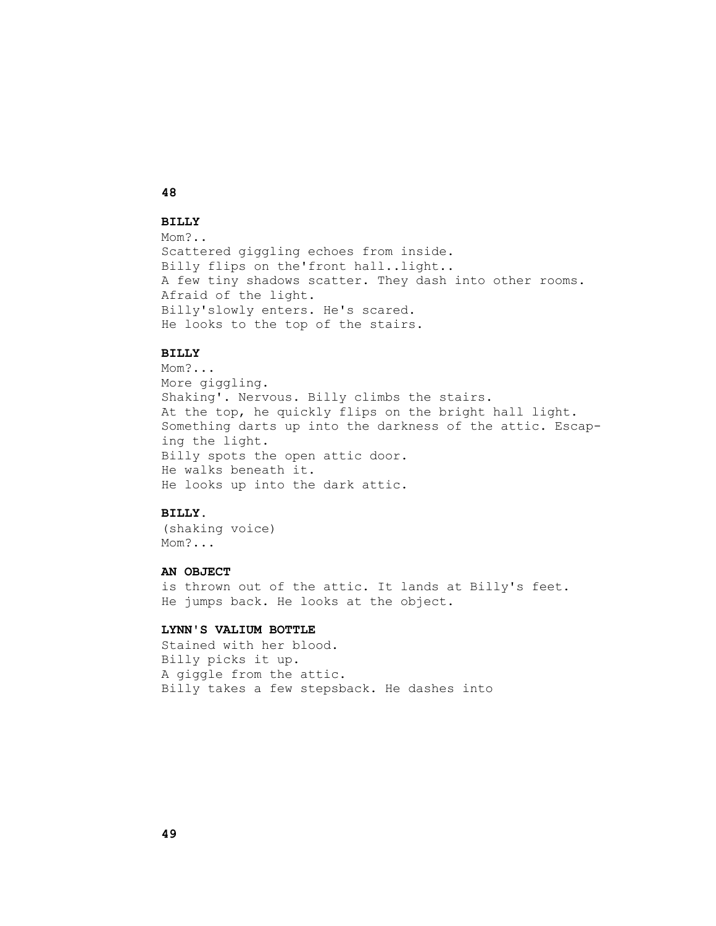# **48**

# **BILLY**

 Mom?.. Scattered giggling echoes from inside. Billy flips on the'front hall..light.. A few tiny shadows scatter. They dash into other rooms. Afraid of the light. Billy'slowly enters. He's scared. He looks to the top of the stairs.

# **BILLY**

 Mom?... More giggling. Shaking'. Nervous. Billy climbs the stairs. At the top, he quickly flips on the bright hall light. Something darts up into the darkness of the attic. Escap ing the light. Billy spots the open attic door. He walks beneath it. He looks up into the dark attic.

# **BILLY.**

 (shaking voice) Mom?...

#### **AN OBJECT**

 is thrown out of the attic. It lands at Billy's feet. He jumps back. He looks at the object.

#### **LYNN'S VALIUM BOTTLE**

 Stained with her blood. Billy picks it up. A giggle from the attic. Billy takes a few stepsback. He dashes into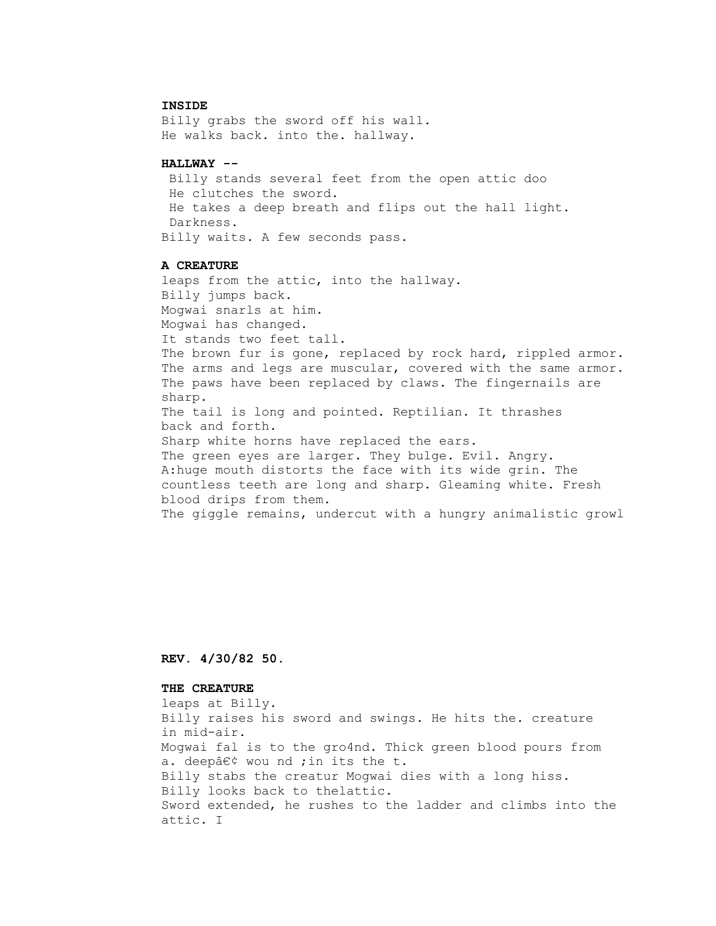#### **INSIDE**

 Billy grabs the sword off his wall. He walks back. into the. hallway.

#### **HALLWAY --**

 Billy stands several feet from the open attic doo He clutches the sword. He takes a deep breath and flips out the hall light. Darkness. Billy waits. A few seconds pass.

#### **A CREATURE**

 leaps from the attic, into the hallway. Billy jumps back. Mogwai snarls at him. Mogwai has changed. It stands two feet tall. The brown fur is gone, replaced by rock hard, rippled armor. The arms and legs are muscular, covered with the same armor. The paws have been replaced by claws. The fingernails are sharp. The tail is long and pointed. Reptilian. It thrashes back and forth. Sharp white horns have replaced the ears. The green eyes are larger. They bulge. Evil. Angry. A:huge mouth distorts the face with its wide grin. The countless teeth are long and sharp. Gleaming white. Fresh blood drips from them. The giggle remains, undercut with a hungry animalistic growl

## **REV. 4/30/82 50.**

## **THE CREATURE**

leaps at Billy.

 Billy raises his sword and swings. He hits the. creature in mid-air. Mogwai fal is to the gro4nd. Thick green blood pours from a. deepâ $\epsilon$  $\diamond$  wou nd ; in its the t. Billy stabs the creatur Mogwai dies with a long hiss. Billy looks back to thelattic. Sword extended, he rushes to the ladder and climbs into the attic. I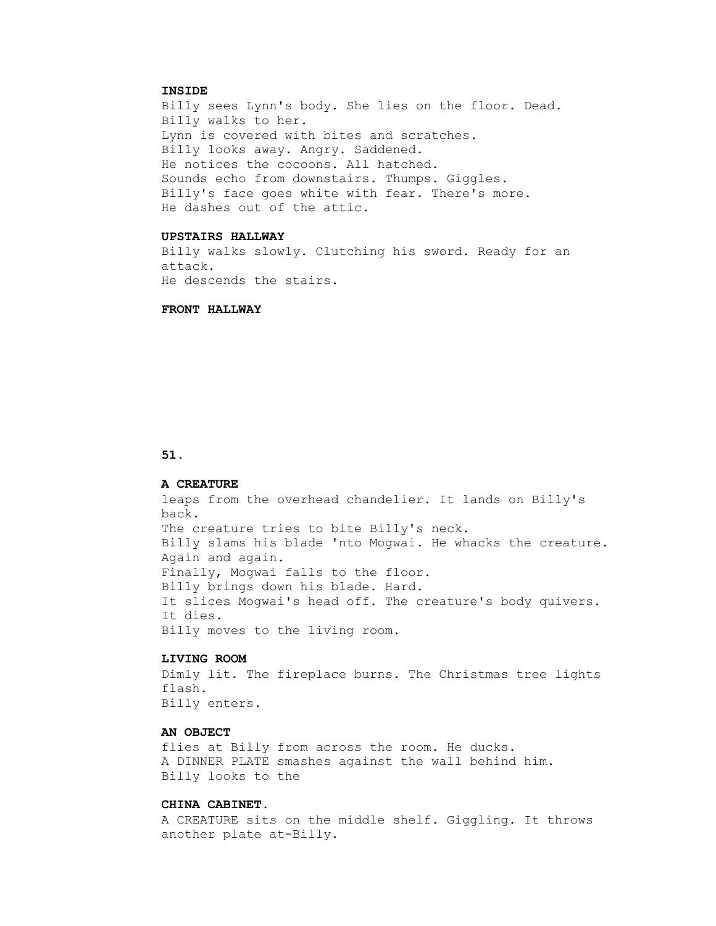#### **INSIDE**

 Billy sees Lynn's body. She lies on the floor. Dead. Billy walks to her. Lynn is covered with bites and scratches. Billy looks away. Angry. Saddened. He notices the cocoons. All hatched. Sounds echo from downstairs. Thumps. Giggles. Billy's face goes white with fear. There's more. He dashes out of the attic.

## **UPSTAIRS HALLWAY**

 Billy walks slowly. Clutching his sword. Ready for an attack. He descends the stairs.

#### **FRONT HALLWAY**

#### **51.**

#### **A CREATURE**

 leaps from the overhead chandelier. It lands on Billy's back. The creature tries to bite Billy's neck. Billy slams his blade 'nto Mogwai. He whacks the creature. Again and again. Finally, Mogwai falls to the floor. Billy brings down his blade. Hard. It slices Mogwai's head off. The creature's body quivers. It dies. Billy moves to the living room.

#### **LIVING ROOM**

 Dimly lit. The fireplace burns. The Christmas tree lights flash. Billy enters.

#### **AN OBJECT**

 flies at Billy from across the room. He ducks. A DINNER PLATE smashes against the wall behind him. Billy looks to the

## **CHINA CABINET.**

 A CREATURE sits on the middle shelf. Giggling. It throws another plate at-Billy.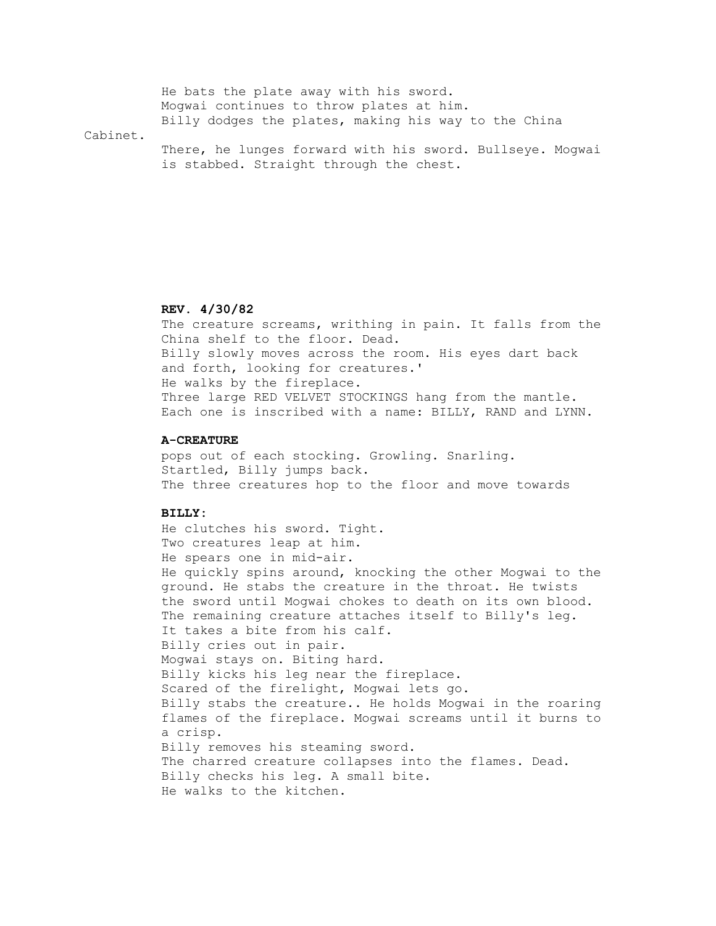|          | He bats the plate away with his sword.                    |
|----------|-----------------------------------------------------------|
|          | Moqwai continues to throw plates at him.                  |
|          | Billy dodges the plates, making his way to the China      |
| Cabinet. |                                                           |
|          | There, he lunges forward with his sword. Bullseye. Mogwai |
|          | is stabbed. Straight through the chest.                   |

# **REV. 4/30/82**

 The creature screams, writhing in pain. It falls from the China shelf to the floor. Dead. Billy slowly moves across the room. His eyes dart back and forth, looking for creatures.' He walks by the fireplace. Three large RED VELVET STOCKINGS hang from the mantle. Each one is inscribed with a name: BILLY, RAND and LYNN.

#### **A-CREATURE**

 pops out of each stocking. Growling. Snarling. Startled, Billy jumps back. The three creatures hop to the floor and move towards

## **BILLY:**

 He clutches his sword. Tight. Two creatures leap at him. He spears one in mid-air. He quickly spins around, knocking the other Mogwai to the ground. He stabs the creature in the throat. He twists the sword until Mogwai chokes to death on its own blood. The remaining creature attaches itself to Billy's leg. It takes a bite from his calf. Billy cries out in pair. Mogwai stays on. Biting hard. Billy kicks his leg near the fireplace. Scared of the firelight, Mogwai lets go. Billy stabs the creature.. He holds Mogwai in the roaring flames of the fireplace. Mogwai screams until it burns to a crisp. Billy removes his steaming sword. The charred creature collapses into the flames. Dead. Billy checks his leg. A small bite. He walks to the kitchen.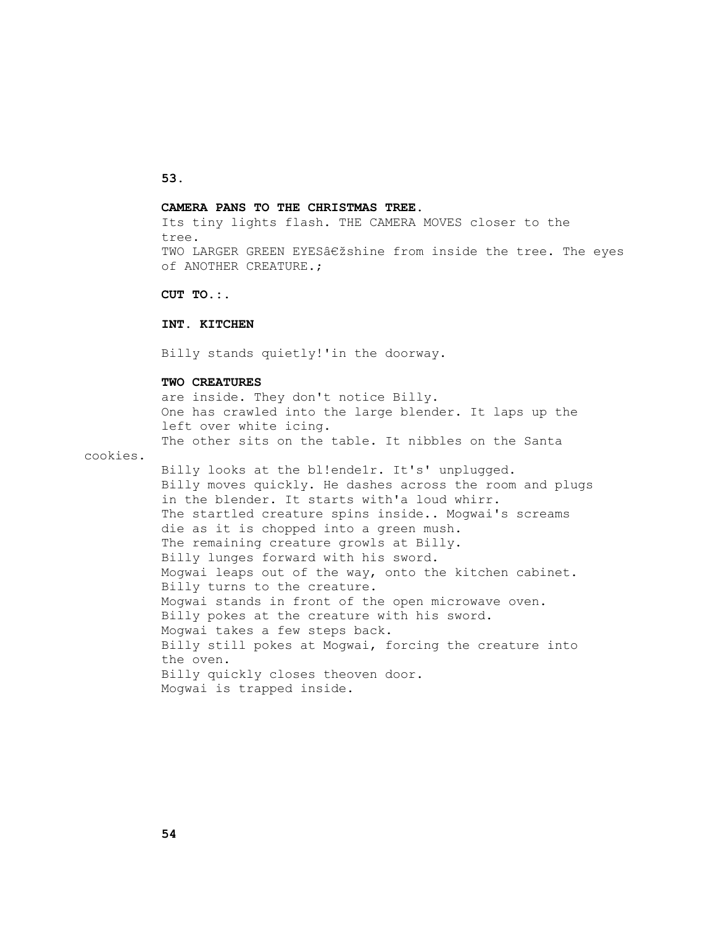## **53.**

#### **CAMERA PANS TO THE CHRISTMAS TREE.**

 Its tiny lights flash. THE CAMERA MOVES closer to the tree. TWO LARGER GREEN EYESâ $\epsilon$  ishine from inside the tree. The eyes of ANOTHER CREATURE.;

 **CUT TO.:.**

#### **INT. KITCHEN**

Billy stands quietly!'in the doorway.

## **TWO CREATURES**

 are inside. They don't notice Billy. One has crawled into the large blender. It laps up the left over white icing. The other sits on the table. It nibbles on the Santa

cookies.

 Billy looks at the bl!ende1r. It's' unplugged. Billy moves quickly. He dashes across the room and plugs in the blender. It starts with'a loud whirr. The startled creature spins inside.. Mogwai's screams die as it is chopped into a green mush. The remaining creature growls at Billy. Billy lunges forward with his sword. Mogwai leaps out of the way, onto the kitchen cabinet. Billy turns to the creature. Mogwai stands in front of the open microwave oven. Billy pokes at the creature with his sword. Mogwai takes a few steps back. Billy still pokes at Mogwai, forcing the creature into the oven. Billy quickly closes theoven door. Mogwai is trapped inside.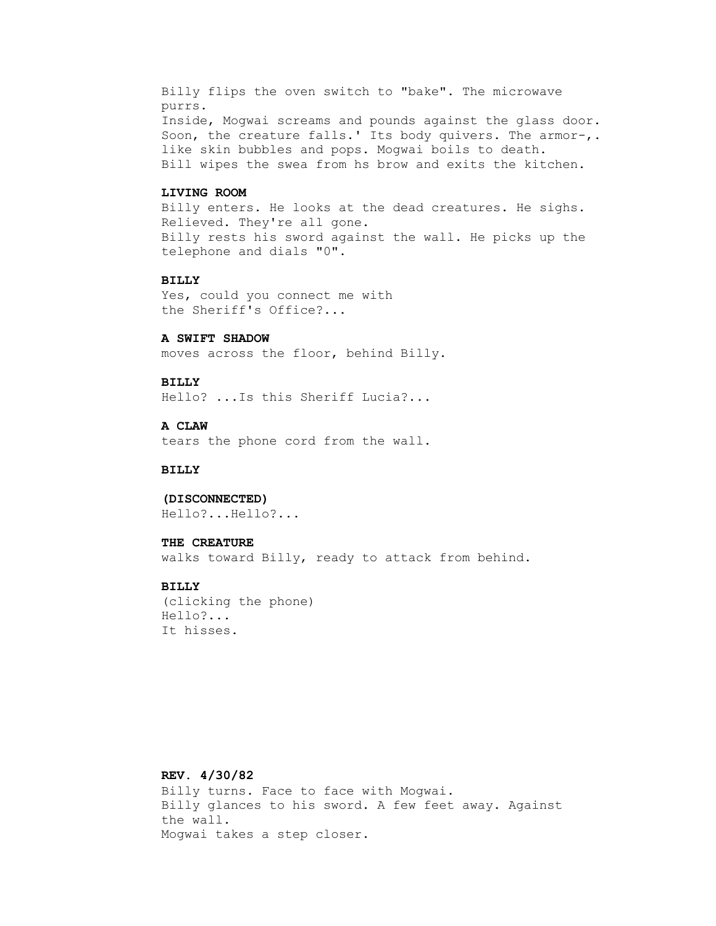Billy flips the oven switch to "bake". The microwave purrs. Inside, Mogwai screams and pounds against the glass door. Soon, the creature falls.' Its body quivers. The armor-,. like skin bubbles and pops. Mogwai boils to death. Bill wipes the swea from hs brow and exits the kitchen.

## **LIVING ROOM**

 Billy enters. He looks at the dead creatures. He sighs. Relieved. They're all gone. Billy rests his sword against the wall. He picks up the telephone and dials "0".

#### **BILLY**

 Yes, could you connect me with the Sheriff's Office?...

## **A SWIFT SHADOW**

moves across the floor, behind Billy.

#### **BILLY**

Hello? ...Is this Sheriff Lucia?...

#### **A CLAW**

tears the phone cord from the wall.

## **BILLY**

#### **(DISCONNECTED)**

Hello?...Hello?...

#### **THE CREATURE**

walks toward Billy, ready to attack from behind.

#### **BILLY**

 (clicking the phone) Hello?... It hisses.

# **REV. 4/30/82**

 Billy turns. Face to face with Mogwai. Billy glances to his sword. A few feet away. Against the wall. Mogwai takes a step closer.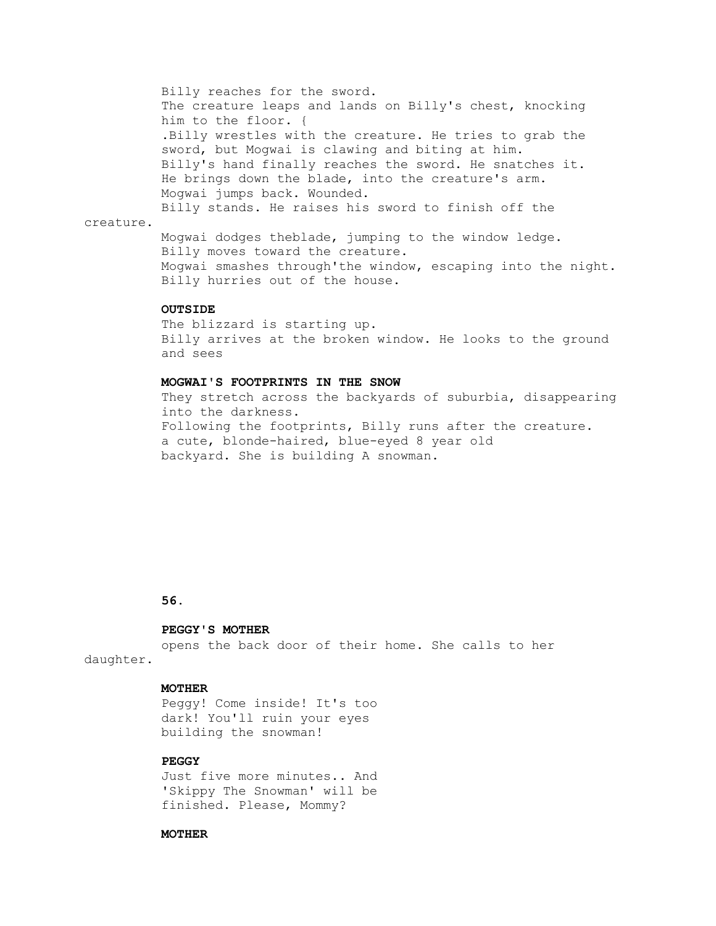Billy reaches for the sword. The creature leaps and lands on Billy's chest, knocking him to the floor. { .Billy wrestles with the creature. He tries to grab the sword, but Mogwai is clawing and biting at him. Billy's hand finally reaches the sword. He snatches it. He brings down the blade, into the creature's arm. Mogwai jumps back. Wounded. Billy stands. He raises his sword to finish off the creature. Mogwai dodges theblade, jumping to the window ledge.

 Billy moves toward the creature. Mogwai smashes through'the window, escaping into the night. Billy hurries out of the house.

#### **OUTSIDE**

 The blizzard is starting up. Billy arrives at the broken window. He looks to the ground and sees

#### **MOGWAI'S FOOTPRINTS IN THE SNOW**

 They stretch across the backyards of suburbia, disappearing into the darkness. Following the footprints, Billy runs after the creature. a cute, blonde-haired, blue-eyed 8 year old backyard. She is building A snowman.

#### **56.**

#### **PEGGY'S MOTHER**

opens the back door of their home. She calls to her

daughter.

#### **MOTHER**

 Peggy! Come inside! It's too dark! You'll ruin your eyes building the snowman!

# **PEGGY**

 Just five more minutes.. And 'Skippy The Snowman' will be finished. Please, Mommy?

#### **MOTHER**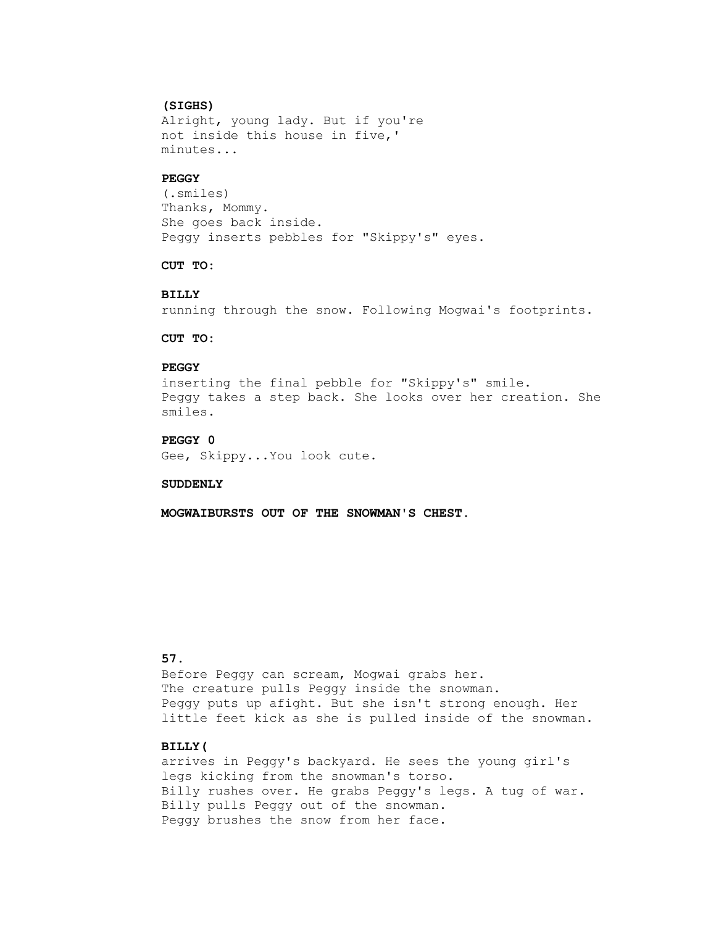#### **(SIGHS)**

 Alright, young lady. But if you're not inside this house in five,' minutes...

#### **PEGGY**

 (.smiles) Thanks, Mommy. She goes back inside. Peggy inserts pebbles for "Skippy's" eyes.

## **CUT TO:**

#### **BILLY**

running through the snow. Following Mogwai's footprints.

## **CUT TO:**

## **PEGGY**

 inserting the final pebble for "Skippy's" smile. Peggy takes a step back. She looks over her creation. She smiles.

# **PEGGY 0**

Gee, Skippy...You look cute.

## **SUDDENLY**

 **MOGWAIBURSTS OUT OF THE SNOWMAN'S CHEST.**

# **57.**

 Before Peggy can scream, Mogwai grabs her. The creature pulls Peggy inside the snowman. Peggy puts up afight. But she isn't strong enough. Her little feet kick as she is pulled inside of the snowman.

# **BILLY(**

 arrives in Peggy's backyard. He sees the young girl's legs kicking from the snowman's torso. Billy rushes over. He grabs Peggy's legs. A tug of war. Billy pulls Peggy out of the snowman. Peggy brushes the snow from her face.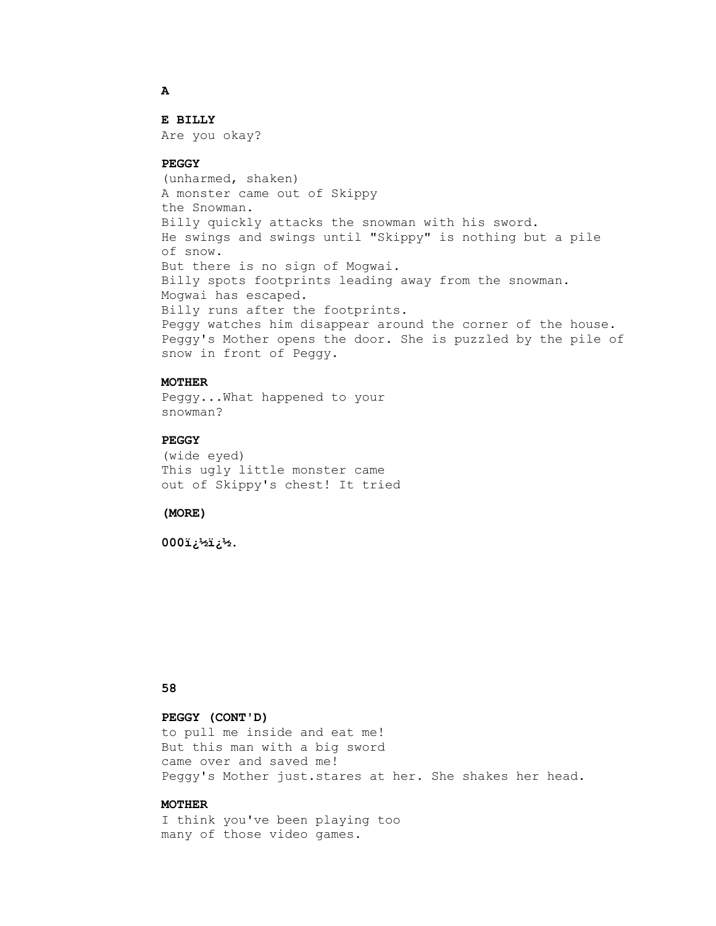#### **E BILLY**

Are you okay?

#### **PEGGY**

 (unharmed, shaken) A monster came out of Skippy the Snowman. Billy quickly attacks the snowman with his sword. He swings and swings until "Skippy" is nothing but a pile of snow. But there is no sign of Mogwai. Billy spots footprints leading away from the snowman. Mogwai has escaped. Billy runs after the footprints. Peggy watches him disappear around the corner of the house. Peggy's Mother opens the door. She is puzzled by the pile of snow in front of Peggy.

## **MOTHER**

 Peggy...What happened to your snowman?

# **PEGGY**

 (wide eyed) This ugly little monster came out of Skippy's chest! It tried

 **(MORE)**

.<sup>2</sup>ف ق<sup>ول</sup> فقائية 000

# **58**

# **PEGGY (CONT'D)**

 to pull me inside and eat me! But this man with a big sword came over and saved me! Peggy's Mother just.stares at her. She shakes her head.

#### **MOTHER**

 I think you've been playing too many of those video games.

 **A**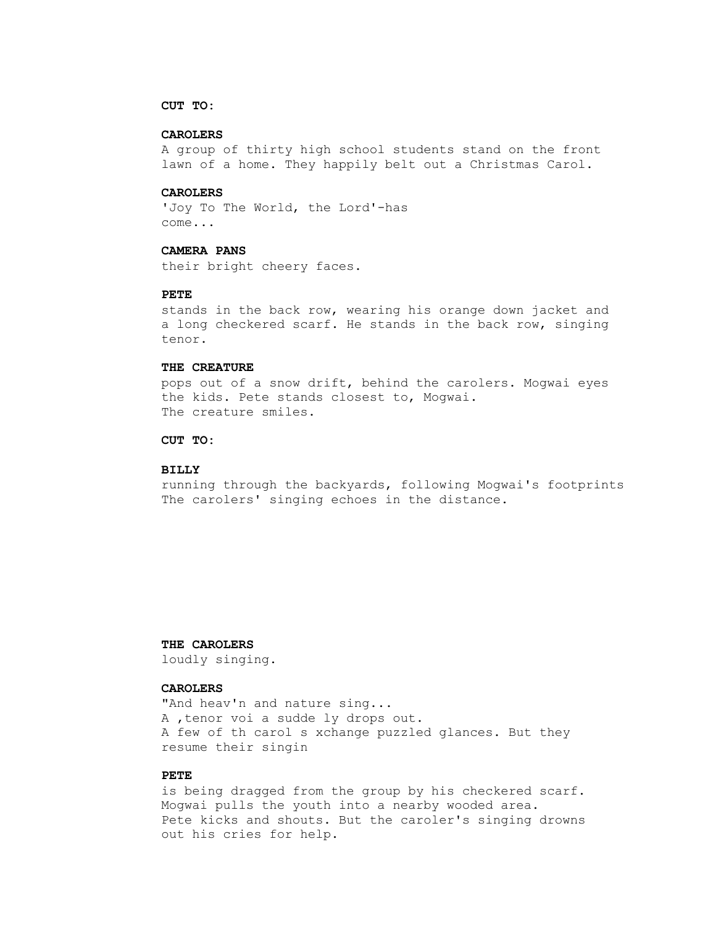## **CUT TO:**

## **CAROLERS**

 A group of thirty high school students stand on the front lawn of a home. They happily belt out a Christmas Carol.

## **CAROLERS**

 'Joy To The World, the Lord'-has come...

# **CAMERA PANS**

their bright cheery faces.

#### **PETE**

 stands in the back row, wearing his orange down jacket and a long checkered scarf. He stands in the back row, singing tenor.

#### **THE CREATURE**

 pops out of a snow drift, behind the carolers. Mogwai eyes the kids. Pete stands closest to, Mogwai. The creature smiles.

## **CUT TO:**

## **BILLY**

 running through the backyards, following Mogwai's footprints The carolers' singing echoes in the distance.

## **THE CAROLERS**

loudly singing.

## **CAROLERS**

"And heav'n and nature sing... A ,tenor voi a sudde ly drops out. A few of th carol s xchange puzzled glances. But they resume their singin

#### **PETE**

 is being dragged from the group by his checkered scarf. Mogwai pulls the youth into a nearby wooded area. Pete kicks and shouts. But the caroler's singing drowns out his cries for help.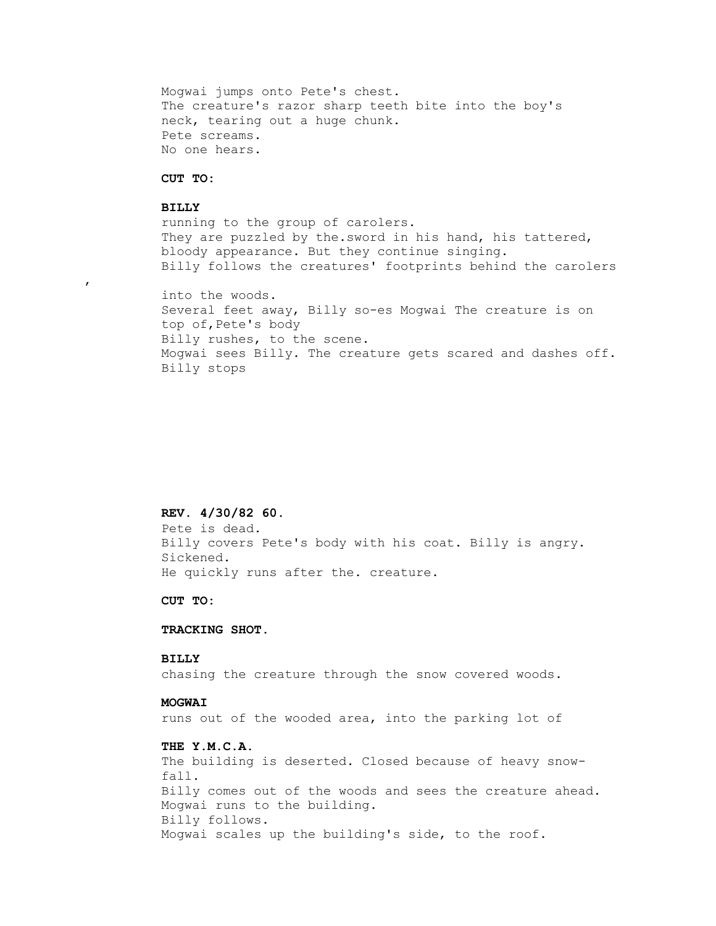Mogwai jumps onto Pete's chest. The creature's razor sharp teeth bite into the boy's neck, tearing out a huge chunk. Pete screams. No one hears.

#### **CUT TO:**

#### **BILLY**

,

 running to the group of carolers. They are puzzled by the. sword in his hand, his tattered, bloody appearance. But they continue singing. Billy follows the creatures' footprints behind the carolers

 into the woods. Several feet away, Billy so-es Mogwai The creature is on top of,Pete's body Billy rushes, to the scene. Mogwai sees Billy. The creature gets scared and dashes off. Billy stops

#### **REV. 4/30/82 60.**

 Pete is dead. Billy covers Pete's body with his coat. Billy is angry. Sickened. He quickly runs after the. creature.

 **CUT TO:**

#### **TRACKING SHOT.**

## **BILLY**

chasing the creature through the snow covered woods.

## **MOGWAI**

runs out of the wooded area, into the parking lot of

## **THE Y.M.C.A.**

 The building is deserted. Closed because of heavy snow fall. Billy comes out of the woods and sees the creature ahead. Mogwai runs to the building. Billy follows. Mogwai scales up the building's side, to the roof.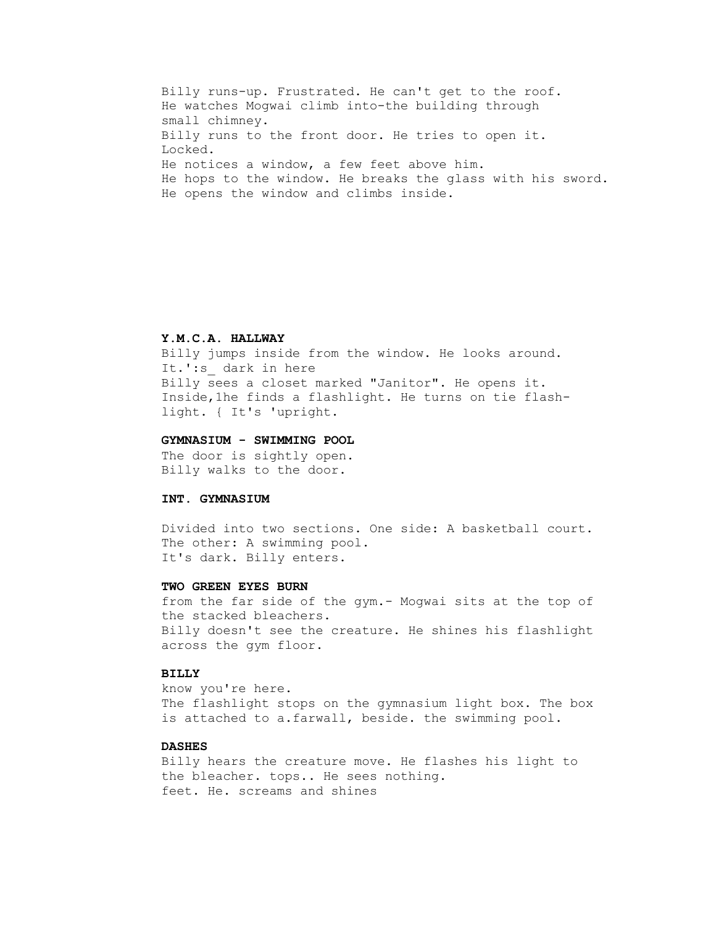Billy runs-up. Frustrated. He can't get to the roof. He watches Mogwai climb into-the building through small chimney. Billy runs to the front door. He tries to open it. Locked. He notices a window, a few feet above him. He hops to the window. He breaks the glass with his sword. He opens the window and climbs inside.

## **Y.M.C.A. HALLWAY**

 Billy jumps inside from the window. He looks around. It.':s\_ dark in here Billy sees a closet marked "Janitor". He opens it. Inside,1he finds a flashlight. He turns on tie flash light. { It's 'upright.

#### **GYMNASIUM - SWIMMING POOL**

 The door is sightly open. Billy walks to the door.

#### **INT. GYMNASIUM**

 Divided into two sections. One side: A basketball court. The other: A swimming pool. It's dark. Billy enters.

#### **TWO GREEN EYES BURN**

 from the far side of the gym.- Mogwai sits at the top of the stacked bleachers. Billy doesn't see the creature. He shines his flashlight across the gym floor.

# **BILLY**

 know you're here. The flashlight stops on the gymnasium light box. The box is attached to a.farwall, beside. the swimming pool.

# **DASHES**

 Billy hears the creature move. He flashes his light to the bleacher. tops.. He sees nothing. feet. He. screams and shines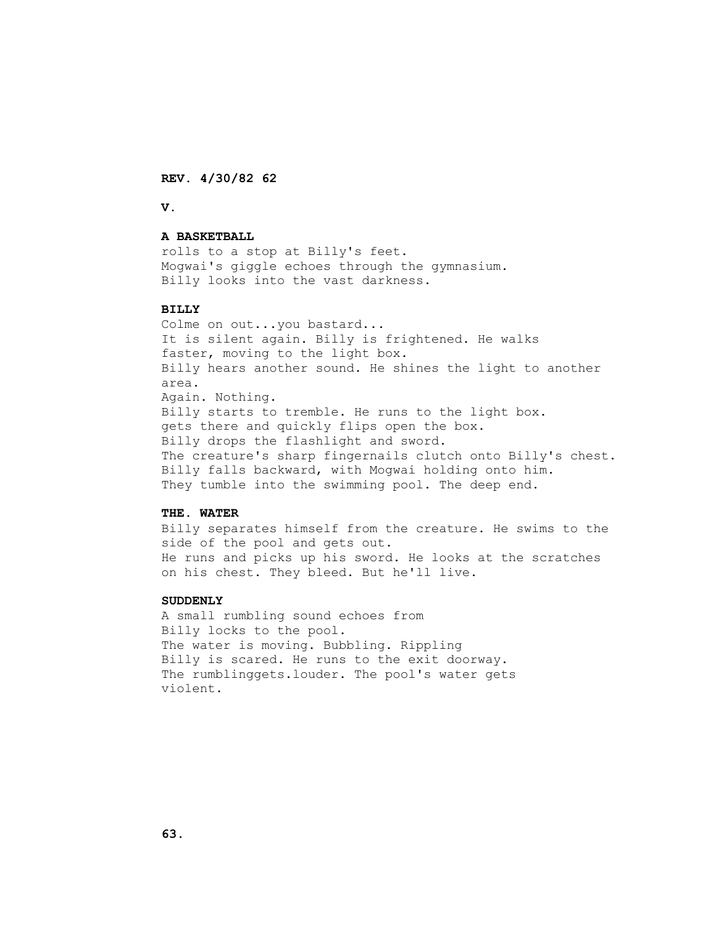**REV. 4/30/82 62**

 **V.**

#### **A BASKETBALL**

 rolls to a stop at Billy's feet. Mogwai's giggle echoes through the gymnasium. Billy looks into the vast darkness.

## **BILLY**

 Colme on out...you bastard... It is silent again. Billy is frightened. He walks faster, moving to the light box. Billy hears another sound. He shines the light to another area. Again. Nothing. Billy starts to tremble. He runs to the light box. gets there and quickly flips open the box. Billy drops the flashlight and sword. The creature's sharp fingernails clutch onto Billy's chest. Billy falls backward, with Mogwai holding onto him. They tumble into the swimming pool. The deep end.

#### **THE. WATER**

 Billy separates himself from the creature. He swims to the side of the pool and gets out. He runs and picks up his sword. He looks at the scratches on his chest. They bleed. But he'll live.

#### **SUDDENLY**

 A small rumbling sound echoes from Billy locks to the pool. The water is moving. Bubbling. Rippling Billy is scared. He runs to the exit doorway. The rumblinggets.louder. The pool's water gets violent.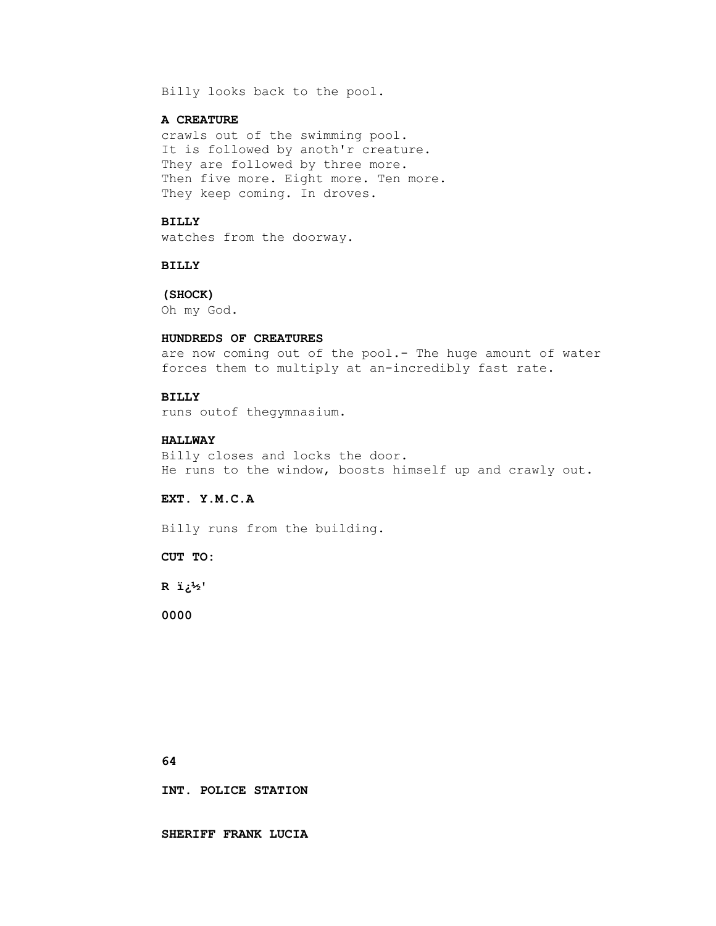Billy looks back to the pool.

#### **A CREATURE**

 crawls out of the swimming pool. It is followed by anoth'r creature. They are followed by three more. Then five more. Eight more. Ten more. They keep coming. In droves.

## **BILLY**

watches from the doorway.

#### **BILLY**

 **(SHOCK)** Oh my God.

#### **HUNDREDS OF CREATURES**

 are now coming out of the pool.- The huge amount of water forces them to multiply at an-incredibly fast rate.

#### **BILLY**

runs outof thegymnasium.

#### **HALLWAY**

 Billy closes and locks the door. He runs to the window, boosts himself up and crawly out.

# **EXT. Y.M.C.A**

Billy runs from the building.

 **CUT TO:**

 **R �'**

 **0000**

 **64**

 **INT. POLICE STATION**

 **SHERIFF FRANK LUCIA**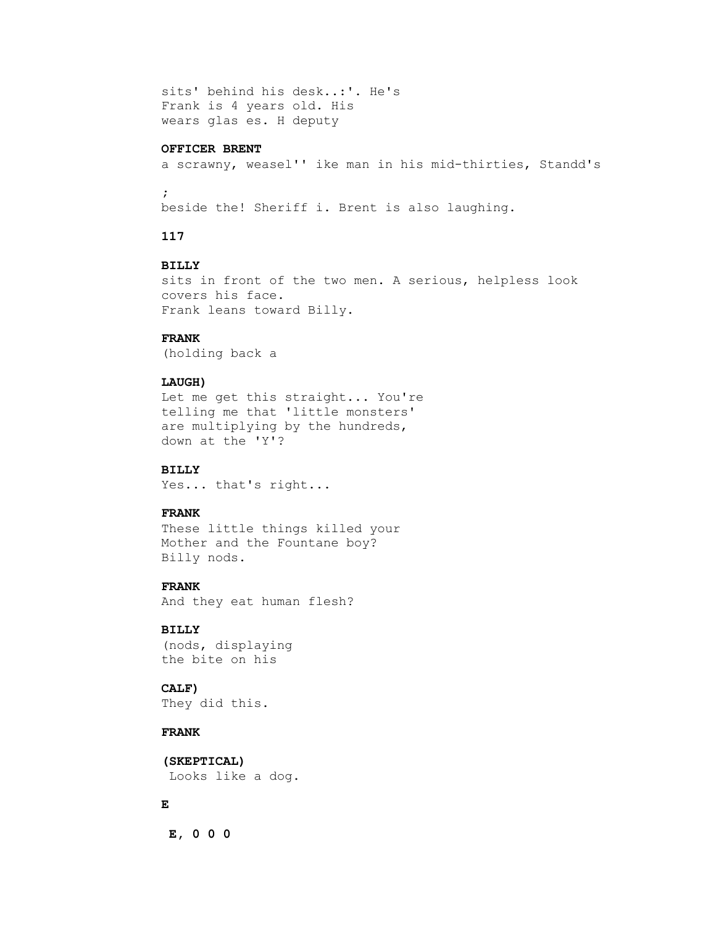```
 sits' behind his desk..:'. He's
Frank is 4 years old. His
wears glas es. H deputy
```
#### **OFFICER BRENT**

a scrawny, weasel'' ike man in his mid-thirties, Standd's

 $\mathbf{r}$ 

beside the! Sheriff i. Brent is also laughing.

# **117**

## **BILLY**

 sits in front of the two men. A serious, helpless look covers his face. Frank leans toward Billy.

# **FRANK**

(holding back a

#### **LAUGH)**

 Let me get this straight... You're telling me that 'little monsters' are multiplying by the hundreds, down at the 'Y'?

# **BILLY**

Yes... that's right...

## **FRANK**

 These little things killed your Mother and the Fountane boy? Billy nods.

#### **FRANK**

And they eat human flesh?

## **BILLY**

 (nods, displaying the bite on his

# **CALF)**

They did this.

# **FRANK**

 **(SKEPTICAL)** Looks like a dog.

# **E**

 **E, 0 0 0**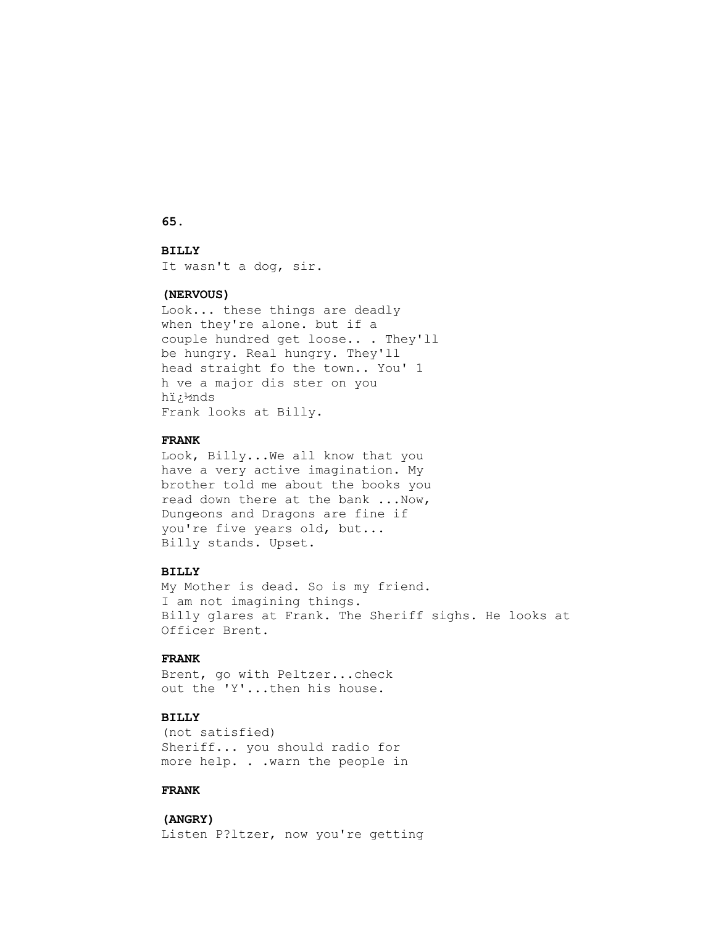## **65.**

## **BILLY**

It wasn't a dog, sir.

## **(NERVOUS)**

 Look... these things are deadly when they're alone. but if a couple hundred get loose.. . They'll be hungry. Real hungry. They'll head straight fo the town.. You' 1 h ve a major dis ster on you h�nds Frank looks at Billy.

#### **FRANK**

 Look, Billy...We all know that you have a very active imagination. My brother told me about the books you read down there at the bank ...Now, Dungeons and Dragons are fine if you're five years old, but... Billy stands. Upset.

# **BILLY**

 My Mother is dead. So is my friend. I am not imagining things. Billy glares at Frank. The Sheriff sighs. He looks at Officer Brent.

# **FRANK**

 Brent, go with Peltzer...check out the 'Y'...then his house.

# **BILLY**

 (not satisfied) Sheriff... you should radio for more help. . .warn the people in

# **FRANK**

 **(ANGRY)** Listen P?ltzer, now you're getting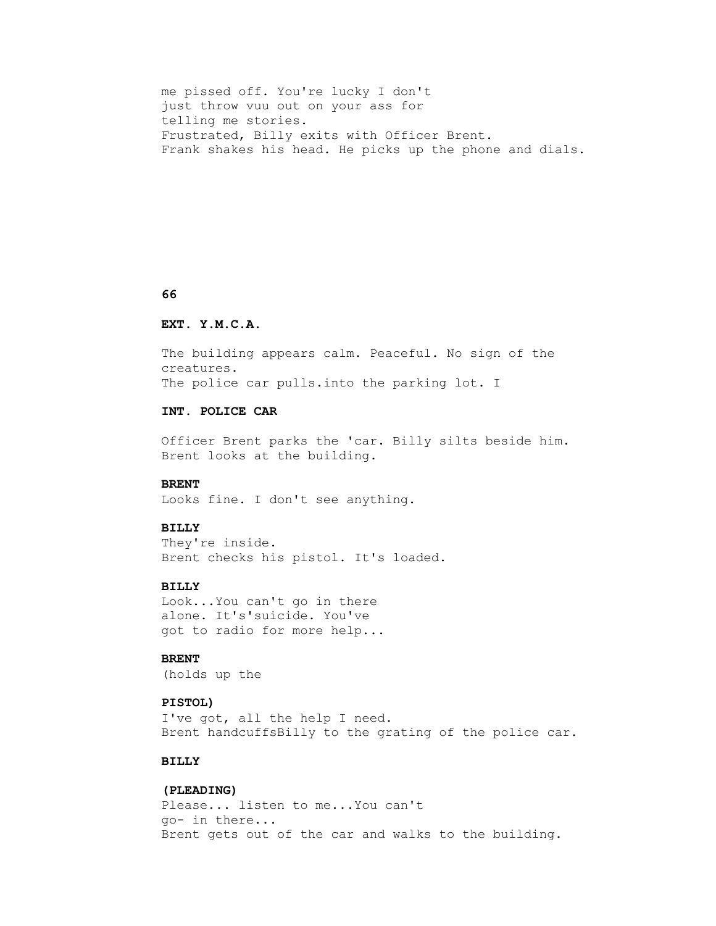```
 me pissed off. You're lucky I don't
just throw vuu out on your ass for
telling me stories.
Frustrated, Billy exits with Officer Brent.
Frank shakes his head. He picks up the phone and dials.
```
#### **66**

#### **EXT. Y.M.C.A.**

 The building appears calm. Peaceful. No sign of the creatures. The police car pulls. into the parking lot. I

# **INT. POLICE CAR**

 Officer Brent parks the 'car. Billy silts beside him. Brent looks at the building.

#### **BRENT**

Looks fine. I don't see anything.

# **BILLY**

 They're inside. Brent checks his pistol. It's loaded.

# **BILLY**

 Look...You can't go in there alone. It's'suicide. You've got to radio for more help...

# **BRENT**

(holds up the

#### **PISTOL)**

 I've got, all the help I need. Brent handcuffsBilly to the grating of the police car.

# **BILLY**

# **(PLEADING)**

 Please... listen to me...You can't go- in there... Brent gets out of the car and walks to the building.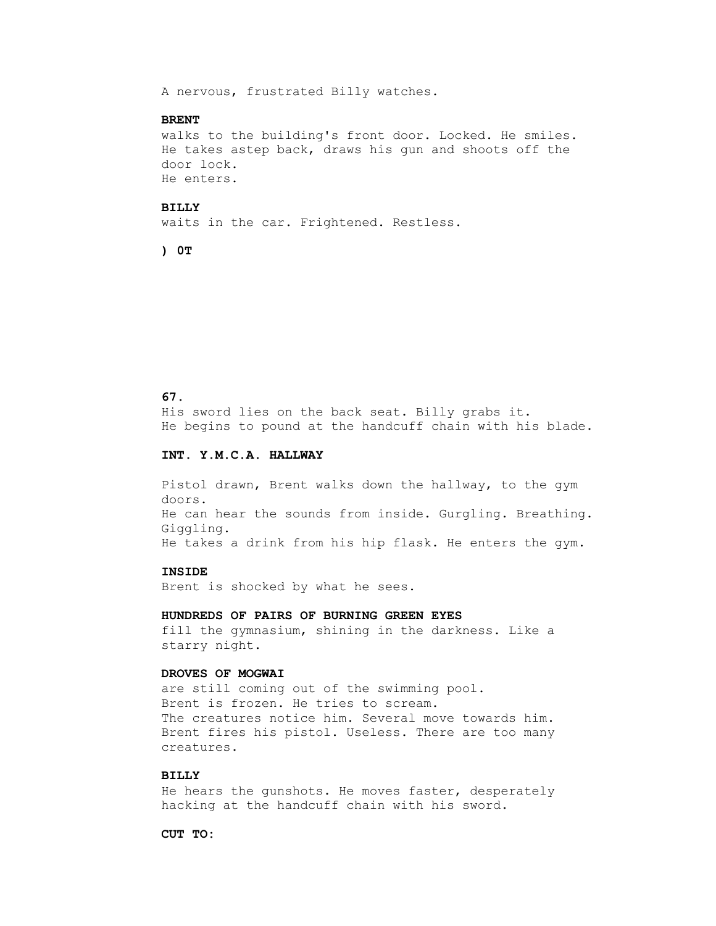A nervous, frustrated Billy watches.

#### **BRENT**

 walks to the building's front door. Locked. He smiles. He takes astep back, draws his gun and shoots off the door lock. He enters.

#### **BILLY**

waits in the car. Frightened. Restless.

 **) 0T**

#### **67.**

 His sword lies on the back seat. Billy grabs it. He begins to pound at the handcuff chain with his blade.

#### **INT. Y.M.C.A. HALLWAY**

 Pistol drawn, Brent walks down the hallway, to the gym doors. He can hear the sounds from inside. Gurgling. Breathing. Giggling. He takes a drink from his hip flask. He enters the gym.

#### **INSIDE**

Brent is shocked by what he sees.

 **HUNDREDS OF PAIRS OF BURNING GREEN EYES** fill the gymnasium, shining in the darkness. Like a starry night.

# **DROVES OF MOGWAI**

 are still coming out of the swimming pool. Brent is frozen. He tries to scream. The creatures notice him. Several move towards him. Brent fires his pistol. Useless. There are too many creatures.

# **BILLY**

 He hears the gunshots. He moves faster, desperately hacking at the handcuff chain with his sword.

 **CUT TO:**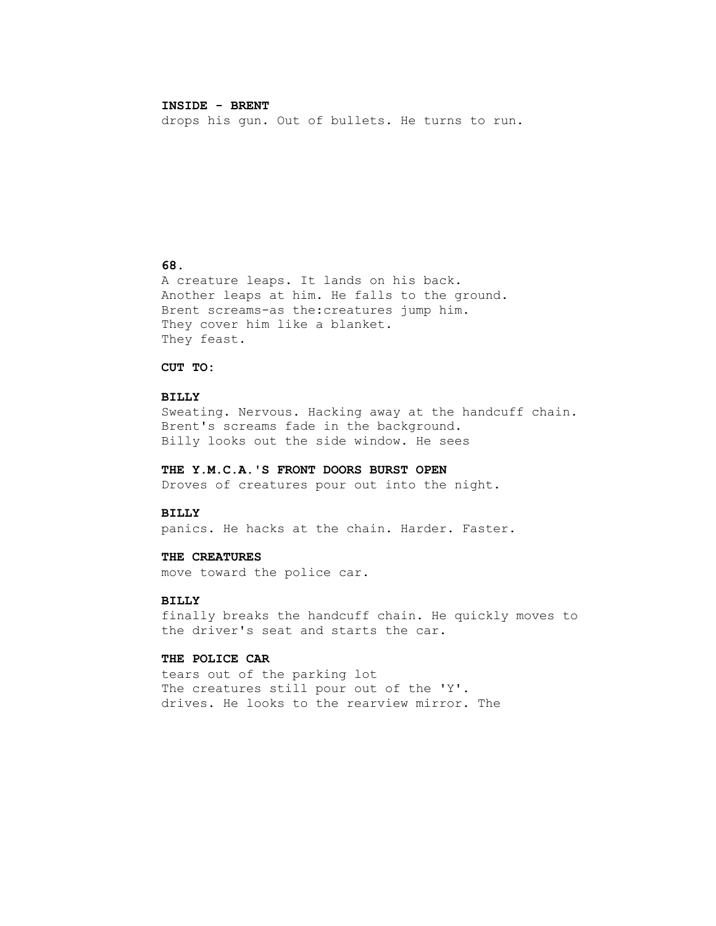## **INSIDE - BRENT**

drops his gun. Out of bullets. He turns to run.

# **68.**

 A creature leaps. It lands on his back. Another leaps at him. He falls to the ground. Brent screams-as the:creatures jump him. They cover him like a blanket. They feast.

## **CUT TO:**

#### **BILLY**

 Sweating. Nervous. Hacking away at the handcuff chain. Brent's screams fade in the background. Billy looks out the side window. He sees

#### **THE Y.M.C.A.'S FRONT DOORS BURST OPEN**

Droves of creatures pour out into the night.

#### **BILLY**

panics. He hacks at the chain. Harder. Faster.

#### **THE CREATURES**

move toward the police car.

## **BILLY**

 finally breaks the handcuff chain. He quickly moves to the driver's seat and starts the car.

#### **THE POLICE CAR**

 tears out of the parking lot The creatures still pour out of the 'Y'. drives. He looks to the rearview mirror. The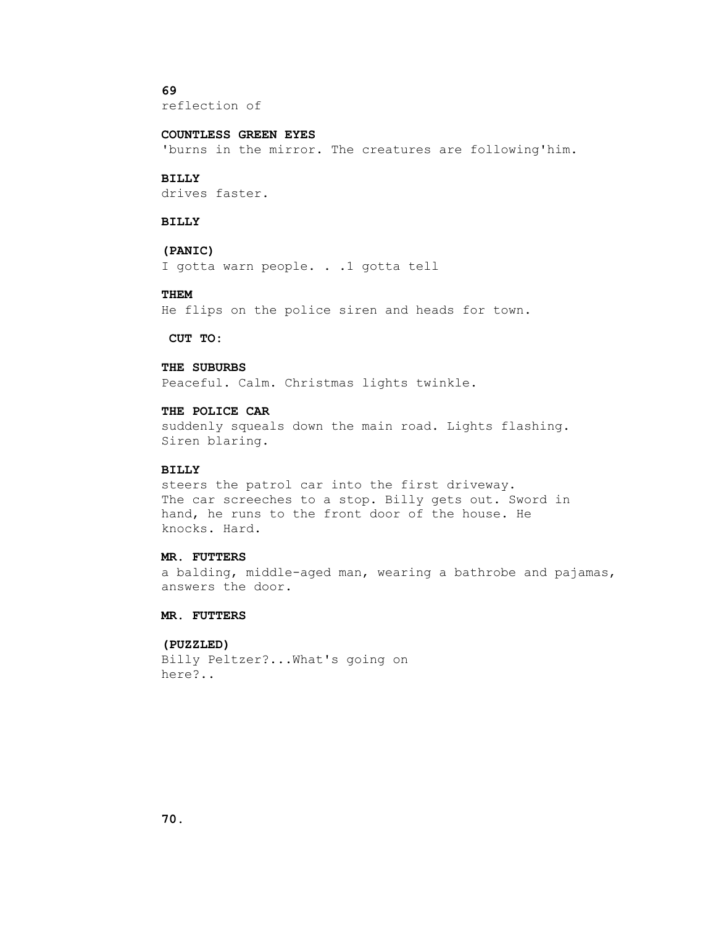# **69**

reflection of

## **COUNTLESS GREEN EYES**

'burns in the mirror. The creatures are following'him.

#### **BILLY**

drives faster.

# **BILLY**

# **(PANIC)**

I gotta warn people. . .1 gotta tell

#### **THEM**

He flips on the police siren and heads for town.

 **CUT TO:**

## **THE SUBURBS**

Peaceful. Calm. Christmas lights twinkle.

# **THE POLICE CAR**

 suddenly squeals down the main road. Lights flashing. Siren blaring.

## **BILLY**

 steers the patrol car into the first driveway. The car screeches to a stop. Billy gets out. Sword in hand, he runs to the front door of the house. He knocks. Hard.

#### **MR. FUTTERS**

 a balding, middle-aged man, wearing a bathrobe and pajamas, answers the door.

#### **MR. FUTTERS**

## **(PUZZLED)**

 Billy Peltzer?...What's going on here?..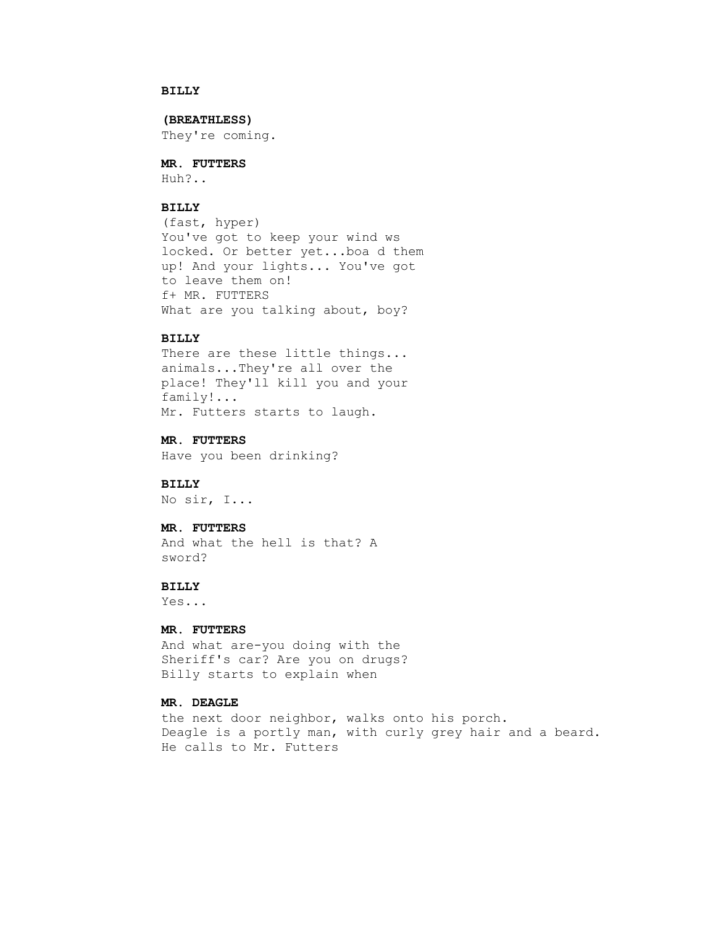# **BILLY**

 **(BREATHLESS)**

They're coming.

 **MR. FUTTERS**

Huh?..

#### **BILLY**

 (fast, hyper) You've got to keep your wind ws locked. Or better yet...boa d them up! And your lights... You've got to leave them on! f+ MR. FUTTERS What are you talking about, boy?

#### **BILLY**

 There are these little things... animals...They're all over the place! They'll kill you and your family!... Mr. Futters starts to laugh.

 **MR. FUTTERS** Have you been drinking?

 **BILLY** No sir, I...

#### **MR. FUTTERS**

 And what the hell is that? A sword?

# **BILLY**

Yes...

# **MR. FUTTERS**

 And what are-you doing with the Sheriff's car? Are you on drugs? Billy starts to explain when

# **MR. DEAGLE**

 the next door neighbor, walks onto his porch. Deagle is a portly man, with curly grey hair and a beard. He calls to Mr. Futters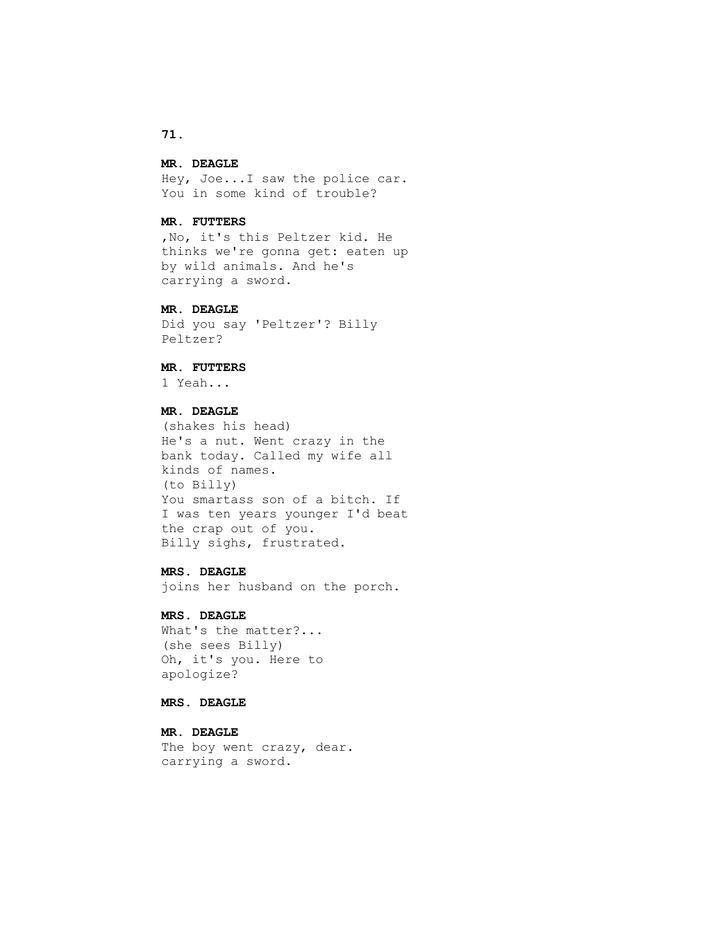#### **MR. DEAGLE**

 Hey, Joe...I saw the police car. You in some kind of trouble?

## **MR. FUTTERS**

 ,No, it's this Peltzer kid. He thinks we're gonna get: eaten up by wild animals. And he's carrying a sword.

# **MR. DEAGLE**

 Did you say 'Peltzer'? Billy Peltzer?

# **MR. FUTTERS**

1 Yeah...

# **MR. DEAGLE**

 (shakes his head) He's a nut. Went crazy in the bank today. Called my wife all kinds of names. (to Billy) You smartass son of a bitch. If I was ten years younger I'd beat the crap out of you. Billy sighs, frustrated.

## **MRS. DEAGLE**

joins her husband on the porch.

## **MRS. DEAGLE**

 What's the matter?... (she sees Billy) Oh, it's you. Here to apologize?

# **MRS. DEAGLE**

 **MR. DEAGLE** The boy went crazy, dear. carrying a sword.

# **71.**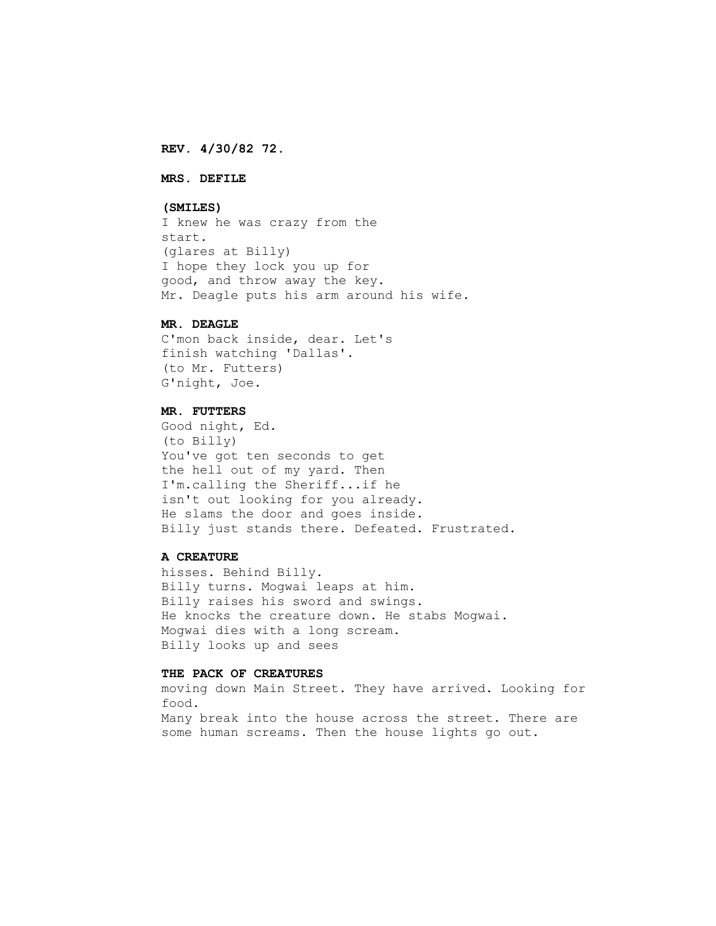**REV. 4/30/82 72.**

# **MRS. DEFILE**

#### **(SMILES)**

 I knew he was crazy from the start. (glares at Billy) I hope they lock you up for good, and throw away the key. Mr. Deagle puts his arm around his wife.

#### **MR. DEAGLE**

 C'mon back inside, dear. Let's finish watching 'Dallas'. (to Mr. Futters) G'night, Joe.

#### **MR. FUTTERS**

 Good night, Ed. (to Billy) You've got ten seconds to get the hell out of my yard. Then I'm.calling the Sheriff...if he isn't out looking for you already. He slams the door and goes inside. Billy just stands there. Defeated. Frustrated.

#### **A CREATURE**

 hisses. Behind Billy. Billy turns. Mogwai leaps at him. Billy raises his sword and swings. He knocks the creature down. He stabs Mogwai. Mogwai dies with a long scream. Billy looks up and sees

## **THE PACK OF CREATURES**

 moving down Main Street. They have arrived. Looking for food. Many break into the house across the street. There are some human screams. Then the house lights go out.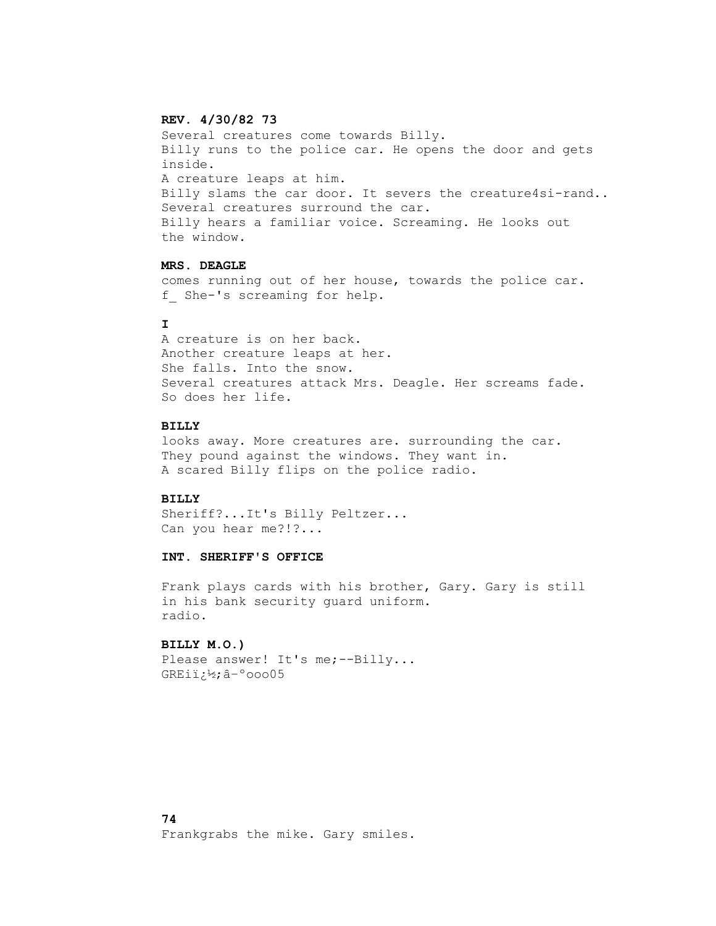## **REV. 4/30/82 73**

 Several creatures come towards Billy. Billy runs to the police car. He opens the door and gets inside. A creature leaps at him. Billy slams the car door. It severs the creature4si-rand.. Several creatures surround the car. Billy hears a familiar voice. Screaming. He looks out the window.

# **MRS. DEAGLE**

 comes running out of her house, towards the police car. f She-'s screaming for help.

## **I**

 A creature is on her back. Another creature leaps at her. She falls. Into the snow. Several creatures attack Mrs. Deagle. Her screams fade. So does her life.

#### **BILLY**

 looks away. More creatures are. surrounding the car. They pound against the windows. They want in. A scared Billy flips on the police radio.

## **BILLY**

 Sheriff?...It's Billy Peltzer... Can you hear me?!?...

#### **INT. SHERIFF'S OFFICE**

 Frank plays cards with his brother, Gary. Gary is still in his bank security guard uniform. radio.

## **BILLY M.O.)**

Please answer! It's me; --Billy... GREi�;â–ºooo05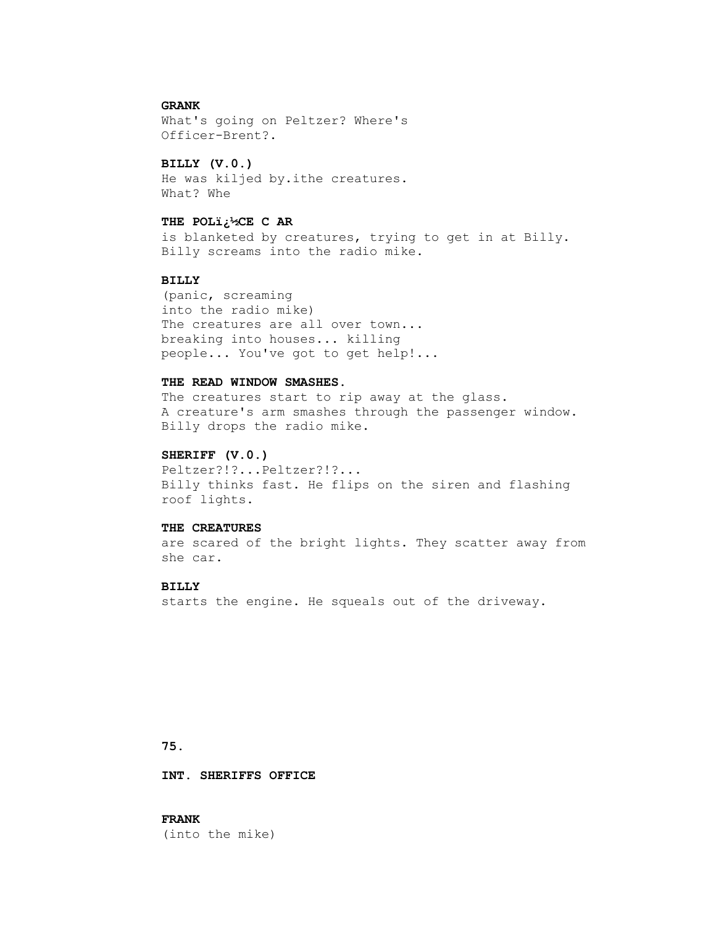# **GRANK**

 What's going on Peltzer? Where's Officer-Brent?.

#### **BILLY (V.0.)**

 He was kiljed by.ithe creatures. What? Whe

#### **THE POL�CE C AR**

 is blanketed by creatures, trying to get in at Billy. Billy screams into the radio mike.

### **BILLY**

 (panic, screaming into the radio mike) The creatures are all over town... breaking into houses... killing people... You've got to get help!...

### **THE READ WINDOW SMASHES.**

The creatures start to rip away at the glass. A creature's arm smashes through the passenger window. Billy drops the radio mike.

#### **SHERIFF (V.0.)**

 Peltzer?!?...Peltzer?!?... Billy thinks fast. He flips on the siren and flashing roof lights.

### **THE CREATURES**

 are scared of the bright lights. They scatter away from she car.

#### **BILLY**

starts the engine. He squeals out of the driveway.

# **75.**

 **INT. SHERIFFS OFFICE**

 **FRANK** (into the mike)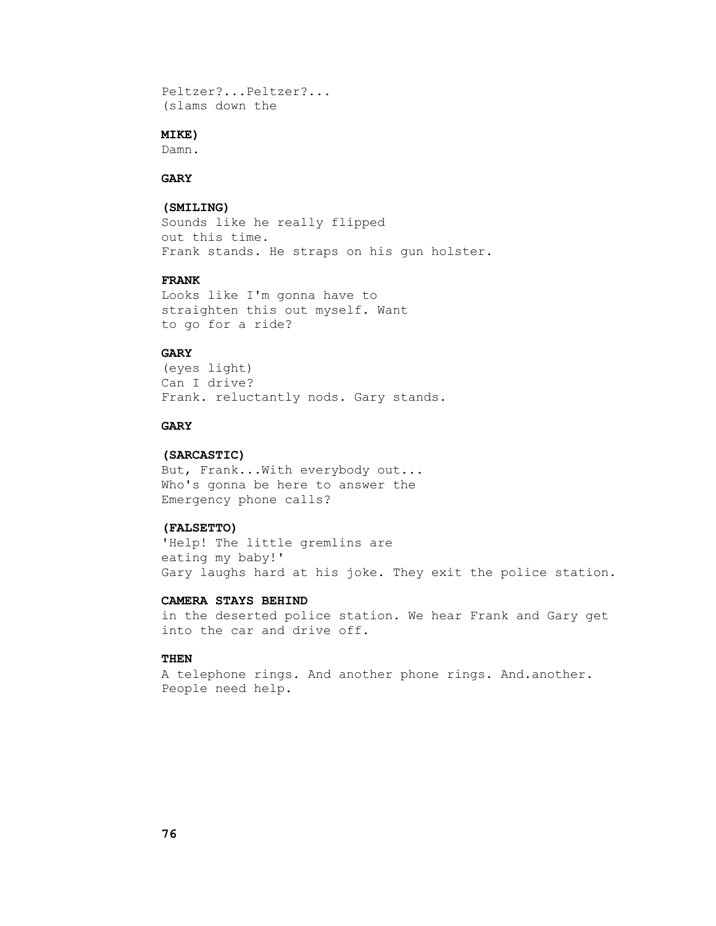```
 Peltzer?...Peltzer?...
(slams down the
```
# **MIKE)**

Damn.

# **GARY**

# **(SMILING)**

 Sounds like he really flipped out this time. Frank stands. He straps on his gun holster.

## **FRANK**

 Looks like I'm gonna have to straighten this out myself. Want to go for a ride?

# **GARY**

 (eyes light) Can I drive? Frank. reluctantly nods. Gary stands.

### **GARY**

### **(SARCASTIC)**

 But, Frank...With everybody out... Who's gonna be here to answer the Emergency phone calls?

## **(FALSETTO)**

 'Help! The little gremlins are eating my baby!' Gary laughs hard at his joke. They exit the police station.

# **CAMERA STAYS BEHIND**

 in the deserted police station. We hear Frank and Gary get into the car and drive off.

# **THEN**

 A telephone rings. And another phone rings. And.another. People need help.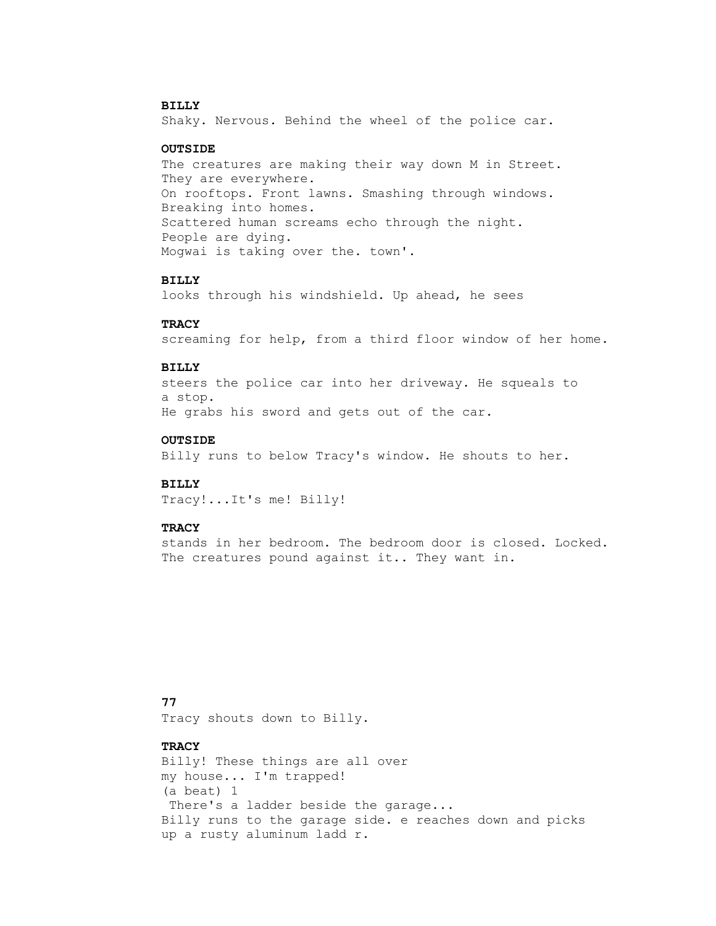# **BILLY**

Shaky. Nervous. Behind the wheel of the police car.

### **OUTSIDE**

 The creatures are making their way down M in Street. They are everywhere. On rooftops. Front lawns. Smashing through windows. Breaking into homes. Scattered human screams echo through the night. People are dying. Mogwai is taking over the. town'.

#### **BILLY**

looks through his windshield. Up ahead, he sees

#### **TRACY**

screaming for help, from a third floor window of her home.

#### **BILLY**

 steers the police car into her driveway. He squeals to a stop. He grabs his sword and gets out of the car.

#### **OUTSIDE**

Billy runs to below Tracy's window. He shouts to her.

#### **BILLY**

Tracy!...It's me! Billy!

### **TRACY**

 stands in her bedroom. The bedroom door is closed. Locked. The creatures pound against it.. They want in.

## **77**

Tracy shouts down to Billy.

# **TRACY**

 Billy! These things are all over my house... I'm trapped! (a beat) 1 There's a ladder beside the garage... Billy runs to the garage side. e reaches down and picks up a rusty aluminum ladd r.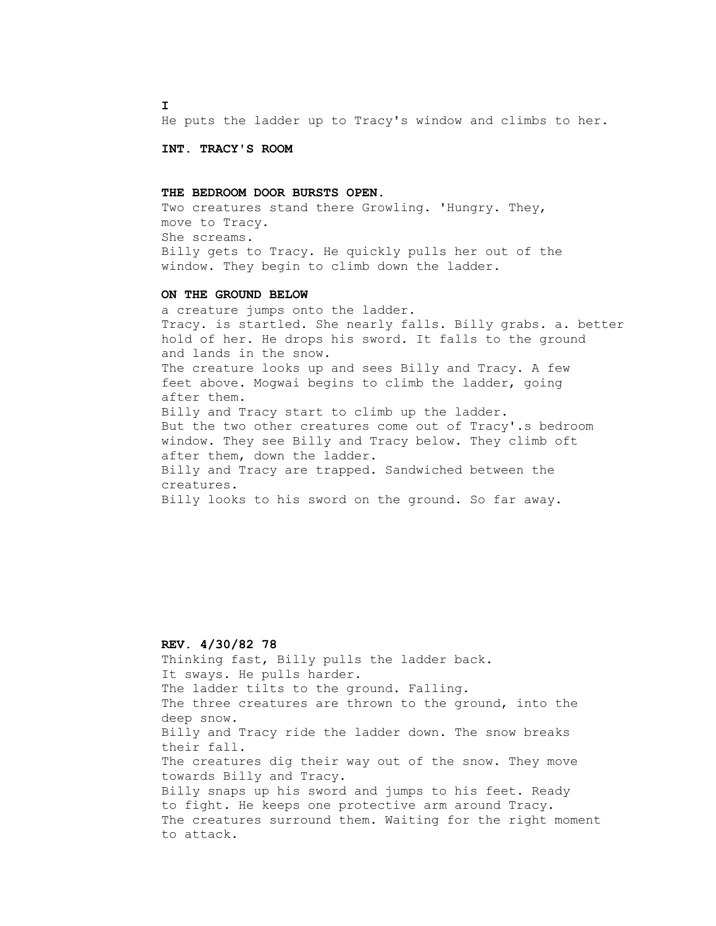**I**

He puts the ladder up to Tracy's window and climbs to her.

 **INT. TRACY'S ROOM**

#### **THE BEDROOM DOOR BURSTS OPEN.**

 Two creatures stand there Growling. 'Hungry. They, move to Tracy. She screams. Billy gets to Tracy. He quickly pulls her out of the window. They begin to climb down the ladder.

### **ON THE GROUND BELOW**

 a creature jumps onto the ladder. Tracy. is startled. She nearly falls. Billy grabs. a. better hold of her. He drops his sword. It falls to the ground and lands in the snow. The creature looks up and sees Billy and Tracy. A few feet above. Mogwai begins to climb the ladder, going after them. Billy and Tracy start to climb up the ladder. But the two other creatures come out of Tracy'.s bedroom window. They see Billy and Tracy below. They climb oft after them, down the ladder. Billy and Tracy are trapped. Sandwiched between the creatures. Billy looks to his sword on the ground. So far away.

## **REV. 4/30/82 78**

 Thinking fast, Billy pulls the ladder back. It sways. He pulls harder. The ladder tilts to the ground. Falling. The three creatures are thrown to the ground, into the deep snow. Billy and Tracy ride the ladder down. The snow breaks their fall. The creatures dig their way out of the snow. They move towards Billy and Tracy. Billy snaps up his sword and jumps to his feet. Ready to fight. He keeps one protective arm around Tracy. The creatures surround them. Waiting for the right moment to attack.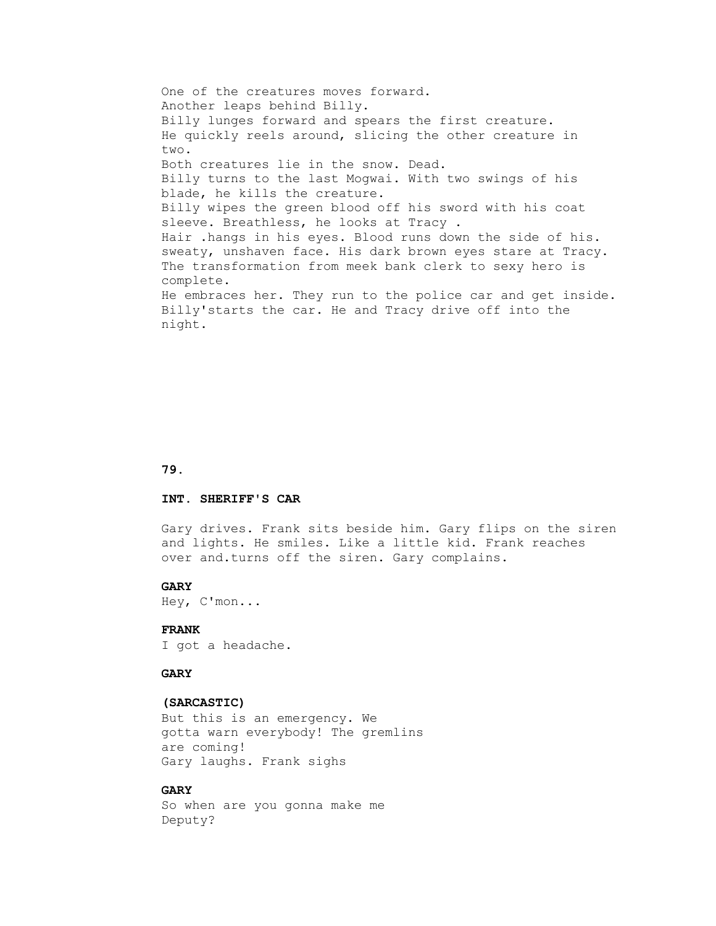One of the creatures moves forward. Another leaps behind Billy. Billy lunges forward and spears the first creature. He quickly reels around, slicing the other creature in two. Both creatures lie in the snow. Dead. Billy turns to the last Mogwai. With two swings of his blade, he kills the creature. Billy wipes the green blood off his sword with his coat sleeve. Breathless, he looks at Tracy . Hair .hangs in his eyes. Blood runs down the side of his. sweaty, unshaven face. His dark brown eyes stare at Tracy. The transformation from meek bank clerk to sexy hero is complete. He embraces her. They run to the police car and get inside. Billy'starts the car. He and Tracy drive off into the night.

### **79.**

### **INT. SHERIFF'S CAR**

 Gary drives. Frank sits beside him. Gary flips on the siren and lights. He smiles. Like a little kid. Frank reaches over and.turns off the siren. Gary complains.

#### **GARY**

Hey, C'mon...

# **FRANK**

I got a headache.

#### **GARY**

#### **(SARCASTIC)**

 But this is an emergency. We gotta warn everybody! The gremlins are coming! Gary laughs. Frank sighs

#### **GARY**

 So when are you gonna make me Deputy?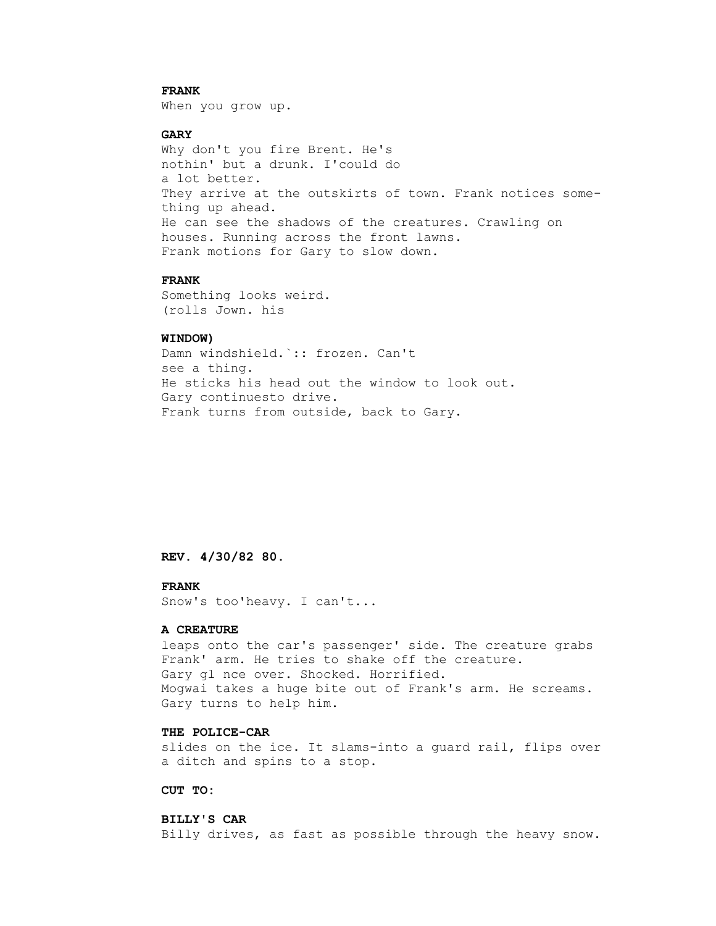# **FRANK**

When you grow up.

# **GARY**

 Why don't you fire Brent. He's nothin' but a drunk. I'could do a lot better. They arrive at the outskirts of town. Frank notices some thing up ahead. He can see the shadows of the creatures. Crawling on houses. Running across the front lawns. Frank motions for Gary to slow down.

## **FRANK**

 Something looks weird. (rolls Jown. his

## **WINDOW)**

 Damn windshield.`:: frozen. Can't see a thing. He sticks his head out the window to look out. Gary continuesto drive. Frank turns from outside, back to Gary.

 **REV. 4/30/82 80.**

# **FRANK**

Snow's too'heavy. I can't...

### **A CREATURE**

 leaps onto the car's passenger' side. The creature grabs Frank' arm. He tries to shake off the creature. Gary gl nce over. Shocked. Horrified. Mogwai takes a huge bite out of Frank's arm. He screams. Gary turns to help him.

# **THE POLICE-CAR**

 slides on the ice. It slams-into a guard rail, flips over a ditch and spins to a stop.

### **CUT TO:**

# **BILLY'S CAR**

Billy drives, as fast as possible through the heavy snow.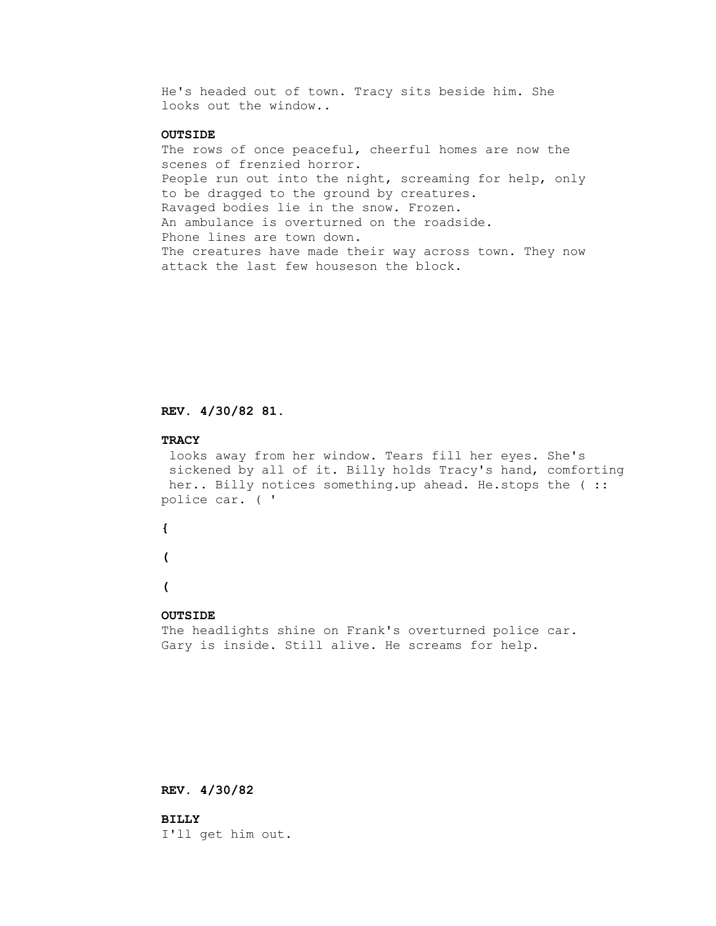He's headed out of town. Tracy sits beside him. She looks out the window..

# **OUTSIDE**

 The rows of once peaceful, cheerful homes are now the scenes of frenzied horror. People run out into the night, screaming for help, only to be dragged to the ground by creatures. Ravaged bodies lie in the snow. Frozen. An ambulance is overturned on the roadside. Phone lines are town down. The creatures have made their way across town. They now attack the last few houseson the block.

# **REV. 4/30/82 81.**

#### **TRACY**

 looks away from her window. Tears fill her eyes. She's sickened by all of it. Billy holds Tracy's hand, comforting her.. Billy notices something.up ahead. He.stops the (:: police car. ( '

 **{**

 **(** 

 **(** 

## **OUTSIDE**

 The headlights shine on Frank's overturned police car. Gary is inside. Still alive. He screams for help.

### **REV. 4/30/82**

 **BILLY** I'll get him out.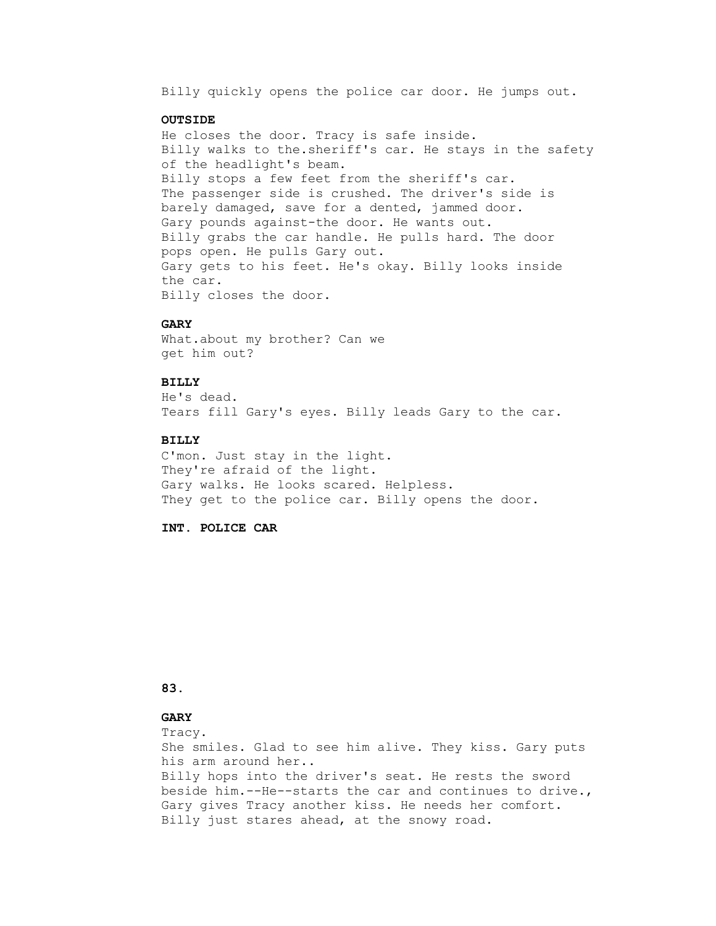Billy quickly opens the police car door. He jumps out.

#### **OUTSIDE**

 He closes the door. Tracy is safe inside. Billy walks to the.sheriff's car. He stays in the safety of the headlight's beam. Billy stops a few feet from the sheriff's car. The passenger side is crushed. The driver's side is barely damaged, save for a dented, jammed door. Gary pounds against-the door. He wants out. Billy grabs the car handle. He pulls hard. The door pops open. He pulls Gary out. Gary gets to his feet. He's okay. Billy looks inside the car. Billy closes the door.

#### **GARY**

 What.about my brother? Can we get him out?

### **BILLY**

 He's dead. Tears fill Gary's eyes. Billy leads Gary to the car.

#### **BILLY**

 C'mon. Just stay in the light. They're afraid of the light. Gary walks. He looks scared. Helpless. They get to the police car. Billy opens the door.

 **INT. POLICE CAR**

# **83.**

# **GARY**

Tracy.

 She smiles. Glad to see him alive. They kiss. Gary puts his arm around her.. Billy hops into the driver's seat. He rests the sword beside him.--He--starts the car and continues to drive., Gary gives Tracy another kiss. He needs her comfort. Billy just stares ahead, at the snowy road.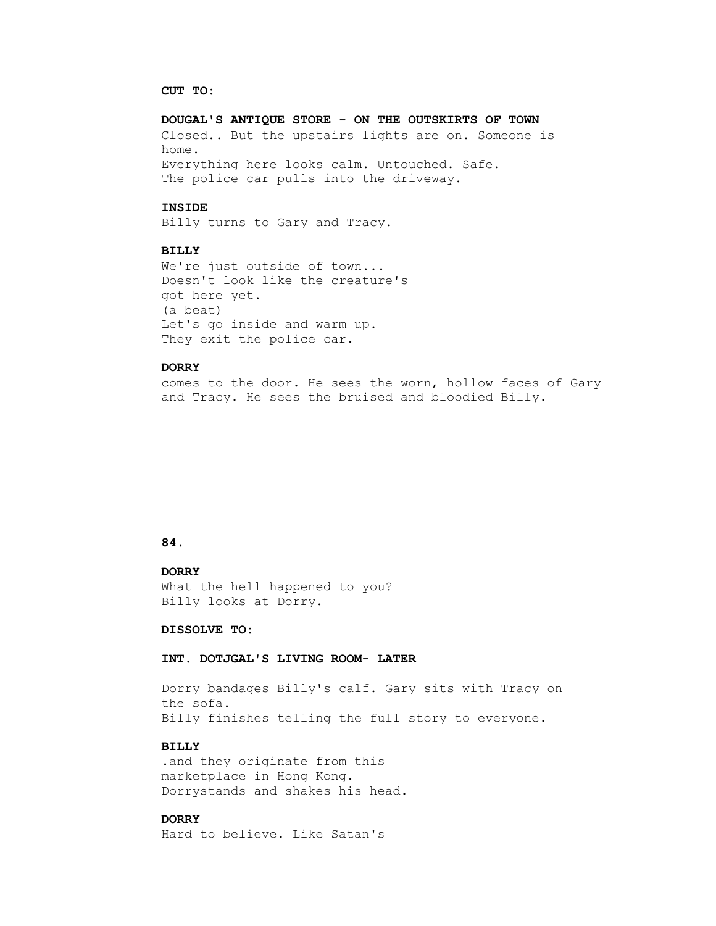#### **CUT TO:**

# **DOUGAL'S ANTIQUE STORE - ON THE OUTSKIRTS OF TOWN** Closed.. But the upstairs lights are on. Someone is home. Everything here looks calm. Untouched. Safe. The police car pulls into the driveway.

#### **INSIDE**

Billy turns to Gary and Tracy.

# **BILLY**

We're just outside of town... Doesn't look like the creature's got here yet. (a beat) Let's go inside and warm up. They exit the police car.

### **DORRY**

 comes to the door. He sees the worn, hollow faces of Gary and Tracy. He sees the bruised and bloodied Billy.

## **84.**

# **DORRY** What the hell happened to you? Billy looks at Dorry.

#### **DISSOLVE TO:**

#### **INT. DOTJGAL'S LIVING ROOM- LATER**

 Dorry bandages Billy's calf. Gary sits with Tracy on the sofa. Billy finishes telling the full story to everyone.

### **BILLY**

 .and they originate from this marketplace in Hong Kong. Dorrystands and shakes his head.

# **DORRY**

Hard to believe. Like Satan's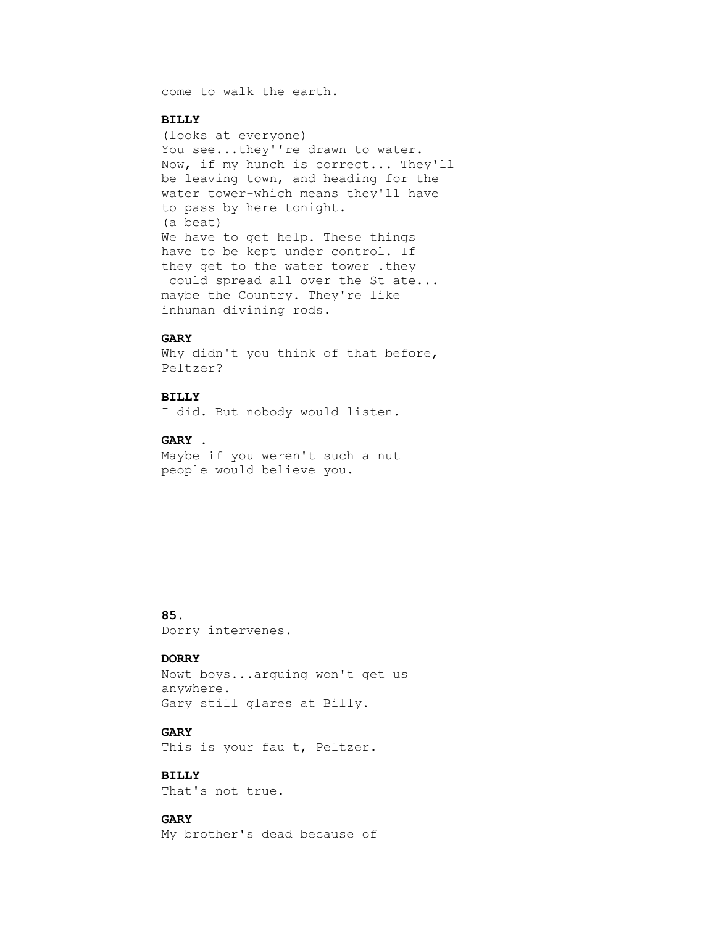come to walk the earth.

### **BILLY**

 (looks at everyone) You see...they''re drawn to water. Now, if my hunch is correct... They'll be leaving town, and heading for the water tower-which means they'll have to pass by here tonight. (a beat) We have to get help. These things have to be kept under control. If they get to the water tower .they could spread all over the St ate... maybe the Country. They're like inhuman divining rods.

# **GARY**

Why didn't you think of that before, Peltzer?

# **BILLY**

I did. But nobody would listen.

#### **GARY .**

 Maybe if you weren't such a nut people would believe you.

# **85.**

Dorry intervenes.

# **DORRY**

 Nowt boys...arguing won't get us anywhere. Gary still glares at Billy.

# **GARY**

This is your fau t, Peltzer.

# **BILLY**

That's not true.

# **GARY**

My brother's dead because of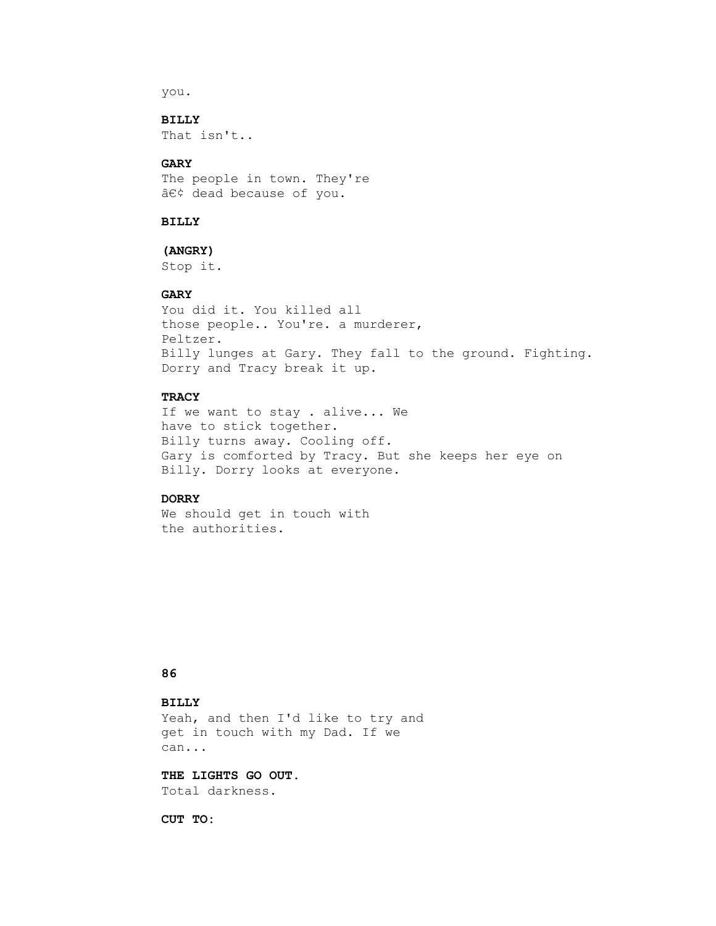you.

# **BILLY**

That isn't..

# **GARY**

 The people in town. They're • dead because of you.

### **BILLY**

# **(ANGRY)**

Stop it.

# **GARY**

 You did it. You killed all those people.. You're. a murderer, Peltzer. Billy lunges at Gary. They fall to the ground. Fighting. Dorry and Tracy break it up.

# **TRACY**

 If we want to stay . alive... We have to stick together. Billy turns away. Cooling off. Gary is comforted by Tracy. But she keeps her eye on Billy. Dorry looks at everyone.

## **DORRY**

 We should get in touch with the authorities.

### **86**

# **BILLY**

 Yeah, and then I'd like to try and get in touch with my Dad. If we can...

# **THE LIGHTS GO OUT.**

Total darkness.

 **CUT TO:**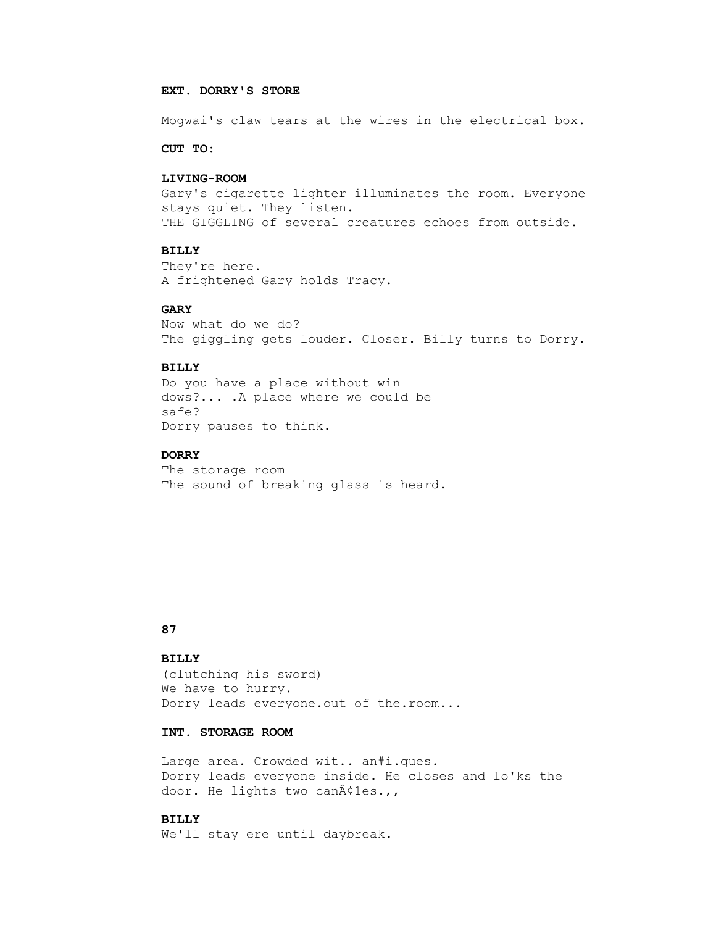### **EXT. DORRY'S STORE**

Mogwai's claw tears at the wires in the electrical box.

 **CUT TO:**

#### **LIVING-ROOM**

 Gary's cigarette lighter illuminates the room. Everyone stays quiet. They listen. THE GIGGLING of several creatures echoes from outside.

## **BILLY**

 They're here. A frightened Gary holds Tracy.

### **GARY**

 Now what do we do? The giggling gets louder. Closer. Billy turns to Dorry.

#### **BILLY**

 Do you have a place without win dows?... .A place where we could be safe? Dorry pauses to think.

# **DORRY**

 The storage room The sound of breaking glass is heard.

# **87**

# **BILLY**

 (clutching his sword) We have to hurry. Dorry leads everyone.out of the.room...

# **INT. STORAGE ROOM**

 Large area. Crowded wit.. an#i.ques. Dorry leads everyone inside. He closes and lo'ks the door. He lights two can¢les.,,

# **BILLY**

We'll stay ere until daybreak.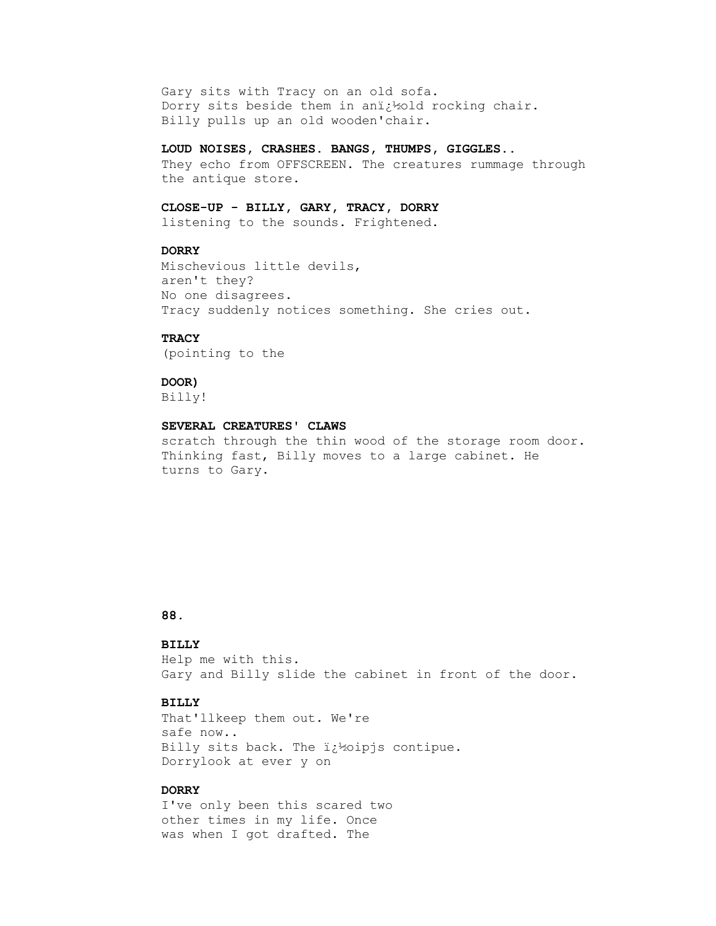Gary sits with Tracy on an old sofa. Dorry sits beside them in ani¿½old rocking chair. Billy pulls up an old wooden'chair.

### **LOUD NOISES, CRASHES. BANGS, THUMPS, GIGGLES..**

 They echo from OFFSCREEN. The creatures rummage through the antique store.

### **CLOSE-UP - BILLY, GARY, TRACY, DORRY**

listening to the sounds. Frightened.

# **DORRY**

 Mischevious little devils, aren't they? No one disagrees. Tracy suddenly notices something. She cries out.

# **TRACY**

(pointing to the

# **DOOR)**

Billy!

# **SEVERAL CREATURES' CLAWS**

 scratch through the thin wood of the storage room door. Thinking fast, Billy moves to a large cabinet. He turns to Gary.

# **88.**

# **BILLY**

 Help me with this. Gary and Billy slide the cabinet in front of the door.

#### **BILLY**

 That'llkeep them out. We're safe now.. Billy sits back. The  $i \nmid$  poipjs contipue. Dorrylook at ever y on

### **DORRY**

 I've only been this scared two other times in my life. Once was when I got drafted. The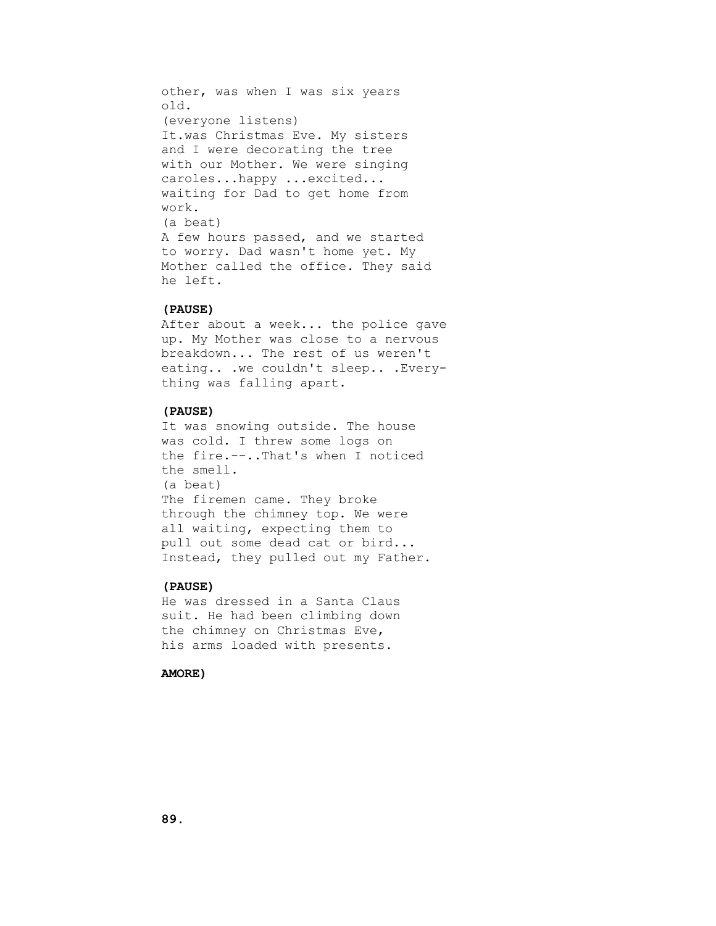other, was when I was six years old. (everyone listens) It.was Christmas Eve. My sisters and I were decorating the tree with our Mother. We were singing caroles...happy ...excited... waiting for Dad to get home from work. (a beat) A few hours passed, and we started to worry. Dad wasn't home yet. My Mother called the office. They said he left.

# **(PAUSE)**

 After about a week... the police gave up. My Mother was close to a nervous breakdown... The rest of us weren't eating.. .we couldn't sleep.. .Every thing was falling apart.

# **(PAUSE)**

 It was snowing outside. The house was cold. I threw some logs on the fire.--..That's when I noticed the smell. (a beat) The firemen came. They broke through the chimney top. We were all waiting, expecting them to pull out some dead cat or bird... Instead, they pulled out my Father.

### **(PAUSE)**

 He was dressed in a Santa Claus suit. He had been climbing down the chimney on Christmas Eve, his arms loaded with presents.

# **AMORE)**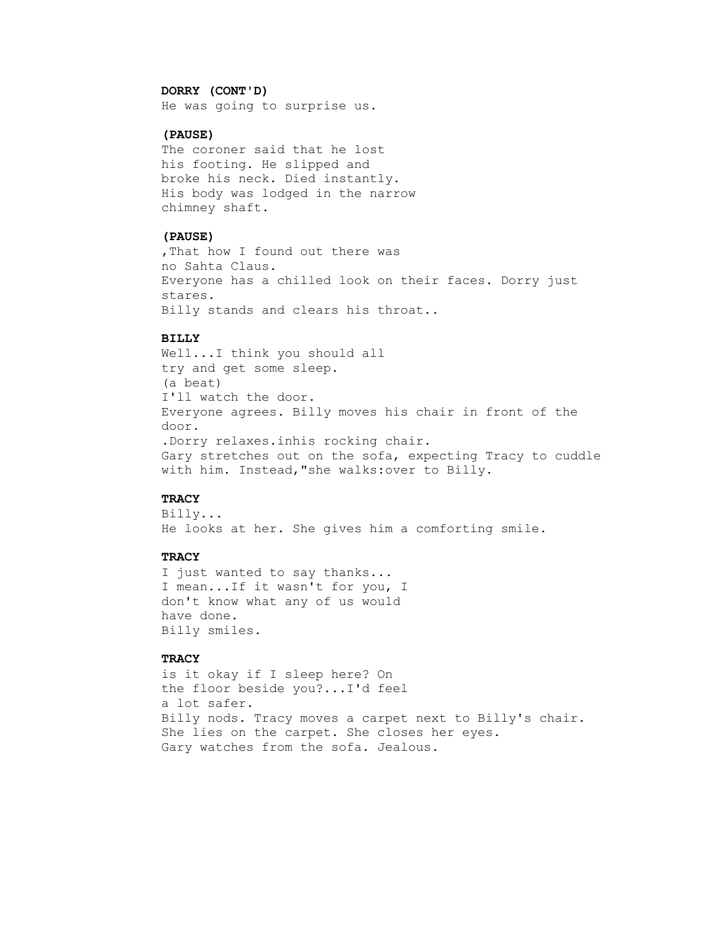#### **DORRY (CONT'D)**

He was going to surprise us.

# **(PAUSE)**

 The coroner said that he lost his footing. He slipped and broke his neck. Died instantly. His body was lodged in the narrow chimney shaft.

# **(PAUSE)**

 ,That how I found out there was no Sahta Claus. Everyone has a chilled look on their faces. Dorry just stares. Billy stands and clears his throat..

#### **BILLY**

 Well...I think you should all try and get some sleep. (a beat) I'll watch the door. Everyone agrees. Billy moves his chair in front of the door. .Dorry relaxes.inhis rocking chair. Gary stretches out on the sofa, expecting Tracy to cuddle with him. Instead,"she walks:over to Billy.

## **TRACY**

 Billy... He looks at her. She gives him a comforting smile.

### **TRACY**

 I just wanted to say thanks... I mean...If it wasn't for you, I don't know what any of us would have done. Billy smiles.

# **TRACY**

 is it okay if I sleep here? On the floor beside you?...I'd feel a lot safer. Billy nods. Tracy moves a carpet next to Billy's chair. She lies on the carpet. She closes her eyes. Gary watches from the sofa. Jealous.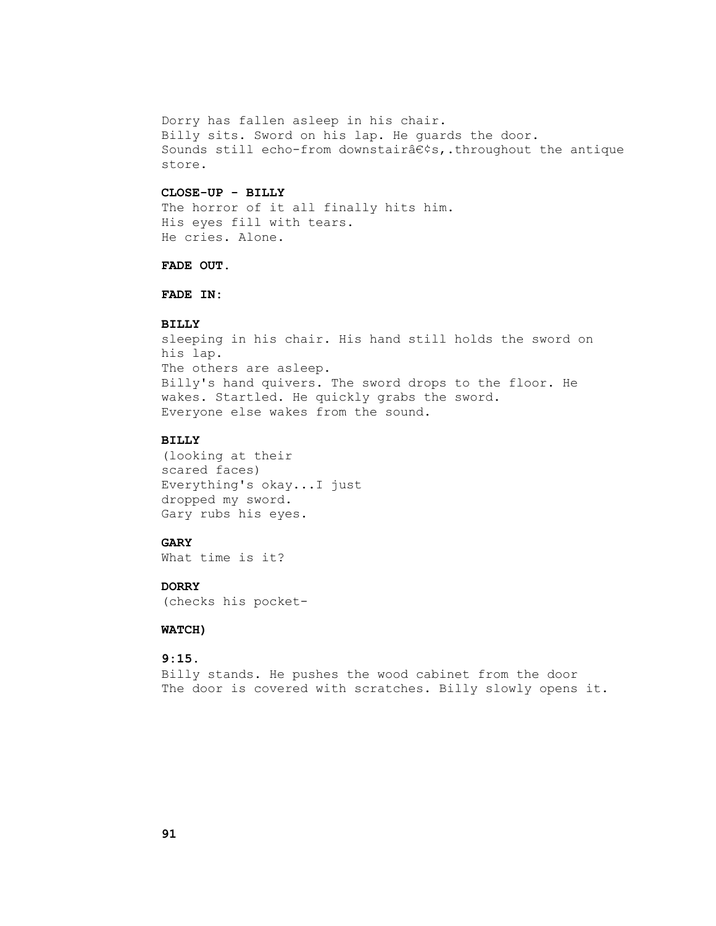Dorry has fallen asleep in his chair. Billy sits. Sword on his lap. He guards the door. Sounds still echo-from downstaira $\epsilon$ ¢s,.throughout the antique store.

### **CLOSE-UP - BILLY**

The horror of it all finally hits him. His eyes fill with tears. He cries. Alone.

### **FADE OUT.**

 **FADE IN:**

#### **BILLY**

 sleeping in his chair. His hand still holds the sword on his lap. The others are asleep. Billy's hand quivers. The sword drops to the floor. He wakes. Startled. He quickly grabs the sword. Everyone else wakes from the sound.

#### **BILLY**

 (looking at their scared faces) Everything's okay...I just dropped my sword. Gary rubs his eyes.

### **GARY**

What time is it?

# **DORRY**

(checks his pocket-

# **WATCH)**

# **9:15.**

 Billy stands. He pushes the wood cabinet from the door The door is covered with scratches. Billy slowly opens it.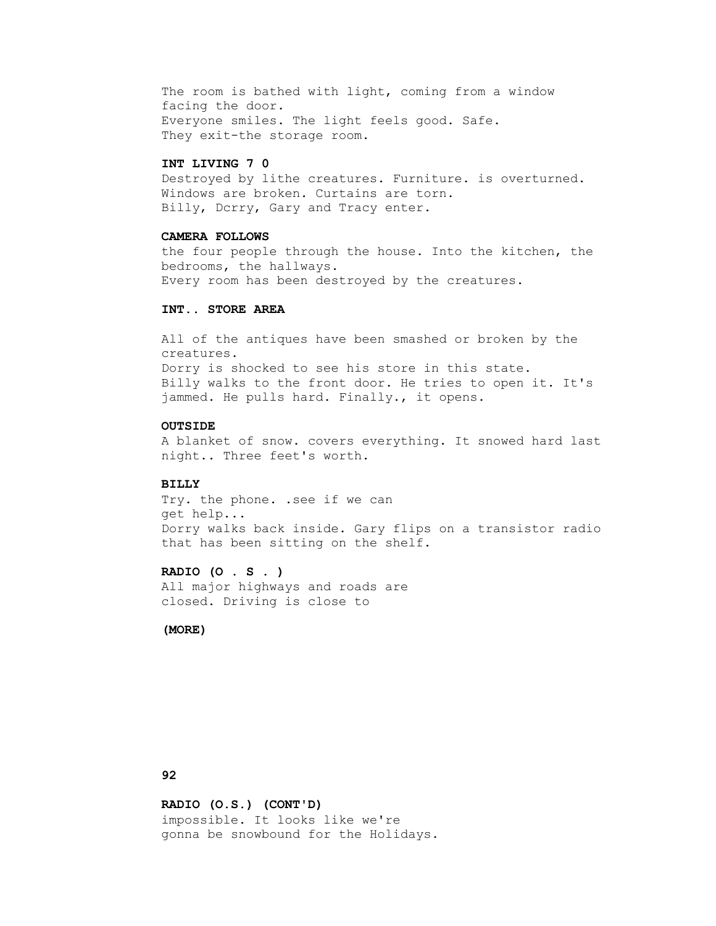The room is bathed with light, coming from a window facing the door. Everyone smiles. The light feels good. Safe. They exit-the storage room.

#### **INT LIVING 7 0**

 Destroyed by lithe creatures. Furniture. is overturned. Windows are broken. Curtains are torn. Billy, Dcrry, Gary and Tracy enter.

#### **CAMERA FOLLOWS**

 the four people through the house. Into the kitchen, the bedrooms, the hallways. Every room has been destroyed by the creatures.

### **INT.. STORE AREA**

 All of the antiques have been smashed or broken by the creatures. Dorry is shocked to see his store in this state. Billy walks to the front door. He tries to open it. It's jammed. He pulls hard. Finally., it opens.

# **OUTSIDE**

 A blanket of snow. covers everything. It snowed hard last night.. Three feet's worth.

#### **BILLY**

 Try. the phone. .see if we can get help... Dorry walks back inside. Gary flips on a transistor radio that has been sitting on the shelf.

# **RADIO (O . S . )**

 All major highways and roads are closed. Driving is close to

# **(MORE)**

# **92**

 **RADIO (O.S.) (CONT'D)** impossible. It looks like we're gonna be snowbound for the Holidays.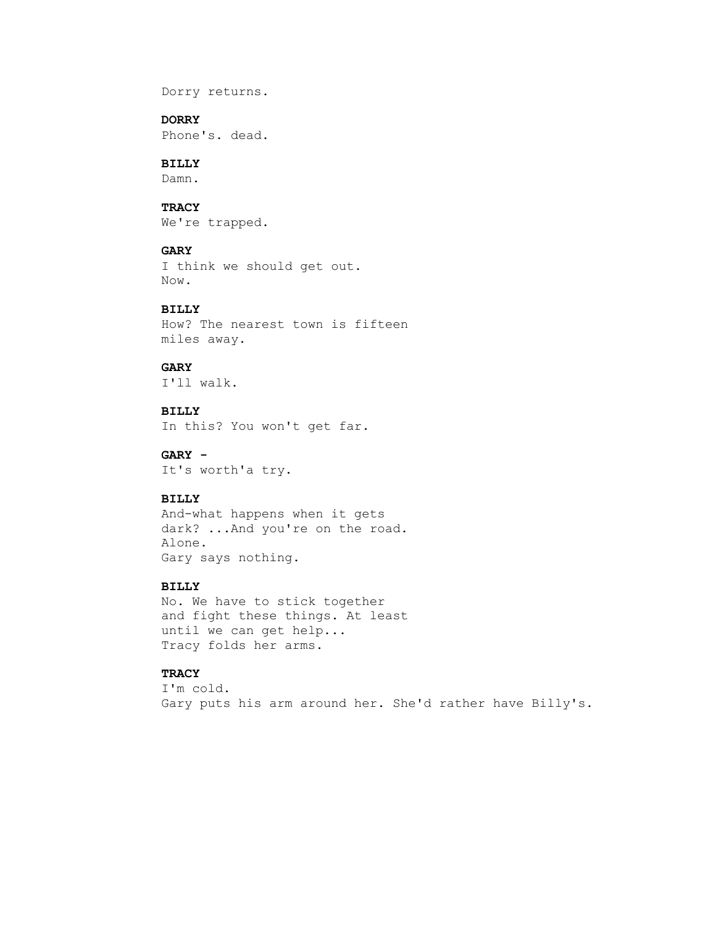Dorry returns.

# **DORRY**

Phone's. dead.

# **BILLY**

Damn.

# **TRACY**

We're trapped.

# **GARY**

```
 I think we should get out.
Now.
```
# **BILLY**

 How? The nearest town is fifteen miles away.

## **GARY**

I'll walk.

 **BILLY** In this? You won't get far.

 **GARY -** It's worth'a try.

## **BILLY**

 And-what happens when it gets dark? ...And you're on the road. Alone. Gary says nothing.

# **BILLY**

 No. We have to stick together and fight these things. At least until we can get help... Tracy folds her arms.

### **TRACY**

 I'm cold. Gary puts his arm around her. She'd rather have Billy's.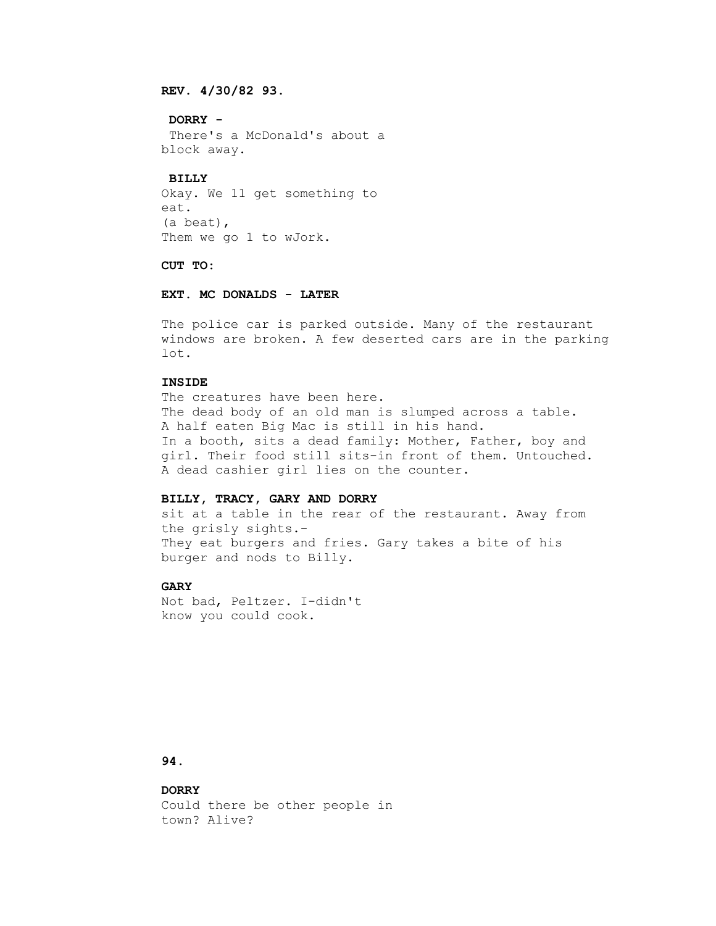# **REV. 4/30/82 93.**

 **DORRY -**

 There's a McDonald's about a block away.

## **BILLY**

 Okay. We 11 get something to eat. (a beat), Them we go 1 to wJork.

#### **CUT TO:**

# **EXT. MC DONALDS - LATER**

 The police car is parked outside. Many of the restaurant windows are broken. A few deserted cars are in the parking lot.

#### **INSIDE**

The creatures have been here. The dead body of an old man is slumped across a table. A half eaten Big Mac is still in his hand. In a booth, sits a dead family: Mother, Father, boy and girl. Their food still sits-in front of them. Untouched. A dead cashier girl lies on the counter.

### **BILLY, TRACY, GARY AND DORRY**

 sit at a table in the rear of the restaurant. Away from the grisly sights.- They eat burgers and fries. Gary takes a bite of his burger and nods to Billy.

# **GARY**

 Not bad, Peltzer. I-didn't know you could cook.

# **94.**

# **DORRY**

 Could there be other people in town? Alive?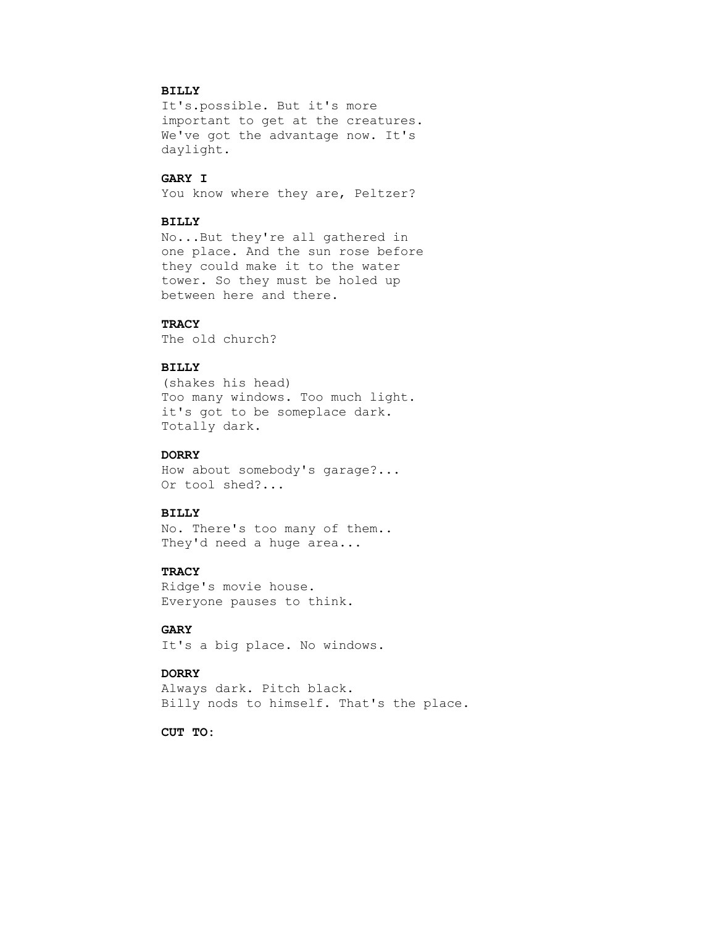# **BILLY**

 It's.possible. But it's more important to get at the creatures. We've got the advantage now. It's daylight.

# **GARY I**

You know where they are, Peltzer?

### **BILLY**

 No...But they're all gathered in one place. And the sun rose before they could make it to the water tower. So they must be holed up between here and there.

#### **TRACY**

The old church?

# **BILLY**

 (shakes his head) Too many windows. Too much light. it's got to be someplace dark. Totally dark.

# **DORRY**

 How about somebody's garage?... Or tool shed?...

## **BILLY**

 No. There's too many of them.. They'd need a huge area...

## **TRACY**

 Ridge's movie house. Everyone pauses to think.

# **GARY**

It's a big place. No windows.

### **DORRY**

 Always dark. Pitch black. Billy nods to himself. That's the place.

 **CUT TO:**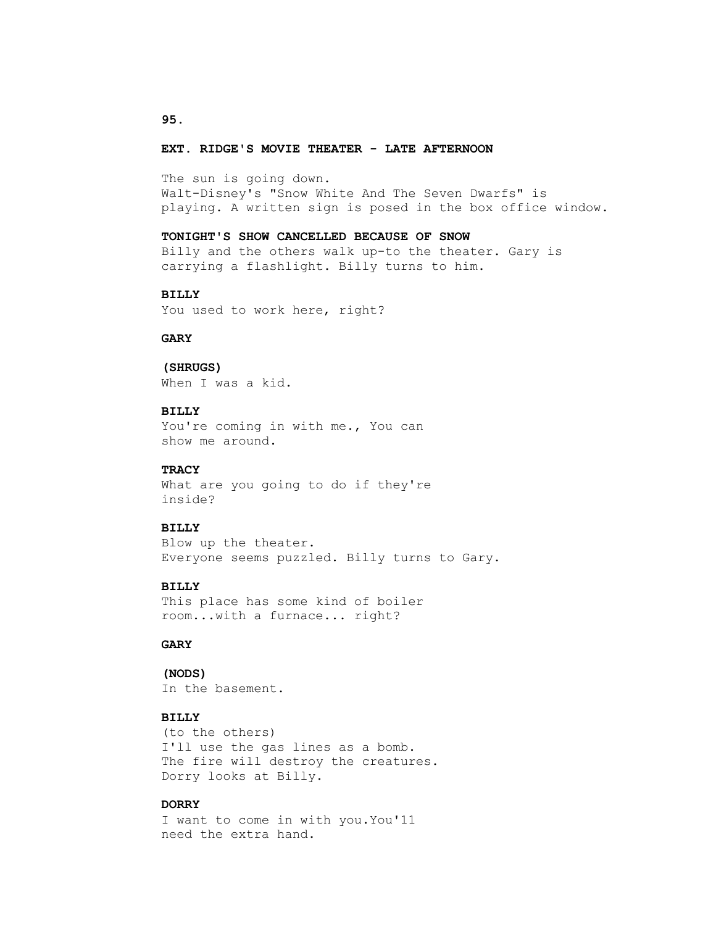#### **EXT. RIDGE'S MOVIE THEATER - LATE AFTERNOON**

 The sun is going down. Walt-Disney's "Snow White And The Seven Dwarfs" is playing. A written sign is posed in the box office window.

#### **TONIGHT'S SHOW CANCELLED BECAUSE OF SNOW**

 Billy and the others walk up-to the theater. Gary is carrying a flashlight. Billy turns to him.

## **BILLY**

You used to work here, right?

#### **GARY**

### **(SHRUGS)**

When I was a kid.

## **BILLY**

 You're coming in with me., You can show me around.

## **TRACY**

What are you going to do if they're inside?

## **BILLY**

 Blow up the theater. Everyone seems puzzled. Billy turns to Gary.

### **BILLY**

 This place has some kind of boiler room...with a furnace... right?

## **GARY**

#### **(NODS)**

In the basement.

# **BILLY**

 (to the others) I'll use the gas lines as a bomb. The fire will destroy the creatures. Dorry looks at Billy.

# **DORRY**

 I want to come in with you.You'11 need the extra hand.

#### **95.**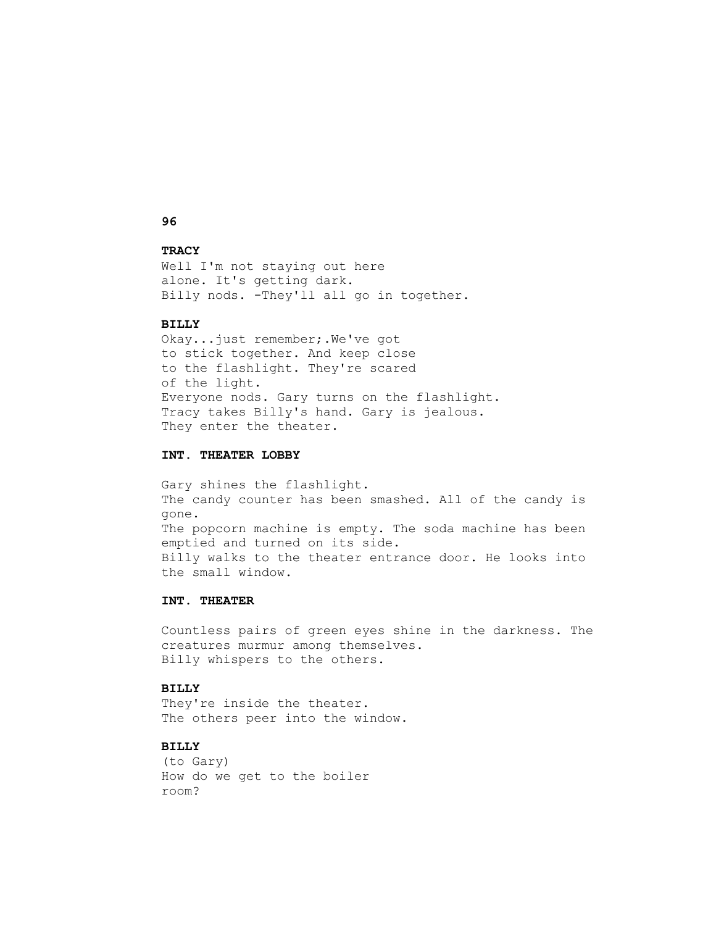# **96**

# **TRACY**

Well I'm not staying out here alone. It's getting dark. Billy nods. -They'll all go in together.

#### **BILLY**

 Okay...just remember;.We've got to stick together. And keep close to the flashlight. They're scared of the light. Everyone nods. Gary turns on the flashlight. Tracy takes Billy's hand. Gary is jealous. They enter the theater.

### **INT. THEATER LOBBY**

 Gary shines the flashlight. The candy counter has been smashed. All of the candy is gone. The popcorn machine is empty. The soda machine has been emptied and turned on its side. Billy walks to the theater entrance door. He looks into the small window.

# **INT. THEATER**

 Countless pairs of green eyes shine in the darkness. The creatures murmur among themselves. Billy whispers to the others.

#### **BILLY**

They're inside the theater. The others peer into the window.

# **BILLY**

 (to Gary) How do we get to the boiler room?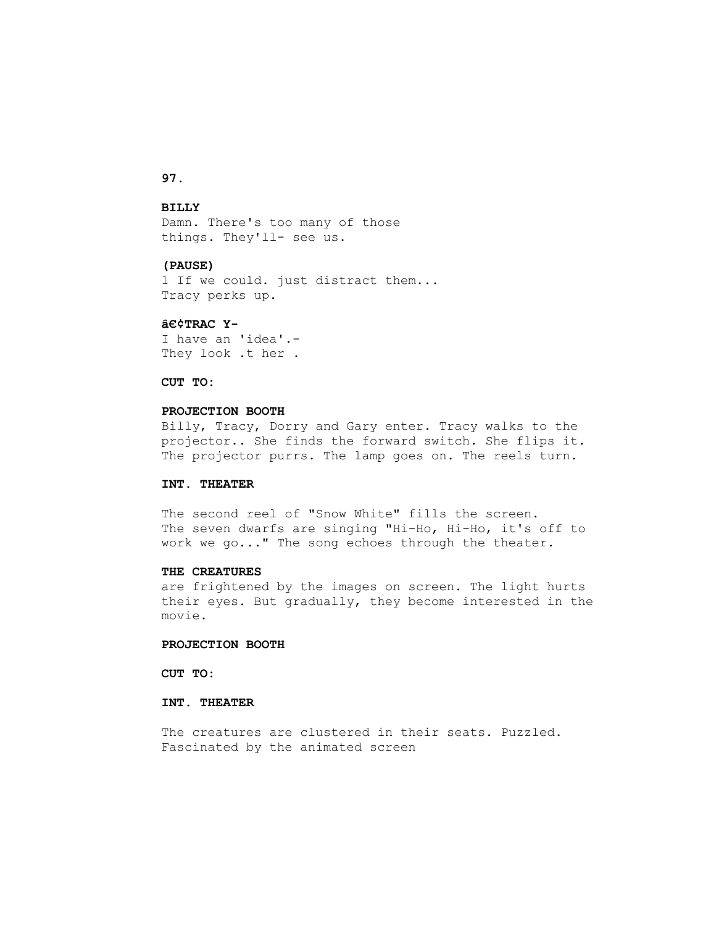# **97.**

#### **BILLY**

 Damn. There's too many of those things. They'll- see us.

### **(PAUSE)**

 1 If we could. just distract them... Tracy perks up.

#### **•TRAC Y-**

 I have an 'idea'.- They look .t her .

#### **CUT TO:**

# **PROJECTION BOOTH**

 Billy, Tracy, Dorry and Gary enter. Tracy walks to the projector.. She finds the forward switch. She flips it. The projector purrs. The lamp goes on. The reels turn.

#### **INT. THEATER**

 The second reel of "Snow White" fills the screen. The seven dwarfs are singing "Hi-Ho, Hi-Ho, it's off to work we go..." The song echoes through the theater.

#### **THE CREATURES**

 are frightened by the images on screen. The light hurts their eyes. But gradually, they become interested in the movie.

### **PROJECTION BOOTH**

 **CUT TO:**

## **INT. THEATER**

 The creatures are clustered in their seats. Puzzled. Fascinated by the animated screen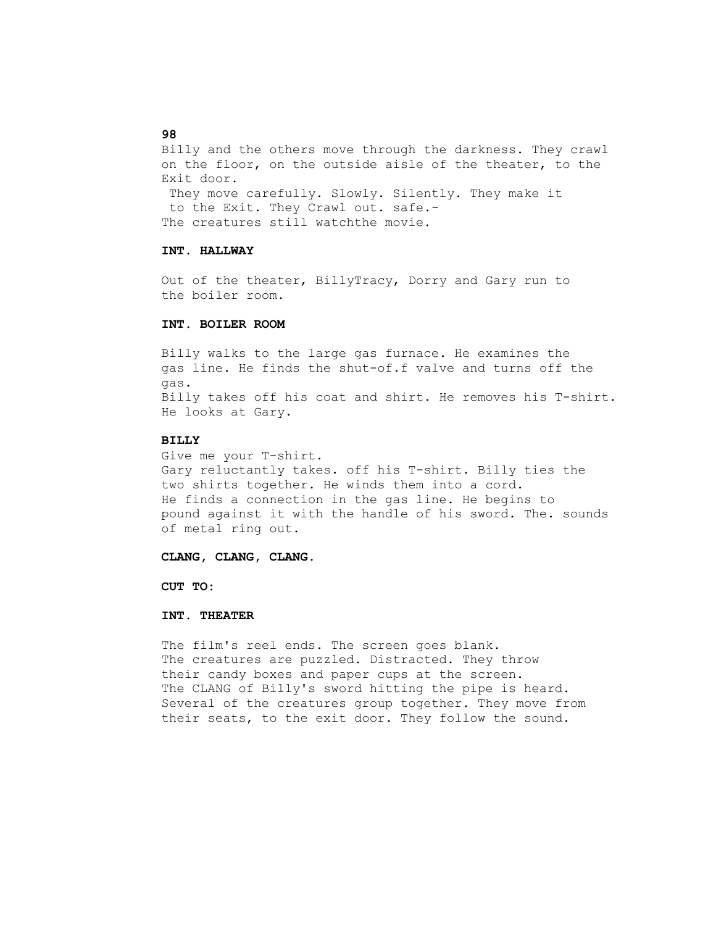Billy and the others move through the darkness. They crawl on the floor, on the outside aisle of the theater, to the Exit door. They move carefully. Slowly. Silently. They make it to the Exit. They Crawl out. safe.- The creatures still watchthe movie.

#### **INT. HALLWAY**

 Out of the theater, BillyTracy, Dorry and Gary run to the boiler room.

#### **INT. BOILER ROOM**

 Billy walks to the large gas furnace. He examines the gas line. He finds the shut-of.f valve and turns off the gas. Billy takes off his coat and shirt. He removes his T-shirt. He looks at Gary.

#### **BILLY**

 Give me your T-shirt. Gary reluctantly takes. off his T-shirt. Billy ties the two shirts together. He winds them into a cord. He finds a connection in the gas line. He begins to pound against it with the handle of his sword. The. sounds of metal ring out.

#### **CLANG, CLANG, CLANG.**

 **CUT TO:**

### **INT. THEATER**

 The film's reel ends. The screen goes blank. The creatures are puzzled. Distracted. They throw their candy boxes and paper cups at the screen. The CLANG of Billy's sword hitting the pipe is heard. Several of the creatures group together. They move from their seats, to the exit door. They follow the sound.

### **98**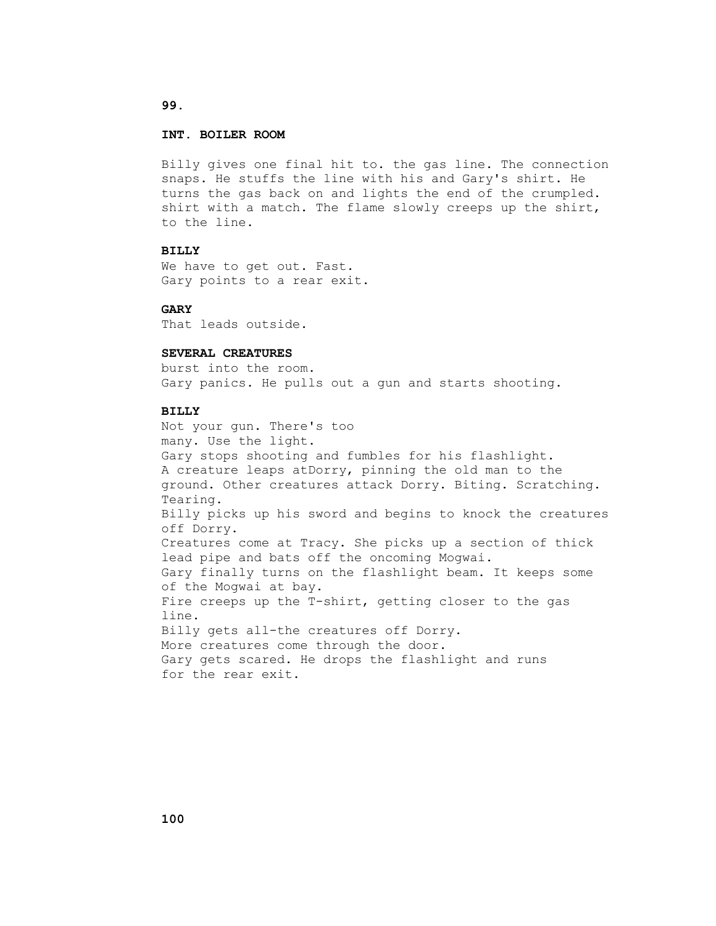# **INT. BOILER ROOM**

 Billy gives one final hit to. the gas line. The connection snaps. He stuffs the line with his and Gary's shirt. He turns the gas back on and lights the end of the crumpled. shirt with a match. The flame slowly creeps up the shirt, to the line.

# **BILLY**

 We have to get out. Fast. Gary points to a rear exit.

### **GARY**

That leads outside.

### **SEVERAL CREATURES**

 burst into the room. Gary panics. He pulls out a gun and starts shooting.

# **BILLY**

 Not your gun. There's too many. Use the light. Gary stops shooting and fumbles for his flashlight. A creature leaps atDorry, pinning the old man to the ground. Other creatures attack Dorry. Biting. Scratching. Tearing. Billy picks up his sword and begins to knock the creatures off Dorry. Creatures come at Tracy. She picks up a section of thick lead pipe and bats off the oncoming Mogwai. Gary finally turns on the flashlight beam. It keeps some of the Mogwai at bay. Fire creeps up the T-shirt, getting closer to the gas line. Billy gets all-the creatures off Dorry. More creatures come through the door. Gary gets scared. He drops the flashlight and runs for the rear exit.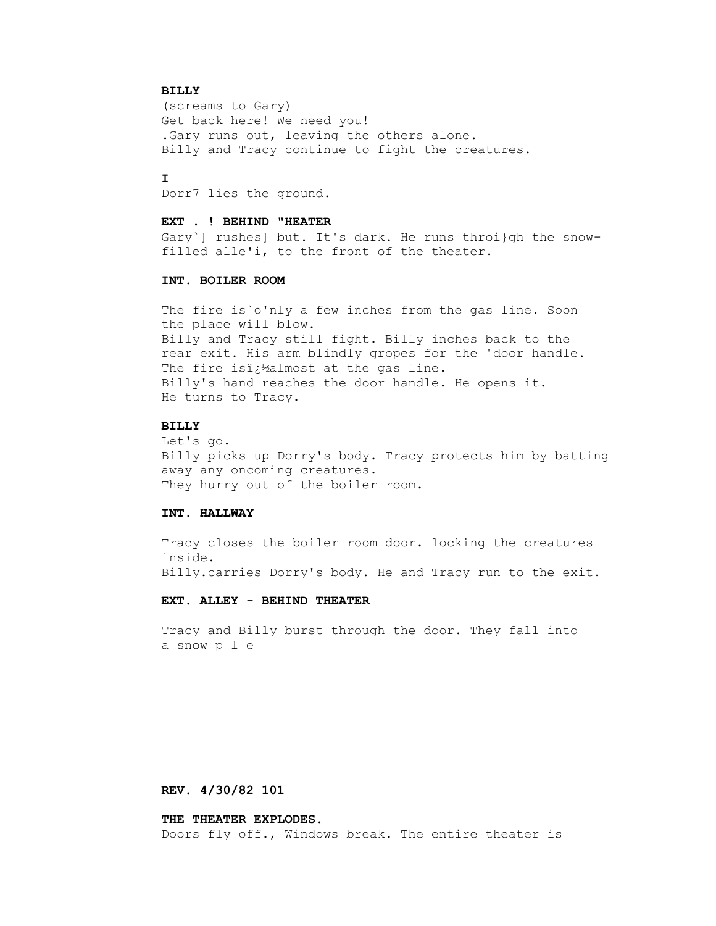#### **BILLY**

 (screams to Gary) Get back here! We need you! .Gary runs out, leaving the others alone. Billy and Tracy continue to fight the creatures.

# **I**

Dorr7 lies the ground.

#### **EXT . ! BEHIND "HEATER**

 Gary`] rushes] but. It's dark. He runs throi}gh the snow filled alle'i, to the front of the theater.

## **INT. BOILER ROOM**

The fire is o'nly a few inches from the gas line. Soon the place will blow. Billy and Tracy still fight. Billy inches back to the rear exit. His arm blindly gropes for the 'door handle. The fire isi $t^1$  almost at the gas line. Billy's hand reaches the door handle. He opens it. He turns to Tracy.

#### **BILLY**

 Let's go. Billy picks up Dorry's body. Tracy protects him by batting away any oncoming creatures. They hurry out of the boiler room.

### **INT. HALLWAY**

 Tracy closes the boiler room door. locking the creatures inside. Billy.carries Dorry's body. He and Tracy run to the exit.

# **EXT. ALLEY - BEHIND THEATER**

 Tracy and Billy burst through the door. They fall into a snow p l e

#### **REV. 4/30/82 101**

#### **THE THEATER EXPLODES.**

Doors fly off., Windows break. The entire theater is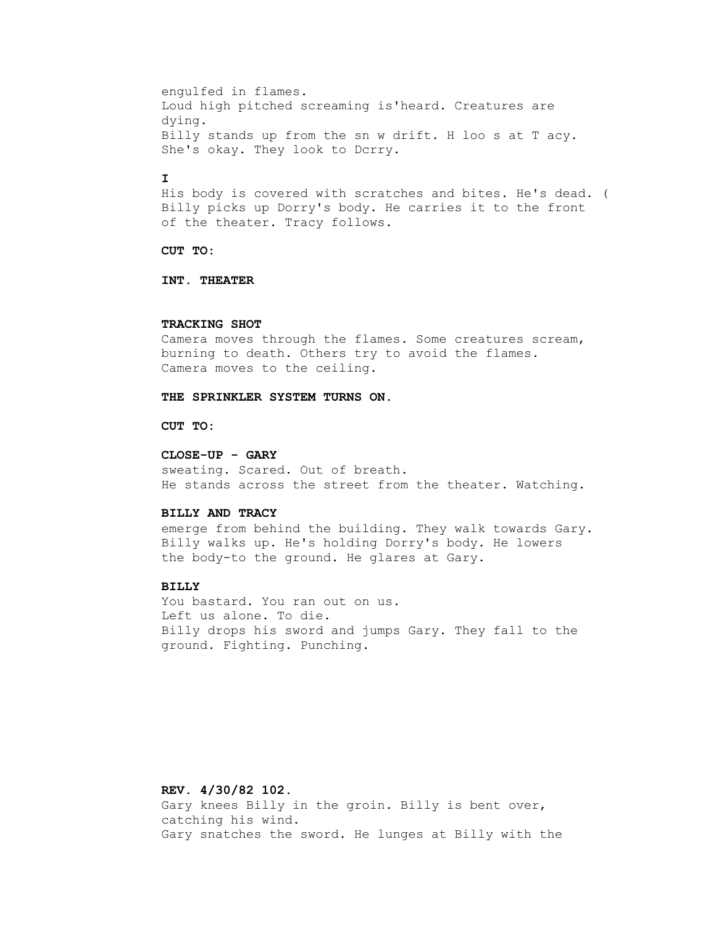engulfed in flames. Loud high pitched screaming is'heard. Creatures are dying. Billy stands up from the sn w drift. H loo s at T acy. She's okay. They look to Dcrry.

# **I**

 His body is covered with scratches and bites. He's dead. ( Billy picks up Dorry's body. He carries it to the front of the theater. Tracy follows.

### **CUT TO:**

 **INT. THEATER**

#### **TRACKING SHOT**

 Camera moves through the flames. Some creatures scream, burning to death. Others try to avoid the flames. Camera moves to the ceiling.

# **THE SPRINKLER SYSTEM TURNS ON.**

### **CUT TO:**

#### **CLOSE-UP - GARY**

 sweating. Scared. Out of breath. He stands across the street from the theater. Watching.

#### **BILLY AND TRACY**

 emerge from behind the building. They walk towards Gary. Billy walks up. He's holding Dorry's body. He lowers the body-to the ground. He glares at Gary.

# **BILLY**

 You bastard. You ran out on us. Left us alone. To die. Billy drops his sword and jumps Gary. They fall to the ground. Fighting. Punching.

 **REV. 4/30/82 102.** Gary knees Billy in the groin. Billy is bent over, catching his wind. Gary snatches the sword. He lunges at Billy with the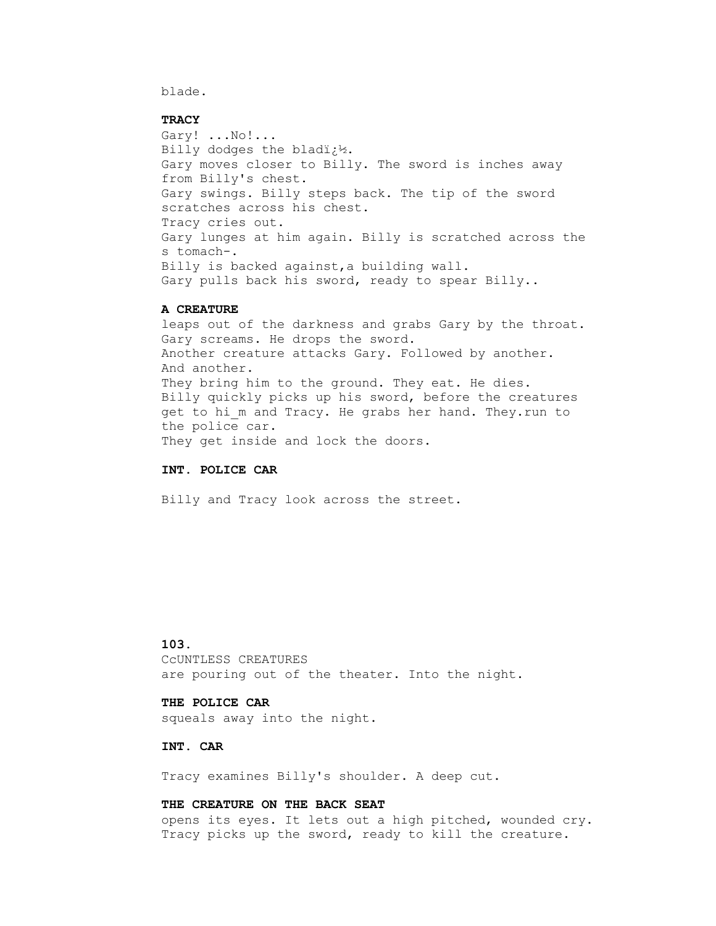blade.

#### **TRACY**

 Gary! ...No!... Billy dodges the bladi $2^1$ . Gary moves closer to Billy. The sword is inches away from Billy's chest. Gary swings. Billy steps back. The tip of the sword scratches across his chest. Tracy cries out. Gary lunges at him again. Billy is scratched across the s tomach-. Billy is backed against,a building wall. Gary pulls back his sword, ready to spear Billy..

### **A CREATURE**

 leaps out of the darkness and grabs Gary by the throat. Gary screams. He drops the sword. Another creature attacks Gary. Followed by another. And another. They bring him to the ground. They eat. He dies. Billy quickly picks up his sword, before the creatures get to hi m and Tracy. He grabs her hand. They.run to the police car. They get inside and lock the doors.

### **INT. POLICE CAR**

Billy and Tracy look across the street.

# **103.**

 CcUNTLESS CREATURES are pouring out of the theater. Into the night.

### **THE POLICE CAR**

squeals away into the night.

# **INT. CAR**

Tracy examines Billy's shoulder. A deep cut.

### **THE CREATURE ON THE BACK SEAT**

 opens its eyes. It lets out a high pitched, wounded cry. Tracy picks up the sword, ready to kill the creature.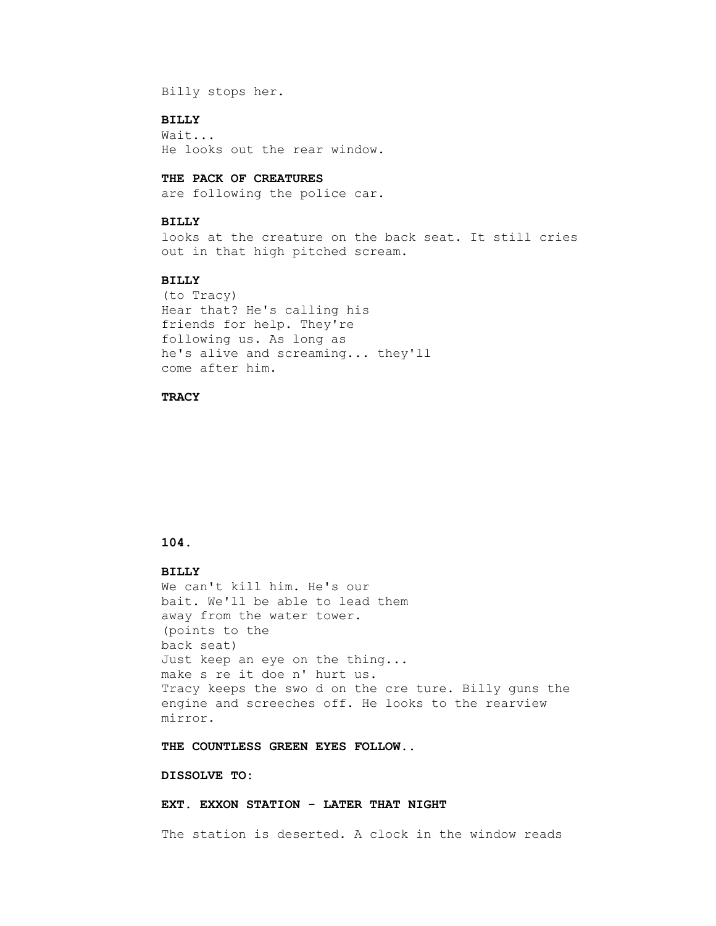Billy stops her.

### **BILLY**

 Wait... He looks out the rear window.

### **THE PACK OF CREATURES**

are following the police car.

### **BILLY**

 looks at the creature on the back seat. It still cries out in that high pitched scream.

## **BILLY**

 (to Tracy) Hear that? He's calling his friends for help. They're following us. As long as he's alive and screaming... they'll come after him.

## **TRACY**

# **104.**

# **BILLY**

 We can't kill him. He's our bait. We'll be able to lead them away from the water tower. (points to the back seat) Just keep an eye on the thing... make s re it doe n' hurt us. Tracy keeps the swo d on the cre ture. Billy guns the engine and screeches off. He looks to the rearview mirror.

 **THE COUNTLESS GREEN EYES FOLLOW..**

### **DISSOLVE TO:**

 **EXT. EXXON STATION - LATER THAT NIGHT**

The station is deserted. A clock in the window reads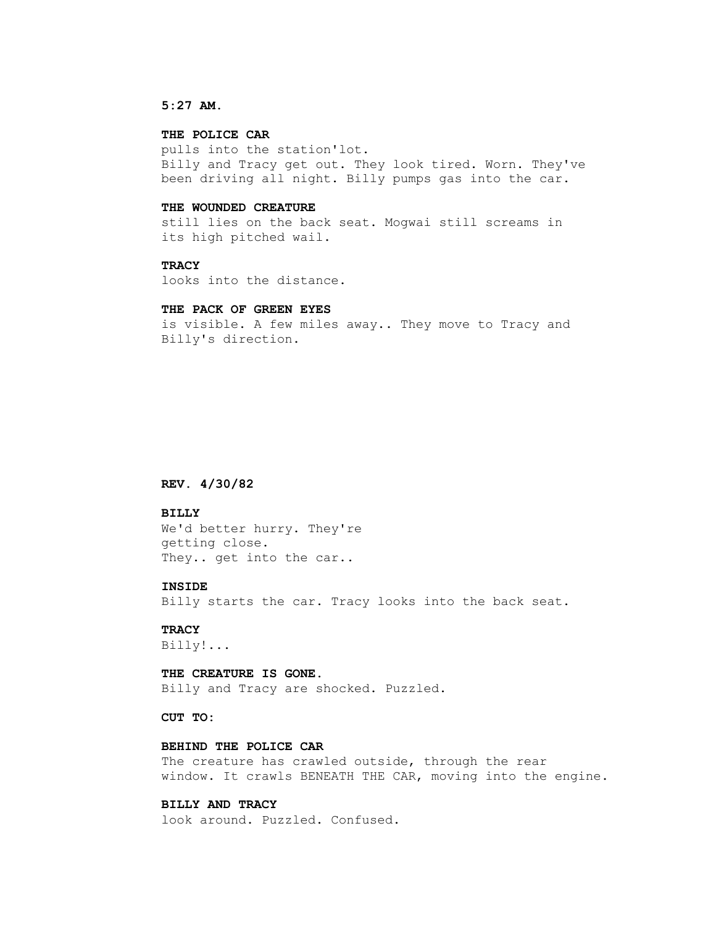### **5:27 AM.**

# **THE POLICE CAR**

 pulls into the station'lot. Billy and Tracy get out. They look tired. Worn. They've been driving all night. Billy pumps gas into the car.

#### **THE WOUNDED CREATURE**

 still lies on the back seat. Mogwai still screams in its high pitched wail.

### **TRACY**

looks into the distance.

### **THE PACK OF GREEN EYES**

 is visible. A few miles away.. They move to Tracy and Billy's direction.

### **REV. 4/30/82**

## **BILLY**

 We'd better hurry. They're getting close. They.. get into the car..

#### **INSIDE**

Billy starts the car. Tracy looks into the back seat.

# **TRACY**

Billy!...

#### **THE CREATURE IS GONE.**

Billy and Tracy are shocked. Puzzled.

 **CUT TO:**

### **BEHIND THE POLICE CAR**

The creature has crawled outside, through the rear window. It crawls BENEATH THE CAR, moving into the engine.

# **BILLY AND TRACY**

look around. Puzzled. Confused.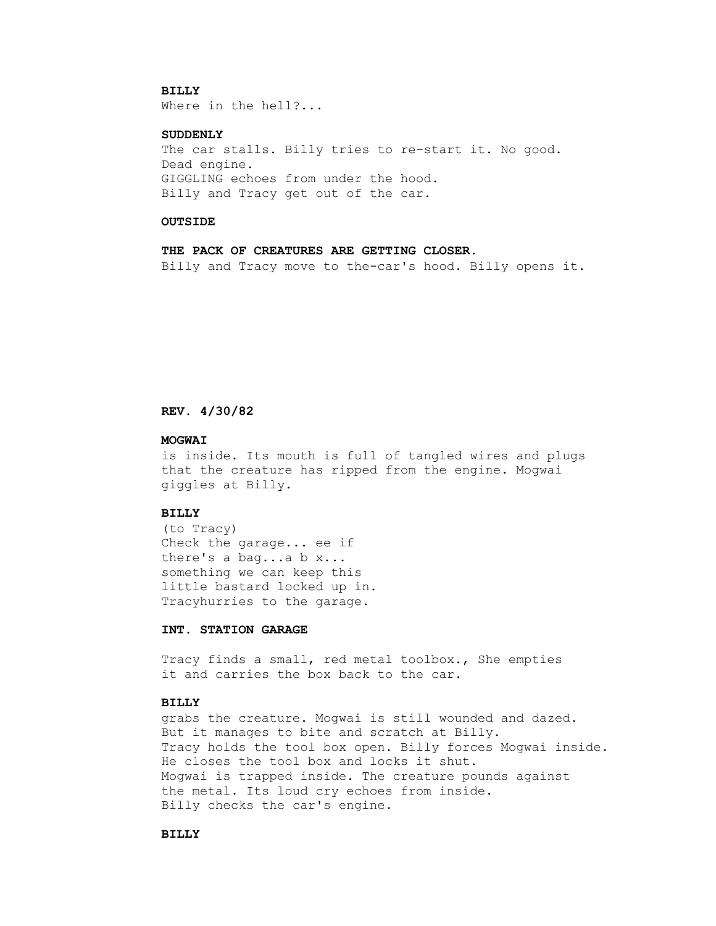### **BILLY**

Where in the hell?...

## **SUDDENLY**

The car stalls. Billy tries to re-start it. No good. Dead engine. GIGGLING echoes from under the hood. Billy and Tracy get out of the car.

#### **OUTSIDE**

 **THE PACK OF CREATURES ARE GETTING CLOSER.** Billy and Tracy move to the-car's hood. Billy opens it.

# **REV. 4/30/82**

#### **MOGWAI**

 is inside. Its mouth is full of tangled wires and plugs that the creature has ripped from the engine. Mogwai giggles at Billy.

### **BILLY**

 (to Tracy) Check the garage... ee if there's a bag...a b x... something we can keep this little bastard locked up in. Tracyhurries to the garage.

# **INT. STATION GARAGE**

 Tracy finds a small, red metal toolbox., She empties it and carries the box back to the car.

# **BILLY**

 grabs the creature. Mogwai is still wounded and dazed. But it manages to bite and scratch at Billy. Tracy holds the tool box open. Billy forces Mogwai inside. He closes the tool box and locks it shut. Mogwai is trapped inside. The creature pounds against the metal. Its loud cry echoes from inside. Billy checks the car's engine.

# **BILLY**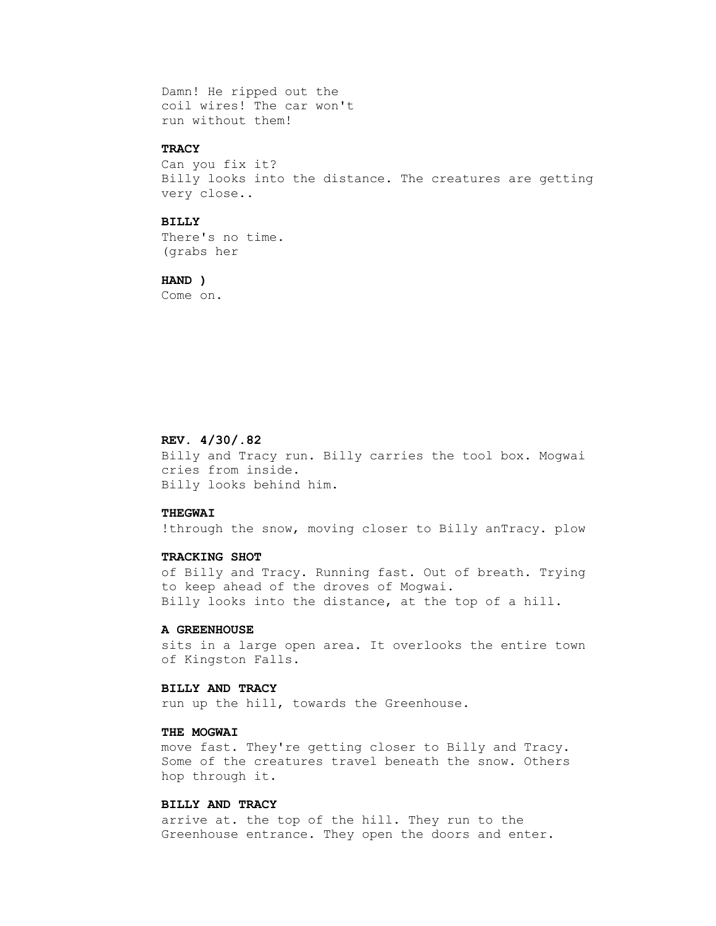Damn! He ripped out the coil wires! The car won't run without them!

# **TRACY**

 Can you fix it? Billy looks into the distance. The creatures are getting very close..

### **BILLY**

 There's no time. (grabs her

 **HAND )**

Come on.

## **REV. 4/30/.82**

 Billy and Tracy run. Billy carries the tool box. Mogwai cries from inside. Billy looks behind him.

## **THEGWAI**

!through the snow, moving closer to Billy anTracy. plow

### **TRACKING SHOT**

 of Billy and Tracy. Running fast. Out of breath. Trying to keep ahead of the droves of Mogwai. Billy looks into the distance, at the top of a hill.

### **A GREENHOUSE**

 sits in a large open area. It overlooks the entire town of Kingston Falls.

### **BILLY AND TRACY**

run up the hill, towards the Greenhouse.

# **THE MOGWAI**

 move fast. They're getting closer to Billy and Tracy. Some of the creatures travel beneath the snow. Others hop through it.

### **BILLY AND TRACY**

 arrive at. the top of the hill. They run to the Greenhouse entrance. They open the doors and enter.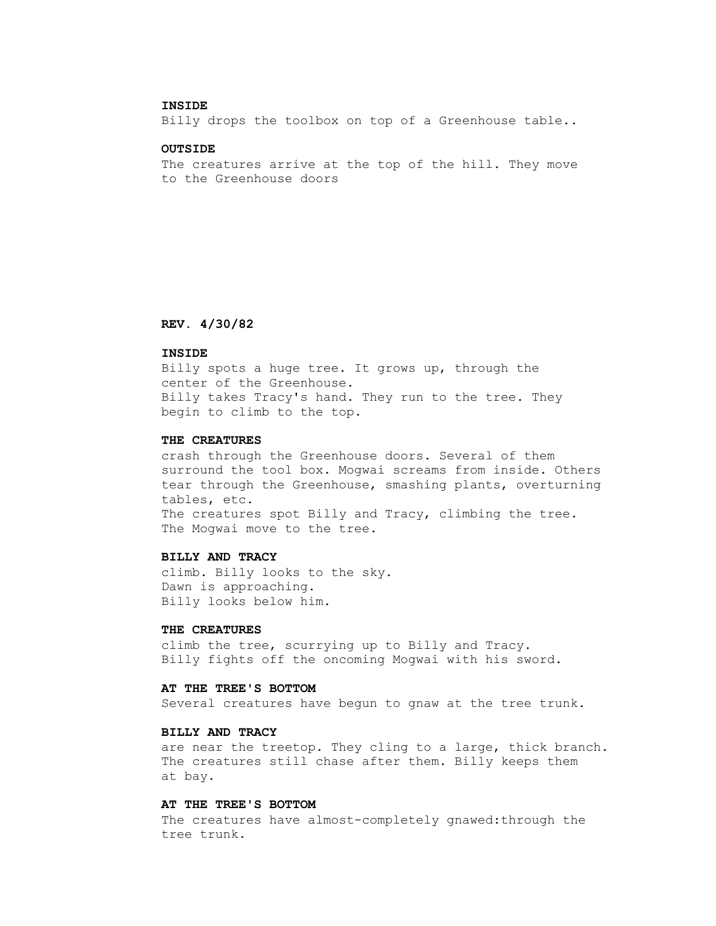### **INSIDE**

Billy drops the toolbox on top of a Greenhouse table..

#### **OUTSIDE**

 The creatures arrive at the top of the hill. They move to the Greenhouse doors

### **REV. 4/30/82**

### **INSIDE**

 Billy spots a huge tree. It grows up, through the center of the Greenhouse. Billy takes Tracy's hand. They run to the tree. They begin to climb to the top.

#### **THE CREATURES**

 crash through the Greenhouse doors. Several of them surround the tool box. Mogwai screams from inside. Others tear through the Greenhouse, smashing plants, overturning tables, etc. The creatures spot Billy and Tracy, climbing the tree. The Mogwai move to the tree.

### **BILLY AND TRACY**

 climb. Billy looks to the sky. Dawn is approaching. Billy looks below him.

### **THE CREATURES**

 climb the tree, scurrying up to Billy and Tracy. Billy fights off the oncoming Mogwai with his sword.

# **AT THE TREE'S BOTTOM**

Several creatures have begun to gnaw at the tree trunk.

# **BILLY AND TRACY**

 are near the treetop. They cling to a large, thick branch. The creatures still chase after them. Billy keeps them at bay.

### **AT THE TREE'S BOTTOM**

 The creatures have almost-completely gnawed:through the tree trunk.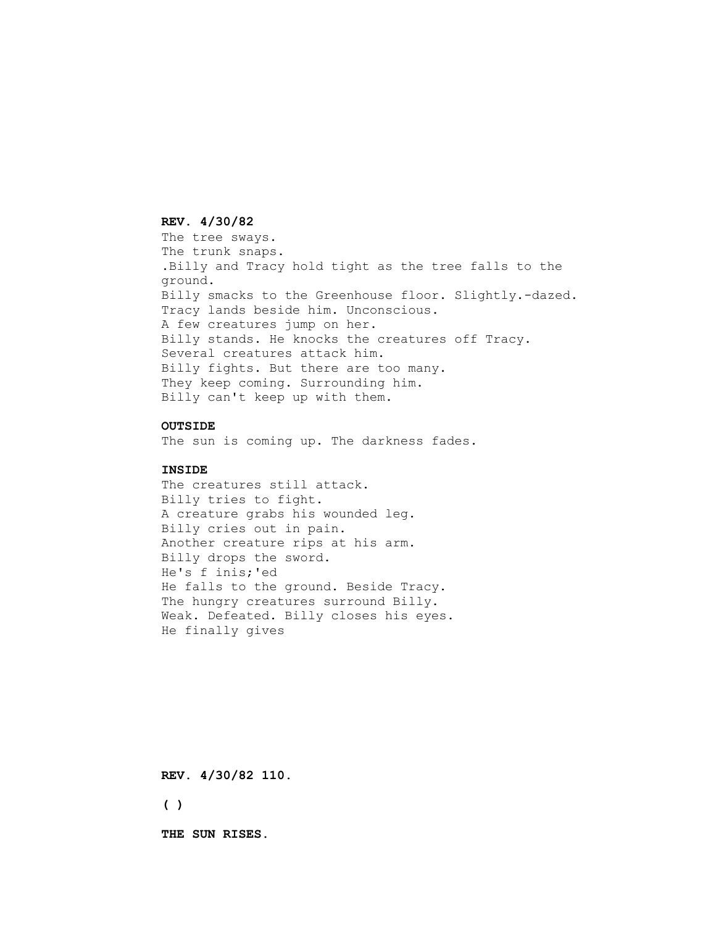### **REV. 4/30/82**

 The tree sways. The trunk snaps. .Billy and Tracy hold tight as the tree falls to the ground. Billy smacks to the Greenhouse floor. Slightly.-dazed. Tracy lands beside him. Unconscious. A few creatures jump on her. Billy stands. He knocks the creatures off Tracy. Several creatures attack him. Billy fights. But there are too many. They keep coming. Surrounding him. Billy can't keep up with them.

# **OUTSIDE**

The sun is coming up. The darkness fades.

## **INSIDE**

 The creatures still attack. Billy tries to fight. A creature grabs his wounded leg. Billy cries out in pain. Another creature rips at his arm. Billy drops the sword. He's f inis;'ed He falls to the ground. Beside Tracy. The hungry creatures surround Billy. Weak. Defeated. Billy closes his eyes. He finally gives

 **REV. 4/30/82 110.**

 **( )**

 **THE SUN RISES.**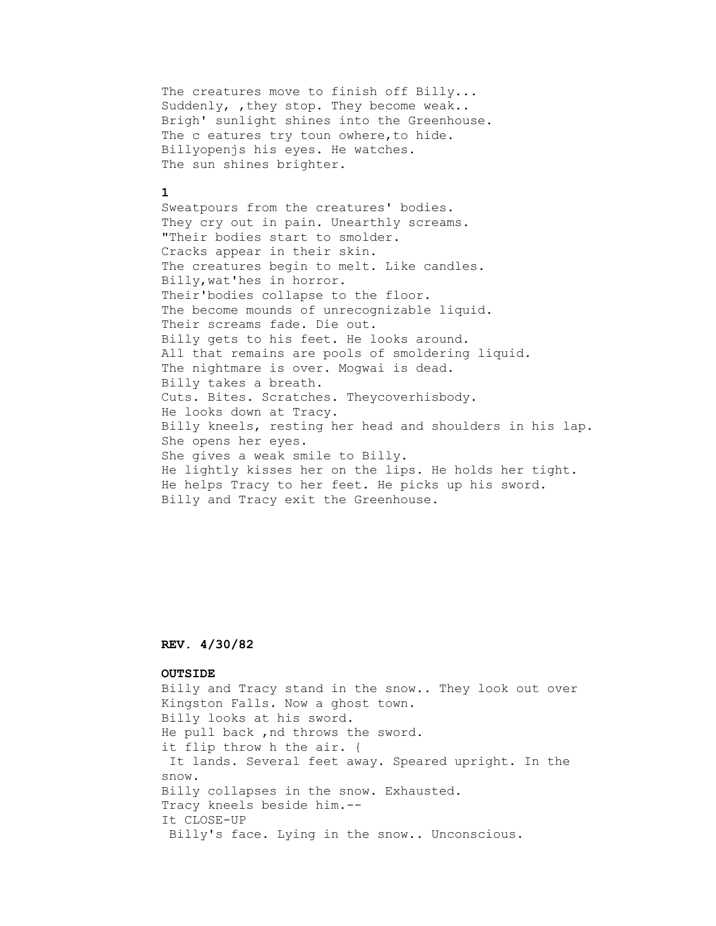The creatures move to finish off Billy... Suddenly, , they stop. They become weak.. Brigh' sunlight shines into the Greenhouse. The c eatures try toun owhere, to hide. Billyopenjs his eyes. He watches. The sun shines brighter.

### **1**

 Sweatpours from the creatures' bodies. They cry out in pain. Unearthly screams. "Their bodies start to smolder. Cracks appear in their skin. The creatures begin to melt. Like candles. Billy,wat'hes in horror. Their'bodies collapse to the floor. The become mounds of unrecognizable liquid. Their screams fade. Die out. Billy gets to his feet. He looks around. All that remains are pools of smoldering liquid. The nightmare is over. Mogwai is dead. Billy takes a breath. Cuts. Bites. Scratches. Theycoverhisbody. He looks down at Tracy. Billy kneels, resting her head and shoulders in his lap. She opens her eyes. She gives a weak smile to Billy. He lightly kisses her on the lips. He holds her tight. He helps Tracy to her feet. He picks up his sword. Billy and Tracy exit the Greenhouse.

# **REV. 4/30/82**

#### **OUTSIDE**

 Billy and Tracy stand in the snow.. They look out over Kingston Falls. Now a ghost town. Billy looks at his sword. He pull back ,nd throws the sword. it flip throw h the air. { It lands. Several feet away. Speared upright. In the snow. Billy collapses in the snow. Exhausted. Tracy kneels beside him.-- It CLOSE-UP Billy's face. Lying in the snow.. Unconscious.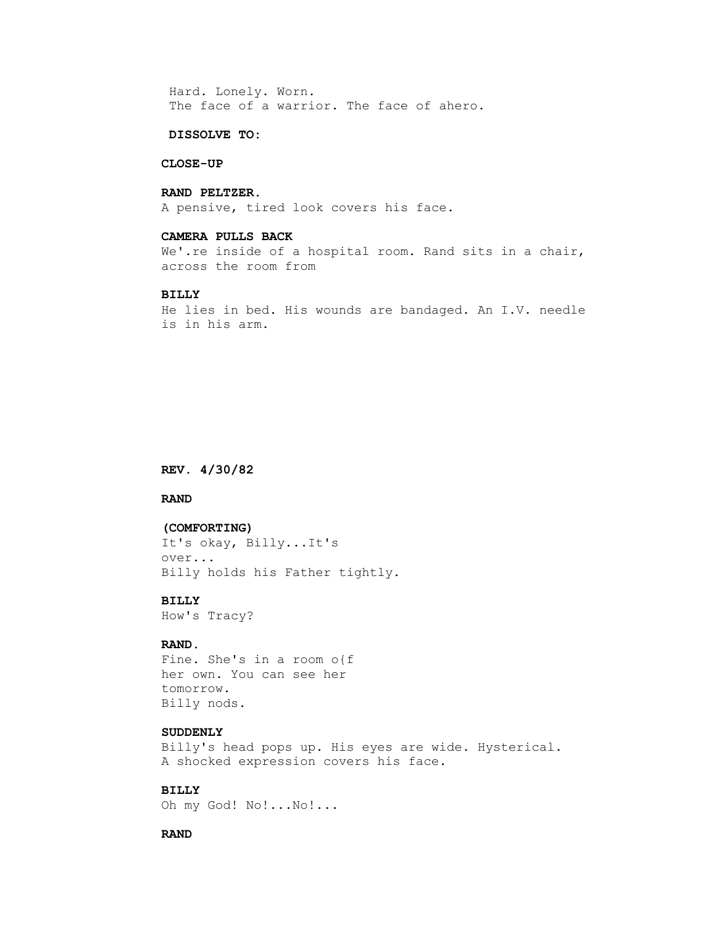Hard. Lonely. Worn. The face of a warrior. The face of ahero.

# **DISSOLVE TO:**

#### **CLOSE-UP**

# **RAND PELTZER.**

A pensive, tired look covers his face.

### **CAMERA PULLS BACK**

We'.re inside of a hospital room. Rand sits in a chair, across the room from

### **BILLY**

 He lies in bed. His wounds are bandaged. An I.V. needle is in his arm.

#### **REV. 4/30/82**

## **RAND**

#### **(COMFORTING)**

 It's okay, Billy...It's over... Billy holds his Father tightly.

#### **BILLY**

How's Tracy?

# **RAND.**

 Fine. She's in a room o{f her own. You can see her tomorrow. Billy nods.

### **SUDDENLY**

 Billy's head pops up. His eyes are wide. Hysterical. A shocked expression covers his face.

# **BILLY**

Oh my God! No!...No!...

#### **RAND**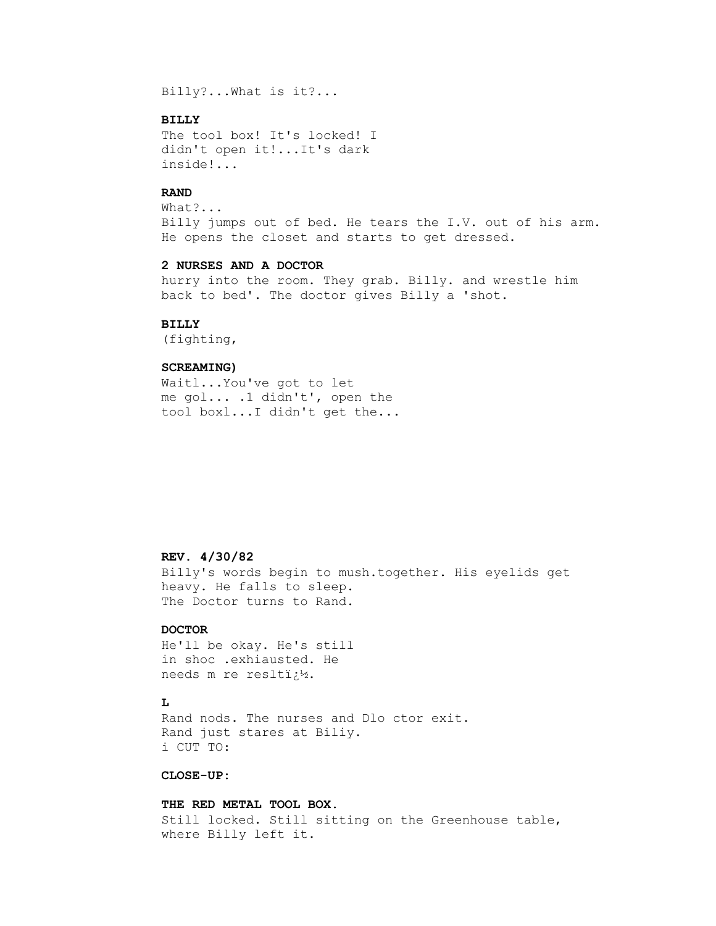Billy?...What is it?...

### **BILLY**

 The tool box! It's locked! I didn't open it!...It's dark inside!...

### **RAND**

 What?... Billy jumps out of bed. He tears the I.V. out of his arm. He opens the closet and starts to get dressed.

#### **2 NURSES AND A DOCTOR**

 hurry into the room. They grab. Billy. and wrestle him back to bed'. The doctor gives Billy a 'shot.

#### **BILLY**

(fighting,

### **SCREAMING)**

 Waitl...You've got to let me gol... .1 didn't', open the tool boxl...I didn't get the...

## **REV. 4/30/82**

 Billy's words begin to mush.together. His eyelids get heavy. He falls to sleep. The Doctor turns to Rand.

### **DOCTOR**

 He'll be okay. He's still in shoc .exhiausted. He needs m re reslti $i^1$ .

# **L**

 Rand nods. The nurses and Dlo ctor exit. Rand just stares at Biliy. i CUT TO:

# **CLOSE-UP:**

 **THE RED METAL TOOL BOX.** Still locked. Still sitting on the Greenhouse table, where Billy left it.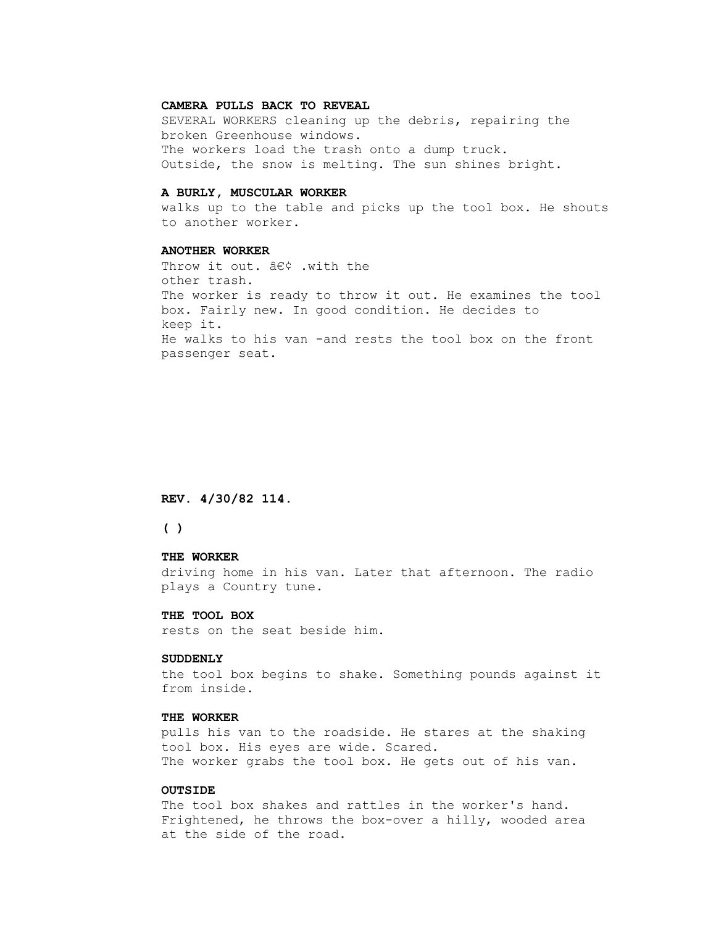#### **CAMERA PULLS BACK TO REVEAL**

 SEVERAL WORKERS cleaning up the debris, repairing the broken Greenhouse windows. The workers load the trash onto a dump truck. Outside, the snow is melting. The sun shines bright.

#### **A BURLY, MUSCULAR WORKER**

 walks up to the table and picks up the tool box. He shouts to another worker.

#### **ANOTHER WORKER**

Throw it out.  $\hat{a}\in\zeta$  .with the other trash. The worker is ready to throw it out. He examines the tool box. Fairly new. In good condition. He decides to keep it. He walks to his van -and rests the tool box on the front passenger seat.

#### **REV. 4/30/82 114.**

## **( )**

#### **THE WORKER**

 driving home in his van. Later that afternoon. The radio plays a Country tune.

#### **THE TOOL BOX**

rests on the seat beside him.

#### **SUDDENLY**

 the tool box begins to shake. Something pounds against it from inside.

### **THE WORKER**

 pulls his van to the roadside. He stares at the shaking tool box. His eyes are wide. Scared. The worker grabs the tool box. He gets out of his van.

#### **OUTSIDE**

 The tool box shakes and rattles in the worker's hand. Frightened, he throws the box-over a hilly, wooded area at the side of the road.